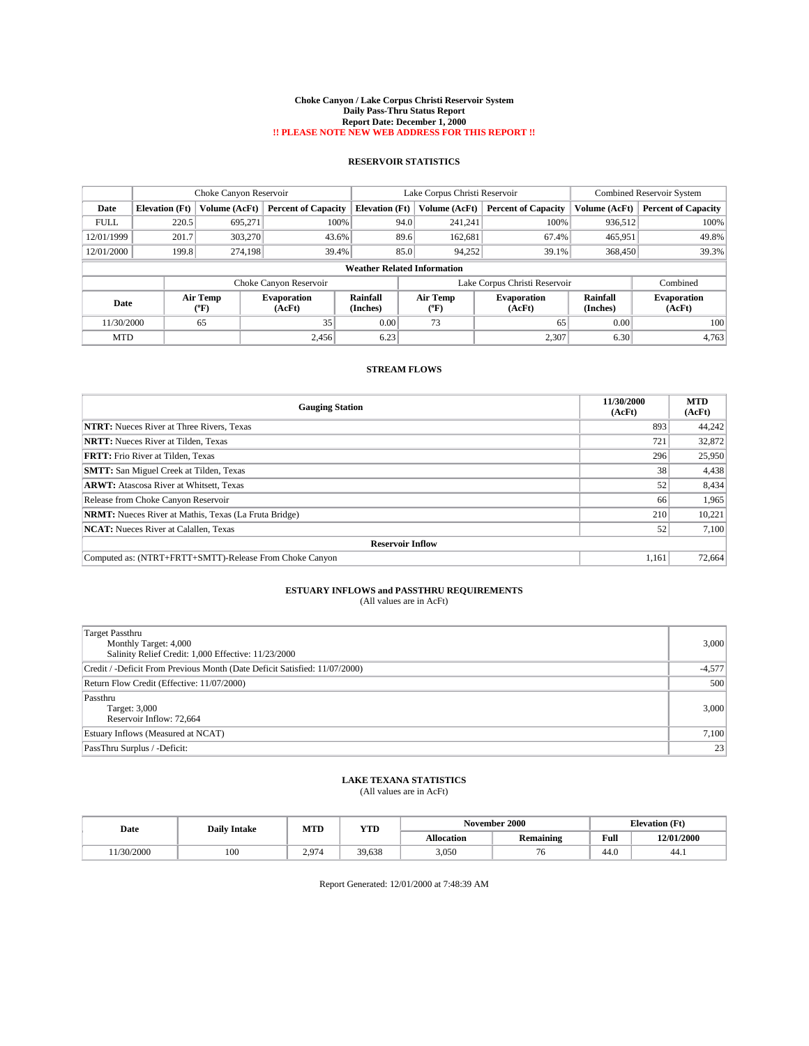#### **Choke Canyon / Lake Corpus Christi Reservoir System Daily Pass-Thru Status Report Report Date: December 1, 2000 !! PLEASE NOTE NEW WEB ADDRESS FOR THIS REPORT !!**

## **RESERVOIR STATISTICS**

|                                    | Choke Canyon Reservoir |                      |                              |                             | Lake Corpus Christi Reservoir |         |                               |                             | <b>Combined Reservoir System</b> |  |
|------------------------------------|------------------------|----------------------|------------------------------|-----------------------------|-------------------------------|---------|-------------------------------|-----------------------------|----------------------------------|--|
| Date                               | <b>Elevation</b> (Ft)  | <b>Volume (AcFt)</b> | <b>Percent of Capacity</b>   | <b>Elevation</b> (Ft)       | Volume (AcFt)                 |         | <b>Percent of Capacity</b>    | Volume (AcFt)               | <b>Percent of Capacity</b>       |  |
| <b>FULL</b>                        | 220.5                  | 695.271              | 100%                         |                             | 94.0                          | 241,241 | 100%                          | 936,512                     | 100%                             |  |
| 12/01/1999                         | 201.7                  | 303,270              | 43.6%                        |                             | 89.6                          | 162,681 | 67.4%                         | 465,951                     | 49.8%                            |  |
| 12/01/2000                         | 199.8                  | 274,198              | 39.4%                        |                             | 85.0                          | 94,252  | 39.1%                         | 368,450                     | 39.3%                            |  |
| <b>Weather Related Information</b> |                        |                      |                              |                             |                               |         |                               |                             |                                  |  |
|                                    |                        |                      | Choke Canyon Reservoir       |                             |                               |         | Lake Corpus Christi Reservoir |                             | Combined                         |  |
| Date                               |                        | Air Temp<br>(°F)     | <b>Evaporation</b><br>(AcFt) | <b>Rainfall</b><br>(Inches) | Air Temp<br>${}^{\circ}$ F)   |         | <b>Evaporation</b><br>(AcFt)  | <b>Rainfall</b><br>(Inches) | <b>Evaporation</b><br>(AcFt)     |  |
| 11/30/2000                         |                        | 65                   | 35                           | 0.00                        | 73                            |         | 65                            | 0.00                        | 100                              |  |
| <b>MTD</b>                         |                        |                      | 2.456                        | 6.23                        |                               |         | 2,307                         | 6.30                        | 4,763                            |  |

## **STREAM FLOWS**

| <b>Gauging Station</b>                                       | 11/30/2000<br>(AcFt) | <b>MTD</b><br>(AcFt) |  |  |  |  |
|--------------------------------------------------------------|----------------------|----------------------|--|--|--|--|
| <b>NTRT:</b> Nueces River at Three Rivers, Texas             | 893                  | 44,242               |  |  |  |  |
| <b>NRTT:</b> Nueces River at Tilden, Texas                   | 721                  | 32,872               |  |  |  |  |
| <b>FRTT:</b> Frio River at Tilden, Texas                     | 296                  | 25,950               |  |  |  |  |
| <b>SMTT:</b> San Miguel Creek at Tilden, Texas               | 38                   | 4,438                |  |  |  |  |
| <b>ARWT:</b> Atascosa River at Whitsett, Texas               | 52                   | 8,434                |  |  |  |  |
| Release from Choke Canyon Reservoir                          | 66                   | 1,965                |  |  |  |  |
| <b>NRMT:</b> Nueces River at Mathis, Texas (La Fruta Bridge) | 210                  | 10,221               |  |  |  |  |
| <b>NCAT:</b> Nueces River at Calallen, Texas                 | 52                   | 7,100                |  |  |  |  |
| <b>Reservoir Inflow</b>                                      |                      |                      |  |  |  |  |
| Computed as: (NTRT+FRTT+SMTT)-Release From Choke Canvon      | 1.161                | 72.664               |  |  |  |  |

# **ESTUARY INFLOWS and PASSTHRU REQUIREMENTS**<br>(All values are in AcFt)

| Target Passthru<br>Monthly Target: 4,000<br>Salinity Relief Credit: 1,000 Effective: 11/23/2000 | 3,000    |
|-------------------------------------------------------------------------------------------------|----------|
| Credit / -Deficit From Previous Month (Date Deficit Satisfied: 11/07/2000)                      | $-4,577$ |
| Return Flow Credit (Effective: 11/07/2000)                                                      | 500      |
| Passthru<br>Target: 3,000<br>Reservoir Inflow: 72,664                                           | 3,000    |
| Estuary Inflows (Measured at NCAT)                                                              | 7,100    |
| PassThru Surplus / -Deficit:                                                                    | 23       |

## **LAKE TEXANA STATISTICS**

(All values are in AcFt)

| Date      | <b>Daily Intake</b> | MTI  | $77$ mm<br>1 I D |                   | November 2000    | <b>Elevation</b> (Ft) |            |
|-----------|---------------------|------|------------------|-------------------|------------------|-----------------------|------------|
|           |                     |      |                  | <b>Allocation</b> | <b>Remaining</b> | Full                  | 12/01/2000 |
| 1/30/2000 | 100                 | 2974 | 39.638           | 3,050             | , v              | 44.0                  | 44.1       |

Report Generated: 12/01/2000 at 7:48:39 AM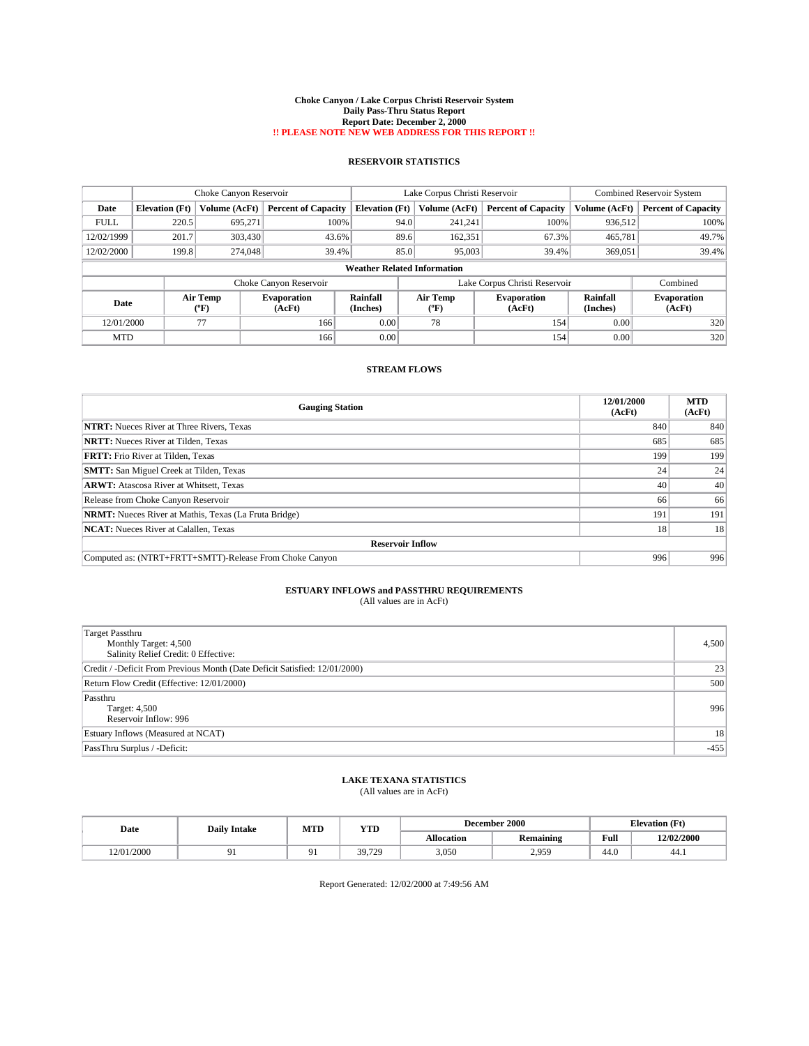#### **Choke Canyon / Lake Corpus Christi Reservoir System Daily Pass-Thru Status Report Report Date: December 2, 2000 !! PLEASE NOTE NEW WEB ADDRESS FOR THIS REPORT !!**

## **RESERVOIR STATISTICS**

| Choke Canyon Reservoir |                                    |                          |                              | Lake Corpus Christi Reservoir | <b>Combined Reservoir System</b> |                               |                      |                              |  |
|------------------------|------------------------------------|--------------------------|------------------------------|-------------------------------|----------------------------------|-------------------------------|----------------------|------------------------------|--|
| Date                   | <b>Elevation</b> (Ft)              | Volume (AcFt)            | <b>Percent of Capacity</b>   | <b>Elevation (Ft)</b>         | Volume (AcFt)                    | <b>Percent of Capacity</b>    | Volume (AcFt)        | <b>Percent of Capacity</b>   |  |
| <b>FULL</b>            | 220.5                              | 695.271                  | 100%                         | 94.0                          | 241.241                          | 100%                          | 936.512              | 100%                         |  |
| 12/02/1999             | 201.7                              | 303,430                  | 43.6%                        | 89.6                          | 162,351                          | 67.3%                         | 465,781              | 49.7%                        |  |
| 12/02/2000             | 199.8                              | 274,048                  | 39.4%                        | 85.0                          | 95,003                           | 39.4%                         | 369,051              | 39.4%                        |  |
|                        | <b>Weather Related Information</b> |                          |                              |                               |                                  |                               |                      |                              |  |
|                        |                                    |                          | Choke Canyon Reservoir       |                               |                                  | Lake Corpus Christi Reservoir |                      | Combined                     |  |
| Date                   |                                    | Air Temp<br>$\rm ^{6}F)$ | <b>Evaporation</b><br>(AcFt) | Rainfall<br>(Inches)          | Air Temp<br>"F                   | <b>Evaporation</b><br>(AcFt)  | Rainfall<br>(Inches) | <b>Evaporation</b><br>(AcFt) |  |
| 12/01/2000             |                                    | 77                       | 166                          | 0.00                          | 78                               | 154                           | 0.00                 | 320                          |  |
| <b>MTD</b>             |                                    |                          | 166                          | 0.00                          |                                  | 154                           | 0.00                 | 320                          |  |

## **STREAM FLOWS**

| <b>Gauging Station</b>                                       | 12/01/2000<br>(AcFt) | <b>MTD</b><br>(AcFt) |  |  |  |  |
|--------------------------------------------------------------|----------------------|----------------------|--|--|--|--|
| <b>NTRT:</b> Nueces River at Three Rivers, Texas             | 840                  | 840                  |  |  |  |  |
| <b>NRTT:</b> Nueces River at Tilden, Texas                   | 685                  | 685                  |  |  |  |  |
| <b>FRTT:</b> Frio River at Tilden, Texas                     | 199                  | 199                  |  |  |  |  |
| <b>SMTT:</b> San Miguel Creek at Tilden, Texas               | 24                   | 24                   |  |  |  |  |
| <b>ARWT:</b> Atascosa River at Whitsett, Texas               | 40                   | 40                   |  |  |  |  |
| Release from Choke Canyon Reservoir                          | 66                   | 66                   |  |  |  |  |
| <b>NRMT:</b> Nueces River at Mathis, Texas (La Fruta Bridge) | 191                  | 191                  |  |  |  |  |
| <b>NCAT:</b> Nueces River at Calallen, Texas                 | 18                   | 18                   |  |  |  |  |
| <b>Reservoir Inflow</b>                                      |                      |                      |  |  |  |  |
| Computed as: (NTRT+FRTT+SMTT)-Release From Choke Canyon      | 996                  | 996                  |  |  |  |  |

# **ESTUARY INFLOWS and PASSTHRU REQUIREMENTS**<br>(All values are in AcFt)

| <b>Target Passthru</b><br>Monthly Target: 4,500<br>Salinity Relief Credit: 0 Effective: | 4,500  |
|-----------------------------------------------------------------------------------------|--------|
| Credit / -Deficit From Previous Month (Date Deficit Satisfied: 12/01/2000)              | 23     |
| Return Flow Credit (Effective: 12/01/2000)                                              | 500    |
| Passthru<br>Target: 4,500<br>Reservoir Inflow: 996                                      | 996    |
| Estuary Inflows (Measured at NCAT)                                                      | 18     |
| PassThru Surplus / -Deficit:                                                            | $-455$ |

## **LAKE TEXANA STATISTICS**

(All values are in AcFt)

| Date       | <b>Daily Intake</b> | MTI | <b>TIME</b><br>1 I D |            | December 2000       | <b>Elevation</b> (Ft) |            |
|------------|---------------------|-----|----------------------|------------|---------------------|-----------------------|------------|
|            |                     |     |                      | Allocation | <b>Remaining</b>    | Full                  | 12/02/2000 |
| 12/01/2000 |                     |     | 59.729               | 3,050      | 2959<br><u>_.,,</u> | 44.0                  | 44.1       |

Report Generated: 12/02/2000 at 7:49:56 AM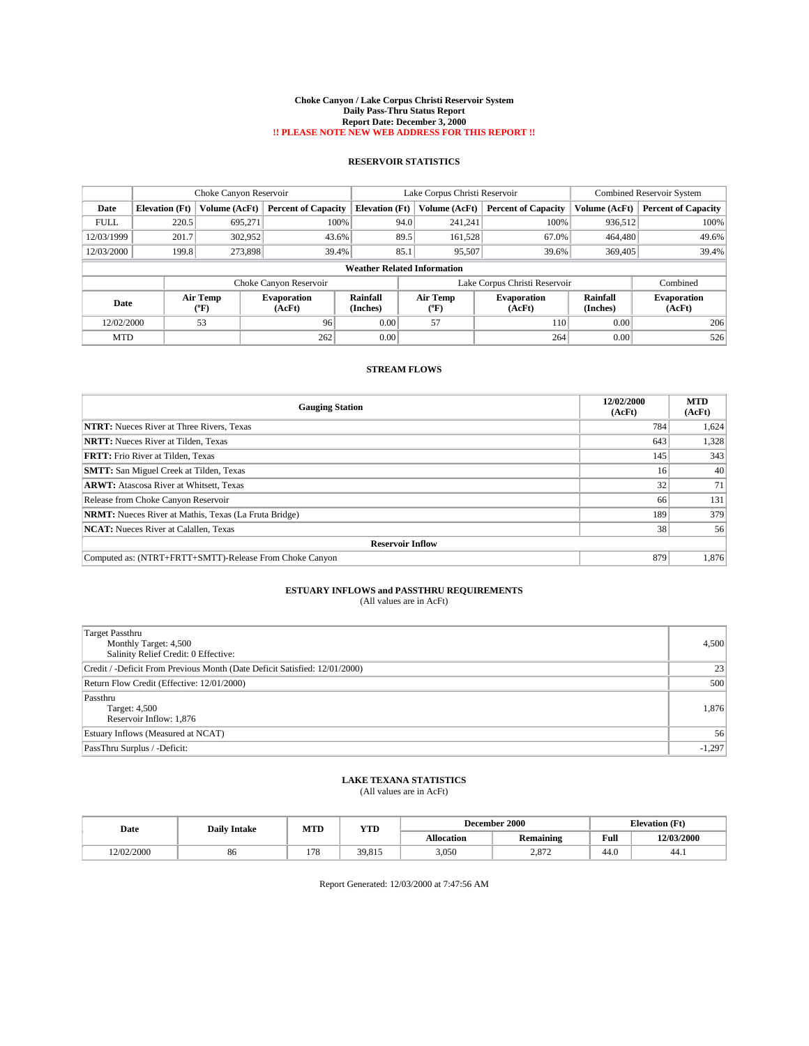#### **Choke Canyon / Lake Corpus Christi Reservoir System Daily Pass-Thru Status Report Report Date: December 3, 2000 !! PLEASE NOTE NEW WEB ADDRESS FOR THIS REPORT !!**

## **RESERVOIR STATISTICS**

|                                    | Choke Canyon Reservoir |                                    |                              |                             | Lake Corpus Christi Reservoir | Combined Reservoir System     |                      |                              |
|------------------------------------|------------------------|------------------------------------|------------------------------|-----------------------------|-------------------------------|-------------------------------|----------------------|------------------------------|
| Date                               | <b>Elevation</b> (Ft)  | Volume (AcFt)                      | <b>Percent of Capacity</b>   | <b>Elevation</b> (Ft)       | Volume (AcFt)                 | <b>Percent of Capacity</b>    | Volume (AcFt)        | <b>Percent of Capacity</b>   |
| <b>FULL</b>                        | 220.5                  | 695.271                            | 100%                         | 94.0                        | 241,241                       | 100%                          | 936,512              | 100%                         |
| 12/03/1999                         | 201.7                  | 302,952                            | 43.6%                        | 89.5                        | 161,528                       | 67.0%                         | 464,480              | 49.6%                        |
| 12/03/2000                         | 199.8                  | 273,898                            | 39.4%                        | 85.1                        | 95,507                        | 39.6%                         | 369,405              | 39.4%                        |
| <b>Weather Related Information</b> |                        |                                    |                              |                             |                               |                               |                      |                              |
|                                    |                        |                                    | Choke Canyon Reservoir       |                             |                               | Lake Corpus Christi Reservoir |                      | Combined                     |
| Date                               |                        | <b>Air Temp</b><br>${}^{\circ}$ F) | <b>Evaporation</b><br>(AcFt) | <b>Rainfall</b><br>(Inches) | Air Temp<br>(°F)              | <b>Evaporation</b><br>(AcFt)  | Rainfall<br>(Inches) | <b>Evaporation</b><br>(AcFt) |
| 12/02/2000                         |                        | 53                                 | 96                           | 0.00                        | 57                            | 110                           | 0.00                 | 206                          |
| <b>MTD</b>                         |                        |                                    | 262                          | 0.00                        |                               | 264                           | 0.00                 | 526                          |

## **STREAM FLOWS**

| <b>Gauging Station</b>                                       | 12/02/2000<br>(AcFt) | <b>MTD</b><br>(AcFt) |  |  |  |  |
|--------------------------------------------------------------|----------------------|----------------------|--|--|--|--|
| <b>NTRT:</b> Nueces River at Three Rivers, Texas             | 784                  | 1,624                |  |  |  |  |
| <b>NRTT:</b> Nueces River at Tilden, Texas                   | 643                  | 1,328                |  |  |  |  |
| <b>FRTT:</b> Frio River at Tilden, Texas                     | 145                  | 343                  |  |  |  |  |
| <b>SMTT:</b> San Miguel Creek at Tilden, Texas               | 16                   | 40                   |  |  |  |  |
| <b>ARWT:</b> Atascosa River at Whitsett, Texas               | 32 <sub>1</sub>      | 71                   |  |  |  |  |
| Release from Choke Canyon Reservoir                          | 66                   | 131                  |  |  |  |  |
| <b>NRMT:</b> Nueces River at Mathis, Texas (La Fruta Bridge) | 189                  | 379                  |  |  |  |  |
| <b>NCAT:</b> Nueces River at Calallen, Texas                 | 38                   | 56                   |  |  |  |  |
| <b>Reservoir Inflow</b>                                      |                      |                      |  |  |  |  |
| Computed as: (NTRT+FRTT+SMTT)-Release From Choke Canyon      | 879                  | 1.876                |  |  |  |  |

# **ESTUARY INFLOWS and PASSTHRU REQUIREMENTS**<br>(All values are in AcFt)

| <b>Target Passthru</b><br>Monthly Target: 4,500<br>Salinity Relief Credit: 0 Effective: | 4,500    |
|-----------------------------------------------------------------------------------------|----------|
| Credit / -Deficit From Previous Month (Date Deficit Satisfied: 12/01/2000)              | 23       |
| Return Flow Credit (Effective: 12/01/2000)                                              | 500      |
| Passthru<br>Target: 4,500<br>Reservoir Inflow: 1,876                                    | 1,876    |
| Estuary Inflows (Measured at NCAT)                                                      | 56       |
| PassThru Surplus / -Deficit:                                                            | $-1,297$ |

## **LAKE TEXANA STATISTICS**

(All values are in AcFt)

| Date       | <b>Daily Intake</b> |     | MTI<br><b>TIME</b><br>1 I.D |                   | <b>December 2000</b>        | <b>Elevation</b> (Ft) |            |
|------------|---------------------|-----|-----------------------------|-------------------|-----------------------------|-----------------------|------------|
|            |                     |     |                             | <b>Allocation</b> | <b>Remaining</b>            | Full                  | 12/03/2000 |
| 12/02/2000 | 86                  | 178 | 39.815                      | 3,050             | 107 <sup>o</sup><br>2.O I 2 | 44.0                  | 44.1       |

Report Generated: 12/03/2000 at 7:47:56 AM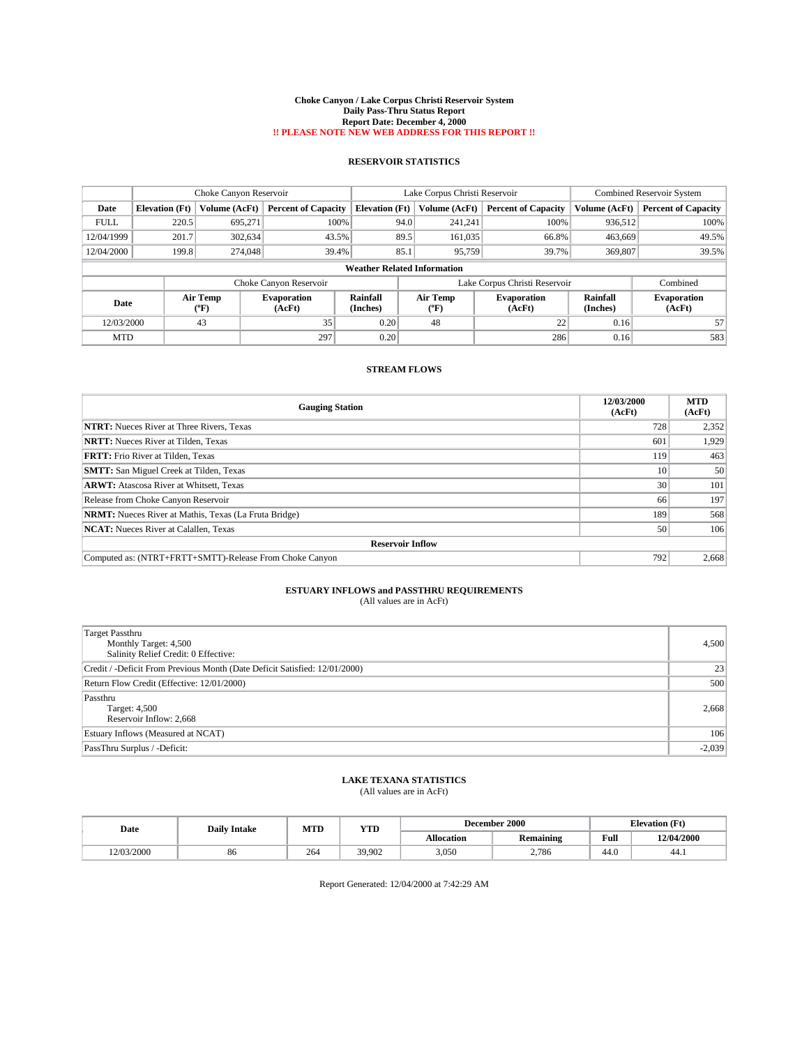#### **Choke Canyon / Lake Corpus Christi Reservoir System Daily Pass-Thru Status Report Report Date: December 4, 2000 !! PLEASE NOTE NEW WEB ADDRESS FOR THIS REPORT !!**

## **RESERVOIR STATISTICS**

|             | Choke Canyon Reservoir |                          |                              |                                    | Lake Corpus Christi Reservoir | <b>Combined Reservoir System</b> |                      |                              |
|-------------|------------------------|--------------------------|------------------------------|------------------------------------|-------------------------------|----------------------------------|----------------------|------------------------------|
| Date        | <b>Elevation</b> (Ft)  | <b>Volume (AcFt)</b>     | <b>Percent of Capacity</b>   | <b>Elevation</b> (Ft)              | Volume (AcFt)                 | <b>Percent of Capacity</b>       | Volume (AcFt)        | <b>Percent of Capacity</b>   |
| <b>FULL</b> | 220.5                  | 695.271                  | 100%                         | 94.0                               | 241.241                       | 100%                             | 936.512              | 100%                         |
| 12/04/1999  | 201.7                  | 302,634                  | 43.5%                        | 89.5                               | 161.035                       | 66.8%                            | 463,669              | 49.5%                        |
| 12/04/2000  | 199.8                  | 274,048                  | 39.4%                        | 85.1                               | 95.759                        | 39.7%                            | 369,807              | 39.5%                        |
|             |                        |                          |                              | <b>Weather Related Information</b> |                               |                                  |                      |                              |
|             |                        |                          | Choke Canyon Reservoir       |                                    |                               | Lake Corpus Christi Reservoir    |                      | Combined                     |
| Date        |                        | Air Temp<br>$\rm ^{6}F)$ | <b>Evaporation</b><br>(AcFt) | Rainfall<br>(Inches)               | Air Temp<br>′′F)              | <b>Evaporation</b><br>(AcFt)     | Rainfall<br>(Inches) | <b>Evaporation</b><br>(AcFt) |
| 12/03/2000  |                        | 43                       | 35                           | 0.20                               | 48                            | 22                               | 0.16                 | 57                           |
| <b>MTD</b>  |                        |                          | 297                          | 0.20                               |                               | 286                              | 0.16                 | 583                          |

## **STREAM FLOWS**

| <b>Gauging Station</b>                                       | 12/03/2000<br>(AcFt) | <b>MTD</b><br>(AcFt) |  |  |  |  |  |
|--------------------------------------------------------------|----------------------|----------------------|--|--|--|--|--|
| <b>NTRT:</b> Nueces River at Three Rivers, Texas             | 728                  | 2,352                |  |  |  |  |  |
| <b>NRTT:</b> Nueces River at Tilden, Texas                   | 601                  | 1.929                |  |  |  |  |  |
| <b>FRTT:</b> Frio River at Tilden, Texas                     | 119                  | 463                  |  |  |  |  |  |
| <b>SMTT:</b> San Miguel Creek at Tilden, Texas               | 10                   | 50                   |  |  |  |  |  |
| <b>ARWT:</b> Atascosa River at Whitsett, Texas               | 30                   | 101                  |  |  |  |  |  |
| Release from Choke Canyon Reservoir                          | 66                   | 197                  |  |  |  |  |  |
| <b>NRMT:</b> Nueces River at Mathis, Texas (La Fruta Bridge) | 189                  | 568                  |  |  |  |  |  |
| <b>NCAT:</b> Nueces River at Calallen, Texas                 | 50                   | 106                  |  |  |  |  |  |
| <b>Reservoir Inflow</b>                                      |                      |                      |  |  |  |  |  |
| Computed as: (NTRT+FRTT+SMTT)-Release From Choke Canyon      | 792                  | 2.668                |  |  |  |  |  |

### **ESTUARY INFLOWS and PASSTHRU REQUIREMENTS** (All values are in AcFt)

| (All values are in AcFt) |  |
|--------------------------|--|
|--------------------------|--|

| <b>Target Passthru</b><br>Monthly Target: 4,500<br>Salinity Relief Credit: 0 Effective: | 4,500    |
|-----------------------------------------------------------------------------------------|----------|
| Credit / -Deficit From Previous Month (Date Deficit Satisfied: 12/01/2000)              | 23       |
| Return Flow Credit (Effective: 12/01/2000)                                              | 500      |
| Passthru<br>Target: 4,500<br>Reservoir Inflow: 2,668                                    | 2,668    |
| Estuary Inflows (Measured at NCAT)                                                      | 106      |
| PassThru Surplus / -Deficit:                                                            | $-2,039$ |

## **LAKE TEXANA STATISTICS**

(All values are in AcFt)

| Date       | <b>Daily Intake</b> | MTI | <b>TIME</b><br>1 I.D |                   | <b>December 2000</b> | <b>Elevation</b> (Ft) |            |
|------------|---------------------|-----|----------------------|-------------------|----------------------|-----------------------|------------|
|            |                     |     |                      | <b>Allocation</b> | <b>Remaining</b>     | Full                  | 12/04/2000 |
| 12/03/2000 | 86                  | 264 | 39,902               | 3,050             | 2.786                | 44.0                  | 44.1       |

Report Generated: 12/04/2000 at 7:42:29 AM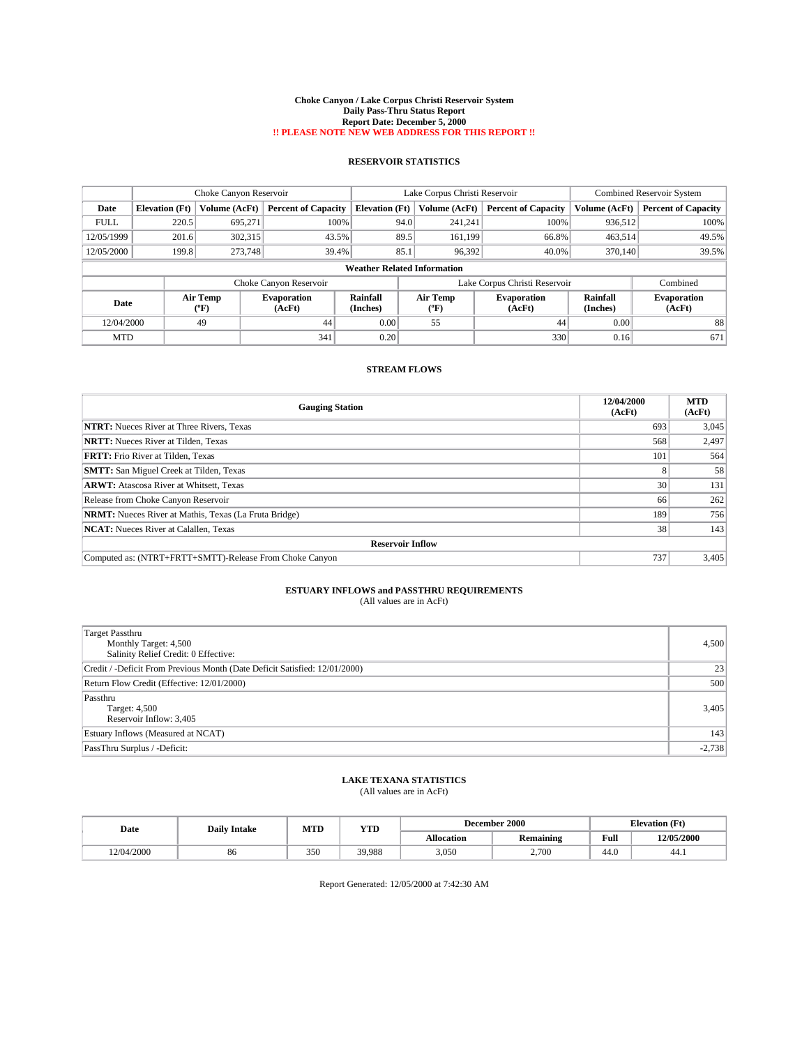#### **Choke Canyon / Lake Corpus Christi Reservoir System Daily Pass-Thru Status Report Report Date: December 5, 2000 !! PLEASE NOTE NEW WEB ADDRESS FOR THIS REPORT !!**

## **RESERVOIR STATISTICS**

|             | Choke Canyon Reservoir |                                    | Lake Corpus Christi Reservoir |                                    |      |                  | Combined Reservoir System     |                      |                              |
|-------------|------------------------|------------------------------------|-------------------------------|------------------------------------|------|------------------|-------------------------------|----------------------|------------------------------|
| Date        | <b>Elevation</b> (Ft)  | Volume (AcFt)                      | <b>Percent of Capacity</b>    | <b>Elevation</b> (Ft)              |      | Volume (AcFt)    | <b>Percent of Capacity</b>    | Volume (AcFt)        | <b>Percent of Capacity</b>   |
| <b>FULL</b> | 220.5                  | 695.271                            | 100%                          |                                    | 94.0 | 241,241          | 100%                          | 936,512              | 100%                         |
| 12/05/1999  | 201.6                  | 302,315                            | 43.5%                         |                                    | 89.5 | 161.199          | 66.8%                         | 463,514              | 49.5%                        |
| 12/05/2000  | 199.8                  | 273,748                            | 39.4%                         |                                    | 85.1 | 96,392           | 40.0%                         | 370.140              | 39.5%                        |
|             |                        |                                    |                               | <b>Weather Related Information</b> |      |                  |                               |                      |                              |
|             |                        |                                    | Choke Canyon Reservoir        |                                    |      |                  | Lake Corpus Christi Reservoir |                      | Combined                     |
| Date        |                        | <b>Air Temp</b><br>${}^{\circ}$ F) | <b>Evaporation</b><br>(AcFt)  | Rainfall<br>(Inches)               |      | Air Temp<br>(°F) | <b>Evaporation</b><br>(AcFt)  | Rainfall<br>(Inches) | <b>Evaporation</b><br>(AcFt) |
| 12/04/2000  |                        | 49                                 | 44                            | 0.00                               |      | 55               | 44                            | 0.00                 | 88                           |
| <b>MTD</b>  |                        |                                    | 341                           | 0.20                               |      |                  | 330                           | 0.16                 | 671                          |

## **STREAM FLOWS**

| <b>Gauging Station</b>                                       | 12/04/2000<br>(AcFt) | <b>MTD</b><br>(AcFt) |  |  |  |  |  |
|--------------------------------------------------------------|----------------------|----------------------|--|--|--|--|--|
| <b>NTRT:</b> Nueces River at Three Rivers, Texas             | 693                  | 3,045                |  |  |  |  |  |
| <b>NRTT:</b> Nueces River at Tilden, Texas                   | 568                  | 2,497                |  |  |  |  |  |
| <b>FRTT:</b> Frio River at Tilden, Texas                     | 101                  | 564                  |  |  |  |  |  |
| <b>SMTT:</b> San Miguel Creek at Tilden, Texas               | $\Delta$             | 58                   |  |  |  |  |  |
| <b>ARWT:</b> Atascosa River at Whitsett, Texas               | 30 <sup>1</sup>      | 131                  |  |  |  |  |  |
| Release from Choke Canyon Reservoir                          | 66                   | 262                  |  |  |  |  |  |
| <b>NRMT:</b> Nueces River at Mathis, Texas (La Fruta Bridge) | 189                  | 756                  |  |  |  |  |  |
| <b>NCAT:</b> Nueces River at Calallen, Texas                 | 38                   | 143                  |  |  |  |  |  |
| <b>Reservoir Inflow</b>                                      |                      |                      |  |  |  |  |  |
| Computed as: (NTRT+FRTT+SMTT)-Release From Choke Canyon      | 737                  | 3,405                |  |  |  |  |  |

### **ESTUARY INFLOWS and PASSTHRU REQUIREMENTS** (All values are in AcFt)

| (All values are in AcFt) |  |
|--------------------------|--|
|--------------------------|--|

| <b>Target Passthru</b><br>Monthly Target: 4,500<br>Salinity Relief Credit: 0 Effective: | 4,500    |
|-----------------------------------------------------------------------------------------|----------|
| Credit / -Deficit From Previous Month (Date Deficit Satisfied: 12/01/2000)              | 23       |
| Return Flow Credit (Effective: 12/01/2000)                                              | 500      |
| Passthru<br>Target: 4,500<br>Reservoir Inflow: 3,405                                    | 3,405    |
| Estuary Inflows (Measured at NCAT)                                                      | 143      |
| PassThru Surplus / -Deficit:                                                            | $-2,738$ |

## **LAKE TEXANA STATISTICS**

(All values are in AcFt)

| Date       | <b>Daily Intake</b> | MTI | <b>TIME</b><br>1 I.D |                   | <b>December 2000</b> | <b>Elevation</b> (Ft) |            |
|------------|---------------------|-----|----------------------|-------------------|----------------------|-----------------------|------------|
|            |                     |     |                      | <b>Allocation</b> | <b>Remaining</b>     | Full                  | 12/05/2000 |
| 12/04/2000 | 86                  | 350 | 39.988               | 3,050             | 2.700                | 44.0                  | 44.1       |

Report Generated: 12/05/2000 at 7:42:30 AM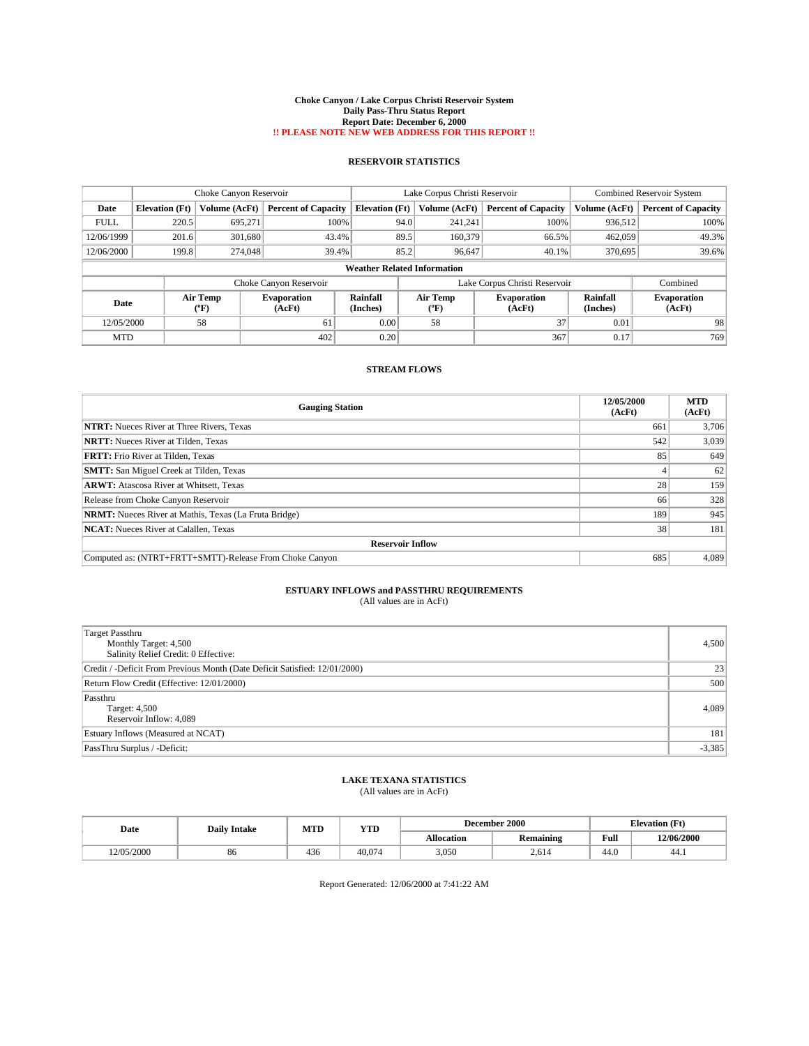#### **Choke Canyon / Lake Corpus Christi Reservoir System Daily Pass-Thru Status Report Report Date: December 6, 2000 !! PLEASE NOTE NEW WEB ADDRESS FOR THIS REPORT !!**

## **RESERVOIR STATISTICS**

|             | Choke Canyon Reservoir |                  |                              |                                    | Lake Corpus Christi Reservoir | <b>Combined Reservoir System</b> |                      |                              |
|-------------|------------------------|------------------|------------------------------|------------------------------------|-------------------------------|----------------------------------|----------------------|------------------------------|
| Date        | <b>Elevation</b> (Ft)  | Volume (AcFt)    | <b>Percent of Capacity</b>   | <b>Elevation (Ft)</b>              | Volume (AcFt)                 | <b>Percent of Capacity</b>       | Volume (AcFt)        | <b>Percent of Capacity</b>   |
| <b>FULL</b> | 220.5                  | 695.271          | 100%                         | 94.0                               | 241.241                       | 100%                             | 936,512              | 100%                         |
| 12/06/1999  | 201.6                  | 301,680          | 43.4%                        | 89.5                               | 160,379                       | 66.5%                            | 462,059              | 49.3%                        |
| 12/06/2000  | 199.8                  | 274,048          | 39.4%                        | 85.2                               | 96.647                        | 40.1%                            | 370,695              | 39.6%                        |
|             |                        |                  |                              | <b>Weather Related Information</b> |                               |                                  |                      |                              |
|             |                        |                  | Choke Canyon Reservoir       |                                    |                               | Lake Corpus Christi Reservoir    |                      | Combined                     |
| Date        |                        | Air Temp<br>(°F) | <b>Evaporation</b><br>(AcFt) | Rainfall<br>(Inches)               | Air Temp<br>"F                | <b>Evaporation</b><br>(AcFt)     | Rainfall<br>(Inches) | <b>Evaporation</b><br>(AcFt) |
| 12/05/2000  |                        | 58               | 61                           | 0.00                               | 58                            | 37                               | 0.01                 | 98                           |
| <b>MTD</b>  |                        |                  | 402                          | 0.20                               |                               | 367                              | 0.17                 | 769                          |

## **STREAM FLOWS**

| <b>Gauging Station</b>                                       | 12/05/2000<br>(AcFt) | <b>MTD</b><br>(AcFt) |  |  |  |  |  |
|--------------------------------------------------------------|----------------------|----------------------|--|--|--|--|--|
| <b>NTRT:</b> Nueces River at Three Rivers, Texas             | 661                  | 3,706                |  |  |  |  |  |
| <b>NRTT:</b> Nueces River at Tilden, Texas                   | 542                  | 3,039                |  |  |  |  |  |
| <b>FRTT:</b> Frio River at Tilden, Texas                     | 85                   | 649                  |  |  |  |  |  |
| <b>SMTT:</b> San Miguel Creek at Tilden, Texas               |                      | 62                   |  |  |  |  |  |
| <b>ARWT:</b> Atascosa River at Whitsett, Texas               | 28 <sup>1</sup>      | 159                  |  |  |  |  |  |
| Release from Choke Canyon Reservoir                          | 66                   | 328                  |  |  |  |  |  |
| <b>NRMT:</b> Nueces River at Mathis, Texas (La Fruta Bridge) | 189                  | 945                  |  |  |  |  |  |
| <b>NCAT:</b> Nueces River at Calallen, Texas                 | 38                   | 181                  |  |  |  |  |  |
| <b>Reservoir Inflow</b>                                      |                      |                      |  |  |  |  |  |
| Computed as: (NTRT+FRTT+SMTT)-Release From Choke Canyon      | 685                  | 4.089                |  |  |  |  |  |

# **ESTUARY INFLOWS and PASSTHRU REQUIREMENTS**<br>(All values are in AcFt)

| <b>Target Passthru</b><br>Monthly Target: 4,500<br>Salinity Relief Credit: 0 Effective: | 4,500    |
|-----------------------------------------------------------------------------------------|----------|
| Credit / -Deficit From Previous Month (Date Deficit Satisfied: 12/01/2000)              | 23       |
| Return Flow Credit (Effective: 12/01/2000)                                              | 500      |
| Passthru<br>Target: 4,500<br>Reservoir Inflow: 4,089                                    | 4,089    |
| Estuary Inflows (Measured at NCAT)                                                      | 181      |
| PassThru Surplus / -Deficit:                                                            | $-3,385$ |

## **LAKE TEXANA STATISTICS**

(All values are in AcFt)

|  | Date       | <b>Daily Intake</b> | MTI | <b>TIME</b><br>1 I.D |                  | <b>December 2000</b> |            | <b>Elevation</b> (Ft) |
|--|------------|---------------------|-----|----------------------|------------------|----------------------|------------|-----------------------|
|  |            |                     |     | <b>Allocation</b>    | <b>Remaining</b> | Full                 | 12/06/2000 |                       |
|  | 12/05/2000 | 86                  | 436 | 40,074               | 3,050            | 2.61                 | 44.0       | 44.1                  |

Report Generated: 12/06/2000 at 7:41:22 AM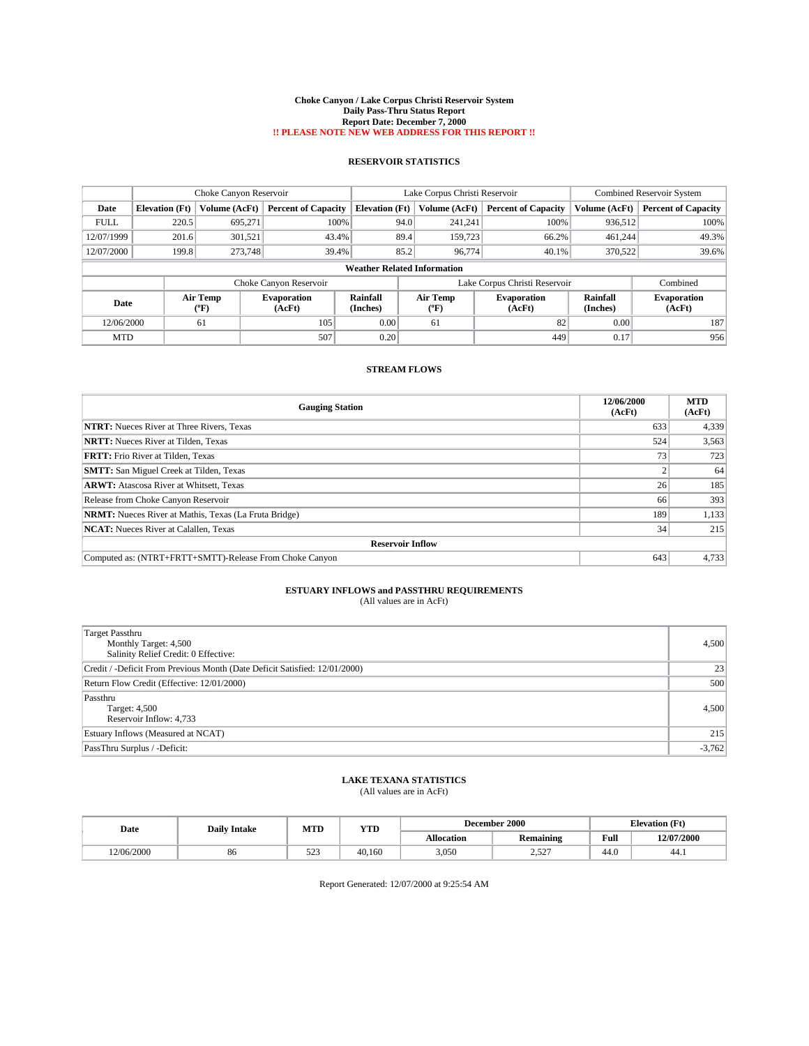#### **Choke Canyon / Lake Corpus Christi Reservoir System Daily Pass-Thru Status Report Report Date: December 7, 2000 !! PLEASE NOTE NEW WEB ADDRESS FOR THIS REPORT !!**

## **RESERVOIR STATISTICS**

| Choke Canyon Reservoir |                                    |                          |                              | Lake Corpus Christi Reservoir |                |                               | <b>Combined Reservoir System</b> |                              |  |
|------------------------|------------------------------------|--------------------------|------------------------------|-------------------------------|----------------|-------------------------------|----------------------------------|------------------------------|--|
| Date                   | <b>Elevation</b> (Ft)              | Volume (AcFt)            | <b>Percent of Capacity</b>   | <b>Elevation (Ft)</b>         | Volume (AcFt)  | <b>Percent of Capacity</b>    | Volume (AcFt)                    | <b>Percent of Capacity</b>   |  |
| <b>FULL</b>            | 220.5                              | 695.271                  | 100%                         | 94.0                          | 241.241        | 100%                          | 936,512                          | 100%                         |  |
| 12/07/1999             | 201.6                              | 301,521                  | 43.4%                        | 89.4                          | 159,723        | 66.2%                         | 461,244                          | 49.3%                        |  |
| 12/07/2000             | 199.8                              | 273,748                  | 39.4%                        | 85.2                          | 96.774         | 40.1%                         | 370,522                          | 39.6%                        |  |
|                        | <b>Weather Related Information</b> |                          |                              |                               |                |                               |                                  |                              |  |
|                        |                                    |                          | Choke Canyon Reservoir       |                               |                | Lake Corpus Christi Reservoir |                                  | Combined                     |  |
| Date                   |                                    | Air Temp<br>$\rm ^{o}F)$ | <b>Evaporation</b><br>(AcFt) | Rainfall<br>(Inches)          | Air Temp<br>"F | <b>Evaporation</b><br>(AcFt)  | Rainfall<br>(Inches)             | <b>Evaporation</b><br>(AcFt) |  |
| 12/06/2000             |                                    | 61                       | 105                          | 0.00                          | 61             | 82                            | 0.00                             | 187                          |  |
| <b>MTD</b>             |                                    |                          | 507                          | 0.20                          |                | 449                           | 0.17                             | 956                          |  |

## **STREAM FLOWS**

| <b>Gauging Station</b>                                       | 12/06/2000<br>(AcFt) | <b>MTD</b><br>(AcFt) |  |  |  |  |  |
|--------------------------------------------------------------|----------------------|----------------------|--|--|--|--|--|
| <b>NTRT:</b> Nueces River at Three Rivers, Texas             | 633                  | 4,339                |  |  |  |  |  |
| <b>NRTT:</b> Nueces River at Tilden, Texas                   | 524                  | 3,563                |  |  |  |  |  |
| <b>FRTT:</b> Frio River at Tilden, Texas                     | 73                   | 723                  |  |  |  |  |  |
| <b>SMTT:</b> San Miguel Creek at Tilden, Texas               |                      | 64                   |  |  |  |  |  |
| <b>ARWT:</b> Atascosa River at Whitsett, Texas               | 26                   | 185                  |  |  |  |  |  |
| Release from Choke Canyon Reservoir                          | 66                   | 393                  |  |  |  |  |  |
| <b>NRMT:</b> Nueces River at Mathis, Texas (La Fruta Bridge) | 189                  | 1,133                |  |  |  |  |  |
| <b>NCAT:</b> Nueces River at Calallen, Texas                 | 34                   | 215                  |  |  |  |  |  |
| <b>Reservoir Inflow</b>                                      |                      |                      |  |  |  |  |  |
| Computed as: (NTRT+FRTT+SMTT)-Release From Choke Canyon      | 643                  | 4,733                |  |  |  |  |  |

### **ESTUARY INFLOWS and PASSTHRU REQUIREMENTS** (All values are in AcFt)

| (All values are in AcFt) |  |
|--------------------------|--|
|--------------------------|--|

| <b>Target Passthru</b><br>Monthly Target: 4,500<br>Salinity Relief Credit: 0 Effective: | 4,500    |
|-----------------------------------------------------------------------------------------|----------|
| Credit / -Deficit From Previous Month (Date Deficit Satisfied: 12/01/2000)              | 23       |
| Return Flow Credit (Effective: 12/01/2000)                                              | 500      |
| Passthru<br>Target: 4,500<br>Reservoir Inflow: 4,733                                    | 4,500    |
| Estuary Inflows (Measured at NCAT)                                                      | 215      |
| PassThru Surplus / -Deficit:                                                            | $-3,762$ |

## **LAKE TEXANA STATISTICS**

(All values are in AcFt)

| Date       | <b>Daily Intake</b> | MTI<br><b>TIME</b><br>1 I D |        |                   | <b>December 2000</b> | <b>Elevation</b> (Ft) |            |
|------------|---------------------|-----------------------------|--------|-------------------|----------------------|-----------------------|------------|
|            |                     |                             |        | <b>Allocation</b> | <b>Remaining</b>     | Full                  | 12/07/2000 |
| 12/06/2000 | 86                  | $\sim$ $\sim$<br>د ے د      | 40.160 | 3,050             | $\epsilon$<br>_      | 44.0                  | 44.1       |

Report Generated: 12/07/2000 at 9:25:54 AM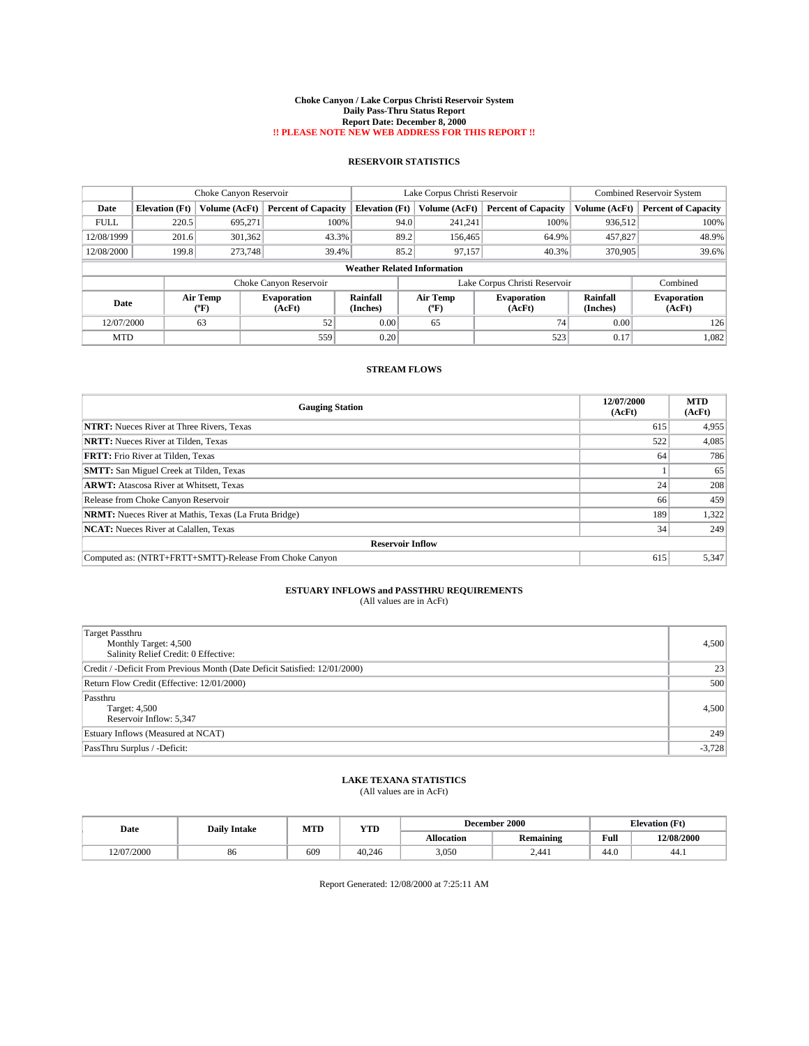#### **Choke Canyon / Lake Corpus Christi Reservoir System Daily Pass-Thru Status Report Report Date: December 8, 2000 !! PLEASE NOTE NEW WEB ADDRESS FOR THIS REPORT !!**

## **RESERVOIR STATISTICS**

| Choke Canyon Reservoir |                                    |                          |                              | Lake Corpus Christi Reservoir |                  |                               | <b>Combined Reservoir System</b> |                              |  |
|------------------------|------------------------------------|--------------------------|------------------------------|-------------------------------|------------------|-------------------------------|----------------------------------|------------------------------|--|
| Date                   | <b>Elevation</b> (Ft)              | Volume (AcFt)            | <b>Percent of Capacity</b>   | <b>Elevation (Ft)</b>         | Volume (AcFt)    | <b>Percent of Capacity</b>    | Volume (AcFt)                    | <b>Percent of Capacity</b>   |  |
| <b>FULL</b>            | 220.5                              | 695,271                  | 100%                         | 94.0                          | 241.241          | 100%                          | 936,512                          | 100%                         |  |
| 12/08/1999             | 201.6                              | 301,362                  | 43.3%                        | 89.2                          | 156,465          | 64.9%                         | 457,827                          | 48.9%                        |  |
| 12/08/2000             | 199.8                              | 273,748                  | 39.4%                        | 85.2                          | 97,157           | 40.3%                         | 370,905                          | 39.6%                        |  |
|                        | <b>Weather Related Information</b> |                          |                              |                               |                  |                               |                                  |                              |  |
|                        |                                    |                          | Choke Canyon Reservoir       |                               |                  | Lake Corpus Christi Reservoir |                                  | Combined                     |  |
| Date                   |                                    | Air Temp<br>$\rm ^{6}F)$ | <b>Evaporation</b><br>(AcFt) | Rainfall<br>(Inches)          | Air Temp<br>("F) | <b>Evaporation</b><br>(AcFt)  | Rainfall<br>(Inches)             | <b>Evaporation</b><br>(AcFt) |  |
| 12/07/2000             |                                    | 63                       | 52                           | 0.00                          | 65               | 74                            | 0.00                             | 126                          |  |
| <b>MTD</b>             |                                    |                          | 559                          | 0.20                          |                  | 523                           | 0.17                             | 1,082                        |  |

## **STREAM FLOWS**

| <b>Gauging Station</b>                                       | 12/07/2000<br>(AcFt) | <b>MTD</b><br>(AcFt) |  |  |  |  |
|--------------------------------------------------------------|----------------------|----------------------|--|--|--|--|
| <b>NTRT:</b> Nueces River at Three Rivers, Texas             | 615                  | 4,955                |  |  |  |  |
| <b>NRTT:</b> Nueces River at Tilden, Texas                   | 522                  | 4,085                |  |  |  |  |
| <b>FRTT:</b> Frio River at Tilden, Texas                     | 64                   | 786                  |  |  |  |  |
| <b>SMTT:</b> San Miguel Creek at Tilden, Texas               |                      | 65                   |  |  |  |  |
| <b>ARWT:</b> Atascosa River at Whitsett, Texas               | 24                   | 208                  |  |  |  |  |
| Release from Choke Canyon Reservoir                          | 66                   | 459                  |  |  |  |  |
| <b>NRMT:</b> Nueces River at Mathis, Texas (La Fruta Bridge) | 189                  | 1,322                |  |  |  |  |
| <b>NCAT:</b> Nueces River at Calallen, Texas                 | 34                   | 249                  |  |  |  |  |
| <b>Reservoir Inflow</b>                                      |                      |                      |  |  |  |  |
| Computed as: (NTRT+FRTT+SMTT)-Release From Choke Canyon      | 615                  | 5.347                |  |  |  |  |

### **ESTUARY INFLOWS and PASSTHRU REQUIREMENTS** (All values are in AcFt)

| (All values are in AcFt) |  |
|--------------------------|--|
|--------------------------|--|

| <b>Target Passthru</b><br>Monthly Target: 4,500<br>Salinity Relief Credit: 0 Effective: | 4,500    |
|-----------------------------------------------------------------------------------------|----------|
| Credit / -Deficit From Previous Month (Date Deficit Satisfied: 12/01/2000)              | 23       |
| Return Flow Credit (Effective: 12/01/2000)                                              | 500      |
| Passthru<br>Target: 4,500<br>Reservoir Inflow: 5,347                                    | 4,500    |
| Estuary Inflows (Measured at NCAT)                                                      | 249      |
| PassThru Surplus / -Deficit:                                                            | $-3,728$ |

## **LAKE TEXANA STATISTICS**

(All values are in AcFt)

| Date       | MTI<br><b>TIME</b><br><b>Daily Intake</b> |     | $-11$  |            | <b>December 2000</b> | <b>Elevation</b> (Ft) |            |
|------------|-------------------------------------------|-----|--------|------------|----------------------|-----------------------|------------|
|            |                                           |     |        | Allocation | <b>Remaining</b>     | Full                  | 12/08/2000 |
| 12/07/2000 | 86                                        | 609 | 40.246 | 3,050      | 2.441                | 44.0                  | 44.1       |

Report Generated: 12/08/2000 at 7:25:11 AM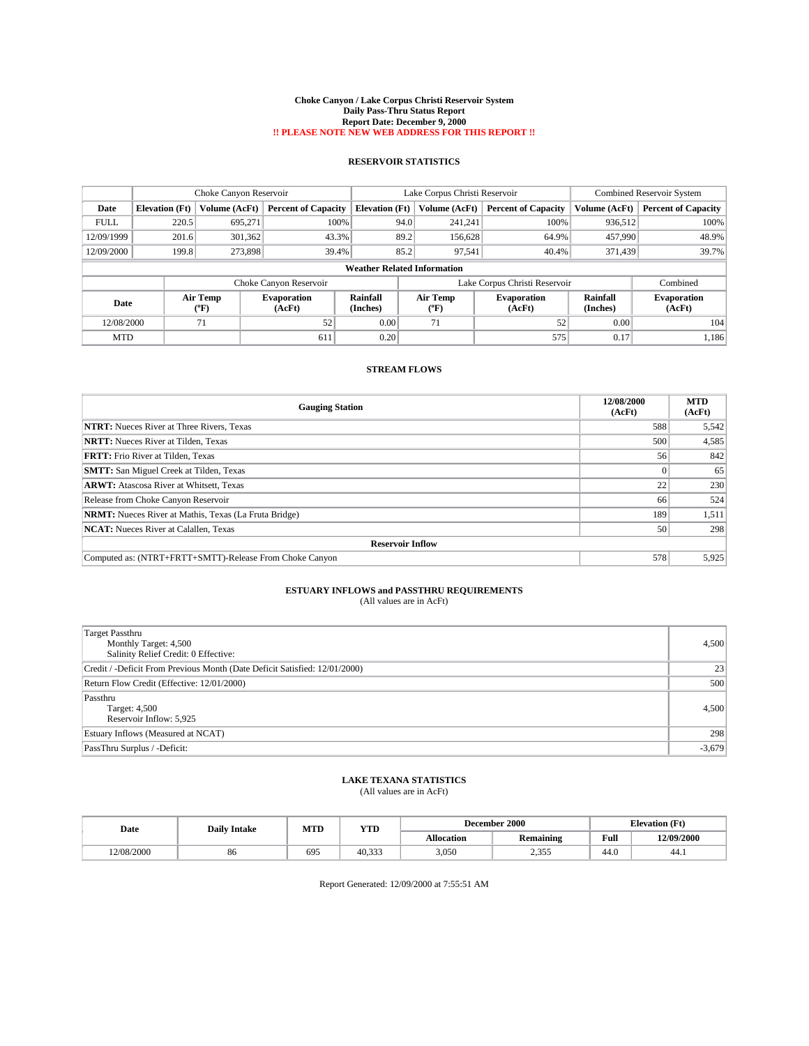#### **Choke Canyon / Lake Corpus Christi Reservoir System Daily Pass-Thru Status Report Report Date: December 9, 2000 !! PLEASE NOTE NEW WEB ADDRESS FOR THIS REPORT !!**

## **RESERVOIR STATISTICS**

|             | Choke Canyon Reservoir |                  |                              |                                    | Lake Corpus Christi Reservoir |                               |                             | <b>Combined Reservoir System</b> |  |
|-------------|------------------------|------------------|------------------------------|------------------------------------|-------------------------------|-------------------------------|-----------------------------|----------------------------------|--|
| Date        | <b>Elevation</b> (Ft)  | Volume (AcFt)    | <b>Percent of Capacity</b>   | <b>Elevation (Ft)</b>              | Volume (AcFt)                 | <b>Percent of Capacity</b>    | Volume (AcFt)               | <b>Percent of Capacity</b>       |  |
| <b>FULL</b> | 220.5                  | 695.271          | 100%                         | 94.0                               | 241,241                       | 100%                          | 936,512                     | 100%                             |  |
| 12/09/1999  | 201.6                  | 301,362          | 43.3%                        | 89.2                               | 156,628                       | 64.9%                         | 457,990                     | 48.9%                            |  |
| 12/09/2000  | 199.8                  | 273,898          | 39.4%                        | 85.2                               | 97,541                        | 40.4%                         | 371,439                     | 39.7%                            |  |
|             |                        |                  |                              | <b>Weather Related Information</b> |                               |                               |                             |                                  |  |
|             |                        |                  | Choke Canyon Reservoir       |                                    |                               | Lake Corpus Christi Reservoir |                             | Combined                         |  |
| Date        |                        | Air Temp<br>(°F) | <b>Evaporation</b><br>(AcFt) | Rainfall<br>(Inches)               | Air Temp<br>("F)              | <b>Evaporation</b><br>(AcFt)  | <b>Rainfall</b><br>(Inches) | <b>Evaporation</b><br>(AcFt)     |  |
| 12/08/2000  |                        | 71               | 52                           | 0.00                               | 71                            | 52                            | 0.00                        | 104                              |  |
| <b>MTD</b>  |                        |                  | 611                          | 0.20                               |                               | 575                           | 0.17                        | 1,186                            |  |

## **STREAM FLOWS**

| <b>Gauging Station</b>                                       | 12/08/2000<br>(AcFt) | <b>MTD</b><br>(AcFt) |  |  |  |  |
|--------------------------------------------------------------|----------------------|----------------------|--|--|--|--|
| <b>NTRT:</b> Nueces River at Three Rivers, Texas             | 588                  | 5,542                |  |  |  |  |
| <b>NRTT:</b> Nueces River at Tilden, Texas                   | 500                  | 4,585                |  |  |  |  |
| <b>FRTT:</b> Frio River at Tilden, Texas                     | 56                   | 842                  |  |  |  |  |
| <b>SMTT:</b> San Miguel Creek at Tilden, Texas               |                      | 65                   |  |  |  |  |
| <b>ARWT:</b> Atascosa River at Whitsett, Texas               | 22                   | 230                  |  |  |  |  |
| Release from Choke Canyon Reservoir                          | 66                   | 524                  |  |  |  |  |
| <b>NRMT:</b> Nueces River at Mathis, Texas (La Fruta Bridge) | 189                  | 1,511                |  |  |  |  |
| <b>NCAT:</b> Nueces River at Calallen, Texas                 | 50                   | 298                  |  |  |  |  |
| <b>Reservoir Inflow</b>                                      |                      |                      |  |  |  |  |
| Computed as: (NTRT+FRTT+SMTT)-Release From Choke Canyon      | 578                  | 5,925                |  |  |  |  |

### **ESTUARY INFLOWS and PASSTHRU REQUIREMENTS** (All values are in AcFt)

| (All values are in AcFt) |  |
|--------------------------|--|
|--------------------------|--|

| <b>Target Passthru</b><br>Monthly Target: 4,500<br>Salinity Relief Credit: 0 Effective: | 4,500    |
|-----------------------------------------------------------------------------------------|----------|
| Credit / -Deficit From Previous Month (Date Deficit Satisfied: 12/01/2000)              | 23       |
| Return Flow Credit (Effective: 12/01/2000)                                              | 500      |
| Passthru<br>Target: 4,500<br>Reservoir Inflow: 5,925                                    | 4,500    |
| Estuary Inflows (Measured at NCAT)                                                      | 298      |
| PassThru Surplus / -Deficit:                                                            | $-3,679$ |

## **LAKE TEXANA STATISTICS**

(All values are in AcFt)

| Date       | <b>Daily Intake</b> | MTD | YTD   |            | December 2000    | <b>Elevation</b> (Ft) |            |
|------------|---------------------|-----|-------|------------|------------------|-----------------------|------------|
|            |                     |     |       | Allocation | <b>Remaining</b> | Full                  | 12/09/2000 |
| 12/08/2000 | 86                  | 695 | 40.33 | 3,050      | 255<br>۔ بی ب    | 44.0                  | 44.1       |

Report Generated: 12/09/2000 at 7:55:51 AM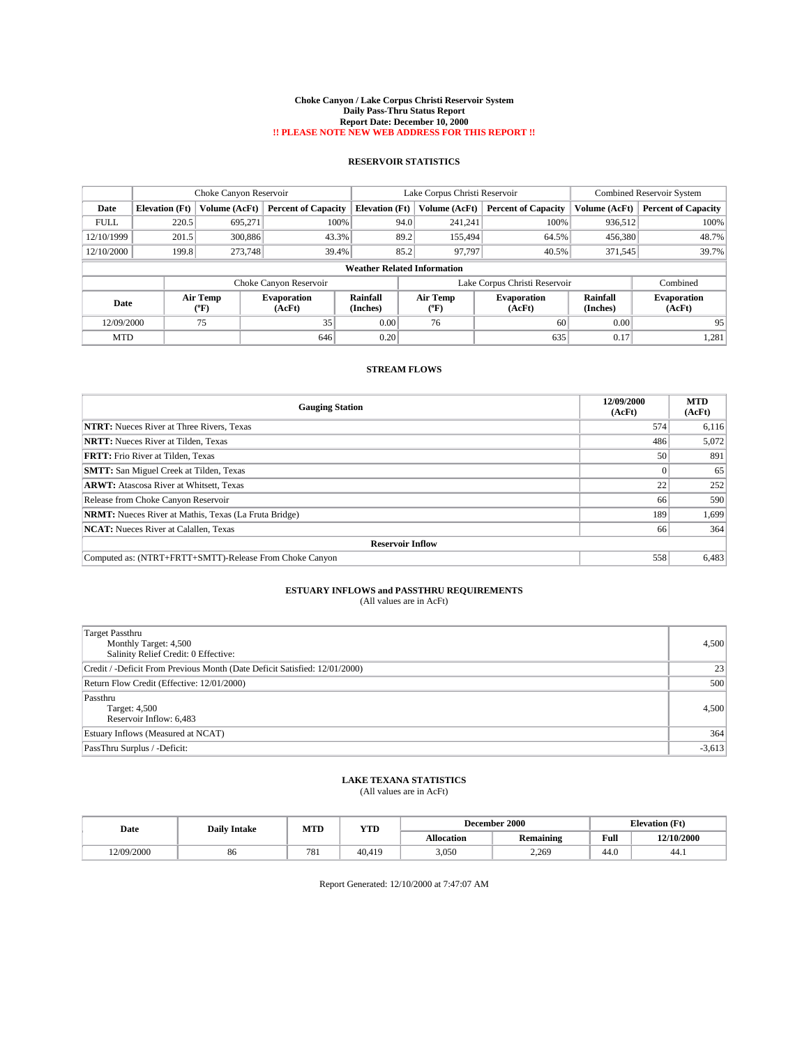#### **Choke Canyon / Lake Corpus Christi Reservoir System Daily Pass-Thru Status Report Report Date: December 10, 2000 !! PLEASE NOTE NEW WEB ADDRESS FOR THIS REPORT !!**

## **RESERVOIR STATISTICS**

|             | Choke Canyon Reservoir |                  |                              |                                    | Lake Corpus Christi Reservoir |         |                               | <b>Combined Reservoir System</b> |                              |
|-------------|------------------------|------------------|------------------------------|------------------------------------|-------------------------------|---------|-------------------------------|----------------------------------|------------------------------|
| Date        | <b>Elevation</b> (Ft)  | Volume (AcFt)    | <b>Percent of Capacity</b>   | <b>Elevation (Ft)</b>              | Volume (AcFt)                 |         | <b>Percent of Capacity</b>    | Volume (AcFt)                    | <b>Percent of Capacity</b>   |
| <b>FULL</b> | 220.5                  | 695.271          | 100%                         |                                    | 94.0                          | 241.241 | 100%                          | 936.512                          | 100%                         |
| 12/10/1999  | 201.5                  | 300,886          | 43.3%                        |                                    | 89.2                          | 155,494 | 64.5%                         | 456,380                          | 48.7%                        |
| 12/10/2000  | 199.8                  | 273,748          | 39.4%                        |                                    | 85.2                          | 97.797  | 40.5%                         | 371.545                          | 39.7%                        |
|             |                        |                  |                              | <b>Weather Related Information</b> |                               |         |                               |                                  |                              |
|             |                        |                  | Choke Canyon Reservoir       |                                    |                               |         | Lake Corpus Christi Reservoir |                                  | Combined                     |
| Date        |                        | Air Temp<br>(°F) | <b>Evaporation</b><br>(AcFt) | Rainfall<br>(Inches)               | Air Temp<br>"F                |         | <b>Evaporation</b><br>(AcFt)  | Rainfall<br>(Inches)             | <b>Evaporation</b><br>(AcFt) |
| 12/09/2000  |                        | 75               | 35                           | 0.00                               | 76                            |         | 60                            | 0.00                             | 95                           |
| <b>MTD</b>  |                        |                  | 646                          | 0.20                               |                               |         | 635                           | 0.17                             | 1,281                        |

## **STREAM FLOWS**

| <b>Gauging Station</b>                                       | 12/09/2000<br>(AcFt) | <b>MTD</b><br>(AcFt) |  |  |  |  |
|--------------------------------------------------------------|----------------------|----------------------|--|--|--|--|
| <b>NTRT:</b> Nueces River at Three Rivers, Texas             | 574                  | 6,116                |  |  |  |  |
| <b>NRTT:</b> Nueces River at Tilden, Texas                   | 486                  | 5,072                |  |  |  |  |
| <b>FRTT:</b> Frio River at Tilden, Texas                     | 50                   | 891                  |  |  |  |  |
| <b>SMTT:</b> San Miguel Creek at Tilden, Texas               |                      | 65                   |  |  |  |  |
| <b>ARWT:</b> Atascosa River at Whitsett, Texas               | 22                   | 252                  |  |  |  |  |
| Release from Choke Canyon Reservoir                          | 66                   | 590                  |  |  |  |  |
| <b>NRMT:</b> Nueces River at Mathis, Texas (La Fruta Bridge) | 189                  | 1,699                |  |  |  |  |
| <b>NCAT:</b> Nueces River at Calallen, Texas                 | 66                   | 364                  |  |  |  |  |
| <b>Reservoir Inflow</b>                                      |                      |                      |  |  |  |  |
| Computed as: (NTRT+FRTT+SMTT)-Release From Choke Canyon      | 558                  | 6,483                |  |  |  |  |

### **ESTUARY INFLOWS and PASSTHRU REQUIREMENTS** (All values are in AcFt)

| (All values are in AcFt) |  |
|--------------------------|--|
|--------------------------|--|

| <b>Target Passthru</b><br>Monthly Target: 4,500<br>Salinity Relief Credit: 0 Effective: | 4,500    |
|-----------------------------------------------------------------------------------------|----------|
| Credit / -Deficit From Previous Month (Date Deficit Satisfied: 12/01/2000)              | 23       |
| Return Flow Credit (Effective: 12/01/2000)                                              | 500      |
| Passthru<br>Target: 4,500<br>Reservoir Inflow: 6,483                                    | 4,500    |
| Estuary Inflows (Measured at NCAT)                                                      | 364      |
| PassThru Surplus / -Deficit:                                                            | $-3,613$ |

## **LAKE TEXANA STATISTICS**

(All values are in AcFt)

| Date       | <b>Daily Intake</b> | MTI | <b>TIME</b><br>1 I.D |                   | <b>December 2000</b> | <b>Elevation</b> (Ft) |            |
|------------|---------------------|-----|----------------------|-------------------|----------------------|-----------------------|------------|
|            |                     |     |                      | <b>Allocation</b> | <b>Remaining</b>     | Full                  | 12/10/2000 |
| 12/09/2000 | 86                  | 781 | 40.419               | 3,050             | 2.269                | 44.0                  | 44.1       |

Report Generated: 12/10/2000 at 7:47:07 AM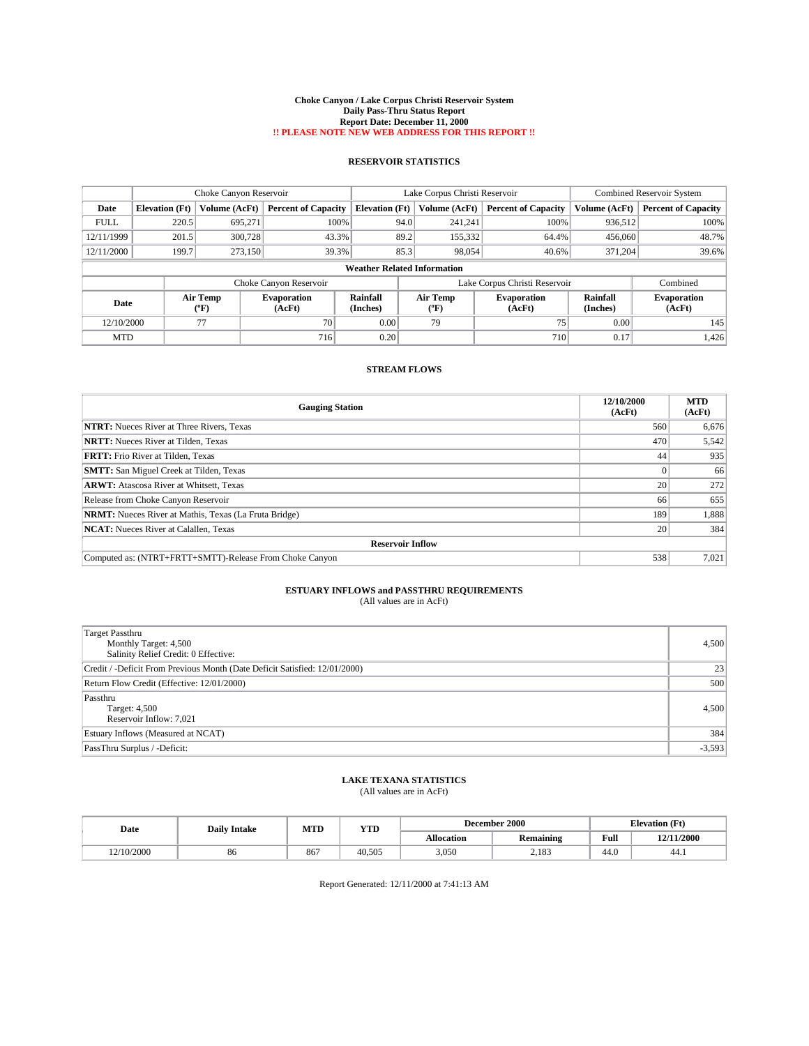#### **Choke Canyon / Lake Corpus Christi Reservoir System Daily Pass-Thru Status Report Report Date: December 11, 2000 !! PLEASE NOTE NEW WEB ADDRESS FOR THIS REPORT !!**

## **RESERVOIR STATISTICS**

|             |                       | Choke Canyon Reservoir      |                              |                                    | Lake Corpus Christi Reservoir |                               |                             | <b>Combined Reservoir System</b> |  |
|-------------|-----------------------|-----------------------------|------------------------------|------------------------------------|-------------------------------|-------------------------------|-----------------------------|----------------------------------|--|
| Date        | <b>Elevation</b> (Ft) | Volume (AcFt)               | <b>Percent of Capacity</b>   | <b>Elevation</b> (Ft)              | Volume (AcFt)                 | <b>Percent of Capacity</b>    | Volume (AcFt)               | <b>Percent of Capacity</b>       |  |
| <b>FULL</b> | 220.5                 | 695.271                     | 100%                         | 94.0                               | 241,241                       | 100%                          | 936,512                     | 100%                             |  |
| 12/11/1999  | 201.5                 | 300.728                     | 43.3%                        | 89.2                               | 155,332                       | 64.4%                         | 456,060                     | 48.7%                            |  |
| 12/11/2000  | 199.7                 | 273,150                     | 39.3%                        | 85.3                               | 98,054                        | 40.6%                         | 371,204                     | 39.6%                            |  |
|             |                       |                             |                              | <b>Weather Related Information</b> |                               |                               |                             |                                  |  |
|             |                       |                             | Choke Canyon Reservoir       |                                    |                               | Lake Corpus Christi Reservoir |                             | Combined                         |  |
| Date        |                       | Air Temp<br>${}^{\circ}$ F) | <b>Evaporation</b><br>(AcFt) | <b>Rainfall</b><br>(Inches)        | Air Temp<br>$(^oF)$           | <b>Evaporation</b><br>(AcFt)  | <b>Rainfall</b><br>(Inches) | <b>Evaporation</b><br>(AcFt)     |  |
| 12/10/2000  |                       | 77                          | 70                           | 0.00                               | 79                            | 75                            | 0.00                        | 145                              |  |
| <b>MTD</b>  |                       |                             | 716                          | 0.20                               |                               | 710                           | 0.17                        | 1,426                            |  |

## **STREAM FLOWS**

| <b>Gauging Station</b>                                       | 12/10/2000<br>(AcFt) | <b>MTD</b><br>(AcFt) |  |  |  |  |
|--------------------------------------------------------------|----------------------|----------------------|--|--|--|--|
| <b>NTRT:</b> Nueces River at Three Rivers, Texas             | 560                  | 6,676                |  |  |  |  |
| <b>NRTT:</b> Nueces River at Tilden, Texas                   | 470                  | 5,542                |  |  |  |  |
| <b>FRTT:</b> Frio River at Tilden, Texas                     | 44                   | 935                  |  |  |  |  |
| <b>SMTT:</b> San Miguel Creek at Tilden, Texas               |                      | 66                   |  |  |  |  |
| <b>ARWT:</b> Atascosa River at Whitsett, Texas               | 20 <sub>1</sub>      | 272                  |  |  |  |  |
| Release from Choke Canyon Reservoir                          | 66                   | 655                  |  |  |  |  |
| <b>NRMT:</b> Nueces River at Mathis, Texas (La Fruta Bridge) | 189                  | 1,888                |  |  |  |  |
| <b>NCAT:</b> Nueces River at Calallen, Texas                 | 20                   | 384                  |  |  |  |  |
| <b>Reservoir Inflow</b>                                      |                      |                      |  |  |  |  |
| Computed as: (NTRT+FRTT+SMTT)-Release From Choke Canyon      | 538                  | 7.021                |  |  |  |  |

### **ESTUARY INFLOWS and PASSTHRU REQUIREMENTS** (All values are in AcFt)

| (All values are in AcFt) |  |
|--------------------------|--|
|--------------------------|--|

| <b>Target Passthru</b><br>Monthly Target: 4,500<br>Salinity Relief Credit: 0 Effective: | 4,500    |
|-----------------------------------------------------------------------------------------|----------|
| Credit / -Deficit From Previous Month (Date Deficit Satisfied: 12/01/2000)              | 23       |
| Return Flow Credit (Effective: 12/01/2000)                                              | 500      |
| Passthru<br>Target: 4,500<br>Reservoir Inflow: 7,021                                    | 4,500    |
| Estuary Inflows (Measured at NCAT)                                                      | 384      |
| PassThru Surplus / -Deficit:                                                            | $-3,593$ |

## **LAKE TEXANA STATISTICS**

(All values are in AcFt)

| Date       | <b>Daily Intake</b> | MTD | YTD    | December 2000 |                  |      | <b>Elevation</b> (Ft) |
|------------|---------------------|-----|--------|---------------|------------------|------|-----------------------|
|            |                     |     |        | Allocation    | <b>Remaining</b> | Full | 12/11/2000            |
| 12/10/2000 | 86                  | 86  | 40.505 | 3,050         | 2,183            | 44.0 | 44.1                  |

Report Generated: 12/11/2000 at 7:41:13 AM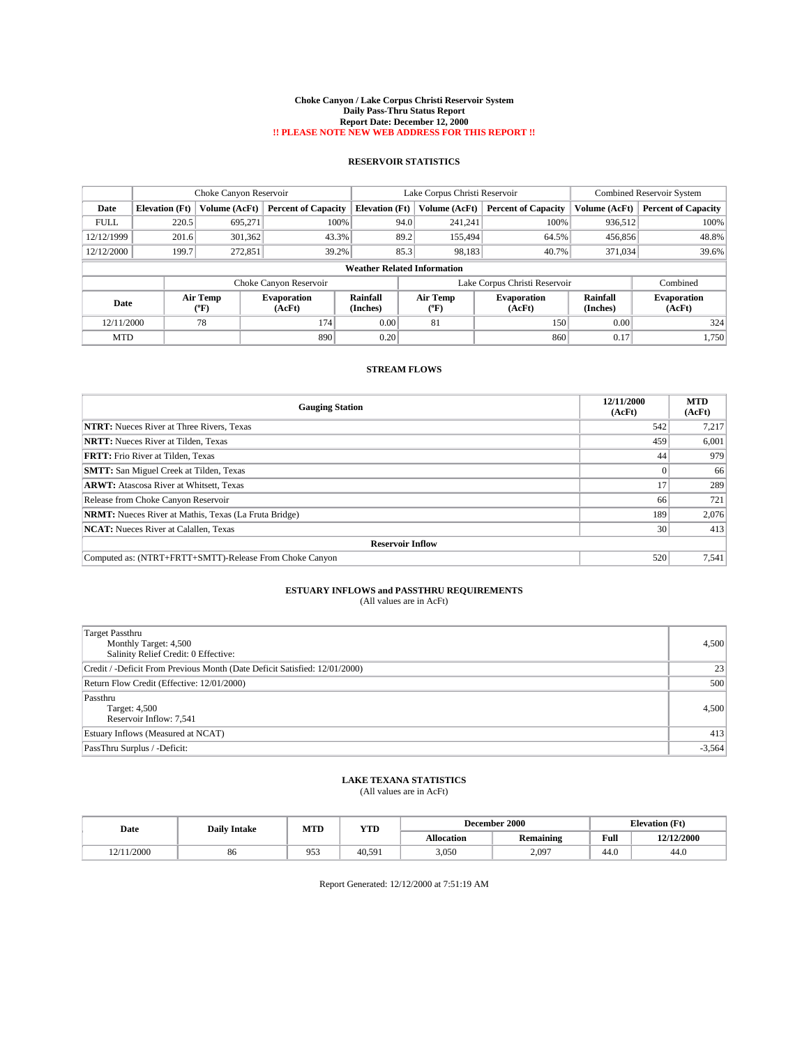#### **Choke Canyon / Lake Corpus Christi Reservoir System Daily Pass-Thru Status Report Report Date: December 12, 2000 !! PLEASE NOTE NEW WEB ADDRESS FOR THIS REPORT !!**

## **RESERVOIR STATISTICS**

|             | Choke Canyon Reservoir |                  |                              |                       | Lake Corpus Christi Reservoir      |                               |                      | <b>Combined Reservoir System</b> |  |
|-------------|------------------------|------------------|------------------------------|-----------------------|------------------------------------|-------------------------------|----------------------|----------------------------------|--|
| Date        | <b>Elevation</b> (Ft)  | Volume (AcFt)    | <b>Percent of Capacity</b>   | <b>Elevation (Ft)</b> | Volume (AcFt)                      | <b>Percent of Capacity</b>    | Volume (AcFt)        | <b>Percent of Capacity</b>       |  |
| <b>FULL</b> | 220.5                  | 695.271          | 100%                         |                       | 94.0<br>241.241                    | 100%                          | 936,512              | 100%                             |  |
| 12/12/1999  | 201.6                  | 301,362          | 43.3%                        |                       | 89.2<br>155,494                    | 64.5%                         | 456,856              | 48.8%                            |  |
| 12/12/2000  | 199.7                  | 272,851          | 39.2%                        |                       | 85.3<br>98,183                     | 40.7%                         | 371.034              | 39.6%                            |  |
|             |                        |                  |                              |                       | <b>Weather Related Information</b> |                               |                      |                                  |  |
|             |                        |                  | Choke Canyon Reservoir       |                       |                                    | Lake Corpus Christi Reservoir |                      | Combined                         |  |
| Date        |                        | Air Temp<br>(°F) | <b>Evaporation</b><br>(AcFt) | Rainfall<br>(Inches)  | Air Temp<br>"F                     | <b>Evaporation</b><br>(AcFt)  | Rainfall<br>(Inches) | <b>Evaporation</b><br>(AcFt)     |  |
| 12/11/2000  |                        | 78               | 174                          | 0.00                  | 81                                 | 150                           | 0.00                 | 324                              |  |
| <b>MTD</b>  |                        |                  | 890                          | 0.20                  |                                    | 860                           | 0.17                 | 1.750                            |  |

## **STREAM FLOWS**

| <b>Gauging Station</b>                                       | 12/11/2000<br>(AcFt) | <b>MTD</b><br>(AcFt) |
|--------------------------------------------------------------|----------------------|----------------------|
| <b>NTRT:</b> Nueces River at Three Rivers, Texas             | 542                  | 7,217                |
| <b>NRTT:</b> Nueces River at Tilden, Texas                   | 459                  | 6,001                |
| <b>FRTT:</b> Frio River at Tilden, Texas                     | 44                   | 979                  |
| <b>SMTT:</b> San Miguel Creek at Tilden, Texas               |                      | 66                   |
| <b>ARWT:</b> Atascosa River at Whitsett, Texas               |                      | 289                  |
| Release from Choke Canyon Reservoir                          | 66                   | 721                  |
| <b>NRMT:</b> Nueces River at Mathis, Texas (La Fruta Bridge) | 189                  | 2,076                |
| <b>NCAT:</b> Nueces River at Calallen, Texas                 | 30                   | 413                  |
| <b>Reservoir Inflow</b>                                      |                      |                      |
| Computed as: (NTRT+FRTT+SMTT)-Release From Choke Canyon      | 520                  | 7,541                |

### **ESTUARY INFLOWS and PASSTHRU REQUIREMENTS** (All values are in AcFt)

| (All values are in AcFt) |  |  |  |  |
|--------------------------|--|--|--|--|
|--------------------------|--|--|--|--|

| Target Passthru<br>Monthly Target: 4,500<br>Salinity Relief Credit: 0 Effective: | 4,500    |
|----------------------------------------------------------------------------------|----------|
| Credit / -Deficit From Previous Month (Date Deficit Satisfied: 12/01/2000)       | 23       |
| Return Flow Credit (Effective: 12/01/2000)                                       | 500      |
| Passthru<br>Target: 4,500<br>Reservoir Inflow: 7,541                             | 4,500    |
| Estuary Inflows (Measured at NCAT)                                               | 413      |
| PassThru Surplus / -Deficit:                                                     | $-3,564$ |

## **LAKE TEXANA STATISTICS**

(All values are in AcFt)

| Date       | <b>Daily Intake</b> | MTI        | <b>TIME</b><br>1 I D | <b>December 2000</b> |                  |      | <b>Elevation</b> (Ft) |
|------------|---------------------|------------|----------------------|----------------------|------------------|------|-----------------------|
|            |                     |            |                      | Allocation           | <b>Remaining</b> | Full | 12/12/2000            |
| 12/11/2000 | 86                  | 053<br>ر ر | 40.591               | 3,050                | 2.097            | 44.0 | 44.0                  |

Report Generated: 12/12/2000 at 7:51:19 AM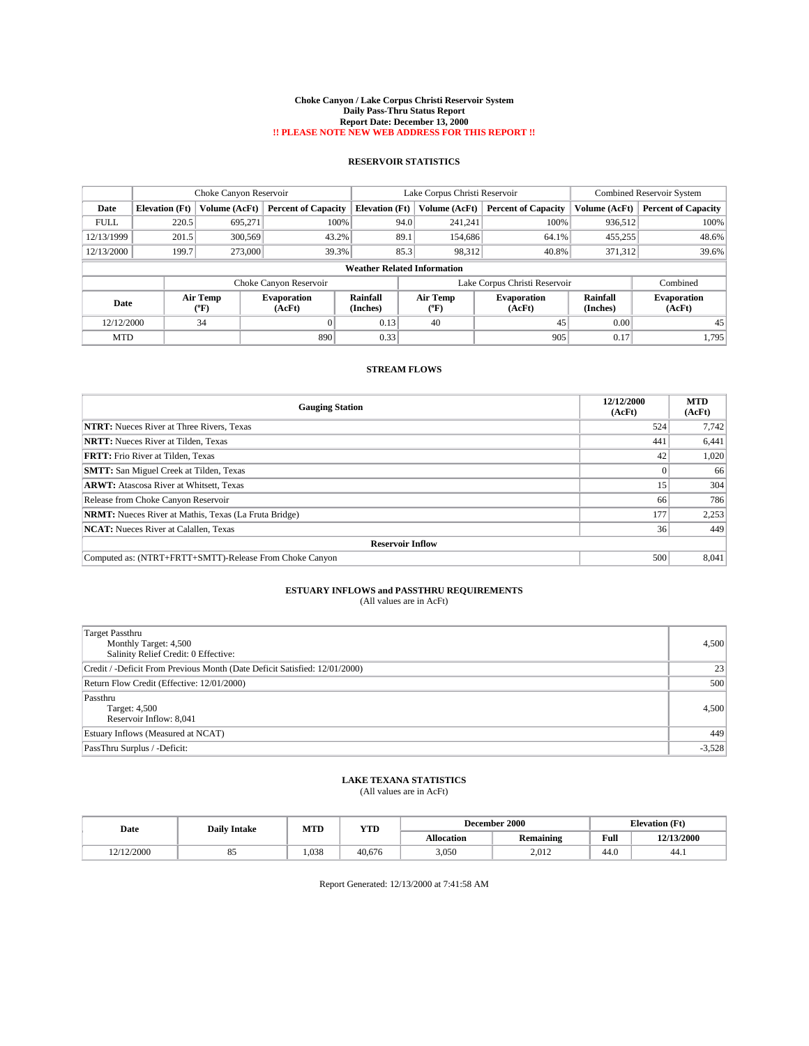#### **Choke Canyon / Lake Corpus Christi Reservoir System Daily Pass-Thru Status Report Report Date: December 13, 2000 !! PLEASE NOTE NEW WEB ADDRESS FOR THIS REPORT !!**

## **RESERVOIR STATISTICS**

|             | Choke Canyon Reservoir |                  |                              |                                    | Lake Corpus Christi Reservoir |                               |                      | <b>Combined Reservoir System</b> |
|-------------|------------------------|------------------|------------------------------|------------------------------------|-------------------------------|-------------------------------|----------------------|----------------------------------|
| Date        | <b>Elevation</b> (Ft)  | Volume (AcFt)    | <b>Percent of Capacity</b>   | <b>Elevation (Ft)</b>              | Volume (AcFt)                 | <b>Percent of Capacity</b>    | Volume (AcFt)        | <b>Percent of Capacity</b>       |
| <b>FULL</b> | 220.5                  | 695.271          | 100%                         | 94.0                               | 241.241                       | 100%                          | 936,512              | 100%                             |
| 12/13/1999  | 201.5                  | 300,569          | 43.2%                        | 89.1                               | 154,686                       | 64.1%                         | 455,255              | 48.6%                            |
| 12/13/2000  | 199.7                  | 273,000          | 39.3%                        | 85.3                               | 98,312                        | 40.8%                         | 371.312              | 39.6%                            |
|             |                        |                  |                              | <b>Weather Related Information</b> |                               |                               |                      |                                  |
|             |                        |                  | Choke Canyon Reservoir       |                                    |                               | Lake Corpus Christi Reservoir |                      | Combined                         |
| Date        |                        | Air Temp<br>(°F) | <b>Evaporation</b><br>(AcFt) | Rainfall<br>(Inches)               | Air Temp<br>"F)               | <b>Evaporation</b><br>(AcFt)  | Rainfall<br>(Inches) | <b>Evaporation</b><br>(AcFt)     |
| 12/12/2000  |                        | 34               | $\Omega$                     | 0.13                               | 40                            | 45                            | 0.00                 | 45                               |
| <b>MTD</b>  |                        |                  | 890                          | 0.33                               |                               | 905                           | 0.17                 | 1.795                            |

## **STREAM FLOWS**

| <b>Gauging Station</b>                                       | 12/12/2000<br>(AcFt) | <b>MTD</b><br>(AcFt) |
|--------------------------------------------------------------|----------------------|----------------------|
| <b>NTRT:</b> Nueces River at Three Rivers, Texas             | 524                  | 7,742                |
| <b>NRTT:</b> Nueces River at Tilden, Texas                   | 441                  | 6,441                |
| <b>FRTT:</b> Frio River at Tilden, Texas                     | 42                   | 1,020                |
| <b>SMTT:</b> San Miguel Creek at Tilden, Texas               |                      | 66                   |
| <b>ARWT:</b> Atascosa River at Whitsett, Texas               | 15'                  | 304                  |
| Release from Choke Canyon Reservoir                          | 66                   | 786                  |
| <b>NRMT:</b> Nueces River at Mathis, Texas (La Fruta Bridge) | 177                  | 2,253                |
| <b>NCAT:</b> Nueces River at Calallen, Texas                 | 36                   | 449                  |
| <b>Reservoir Inflow</b>                                      |                      |                      |
| Computed as: (NTRT+FRTT+SMTT)-Release From Choke Canyon      | 500                  | 8.041                |

### **ESTUARY INFLOWS and PASSTHRU REQUIREMENTS** (All values are in AcFt)

| (All values are in AcFt) |  |
|--------------------------|--|
|--------------------------|--|

| <b>Target Passthru</b><br>Monthly Target: 4,500<br>Salinity Relief Credit: 0 Effective: | 4,500    |
|-----------------------------------------------------------------------------------------|----------|
| Credit / -Deficit From Previous Month (Date Deficit Satisfied: 12/01/2000)              | 23       |
| Return Flow Credit (Effective: 12/01/2000)                                              | 500      |
| Passthru<br>Target: 4,500<br>Reservoir Inflow: 8,041                                    | 4,500    |
| Estuary Inflows (Measured at NCAT)                                                      | 449      |
| PassThru Surplus / -Deficit:                                                            | $-3,528$ |

## **LAKE TEXANA STATISTICS**

(All values are in AcFt)

| Date       | <b>Daily Intake</b> | MTD  | YTD    | December 2000 |                  |      | <b>Elevation</b> (Ft) |
|------------|---------------------|------|--------|---------------|------------------|------|-----------------------|
|            |                     |      |        | Allocation    | <b>Remaining</b> | Full | 12/13/2000            |
| 12/12/2000 | റ്യ                 | .038 | 40.676 | 3,050         | 2.012            | 44.0 | 44.1                  |

Report Generated: 12/13/2000 at 7:41:58 AM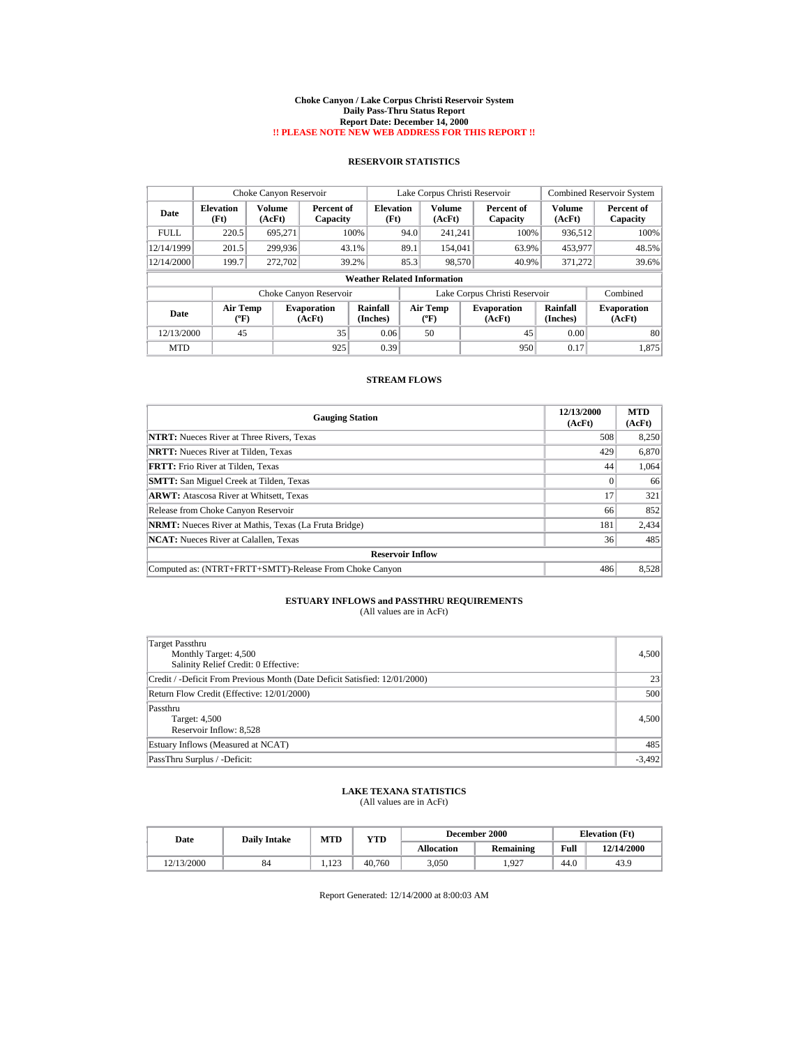#### **Choke Canyon / Lake Corpus Christi Reservoir System Daily Pass-Thru Status Report Report Date: December 14, 2000 !! PLEASE NOTE NEW WEB ADDRESS FOR THIS REPORT !!**

## **RESERVOIR STATISTICS**

|             | Choke Canyon Reservoir                |                         |                              |                                    | Lake Corpus Christi Reservoir |                                      |  |                               |                      | <b>Combined Reservoir System</b> |
|-------------|---------------------------------------|-------------------------|------------------------------|------------------------------------|-------------------------------|--------------------------------------|--|-------------------------------|----------------------|----------------------------------|
| Date        | <b>Elevation</b><br>(Ft)              | <b>Volume</b><br>(AcFt) | Percent of<br>Capacity       | <b>Elevation</b><br>(Ft)           |                               | <b>Volume</b><br>(AcFt)              |  | Percent of<br>Capacity        | Volume<br>(AcFt)     | Percent of<br>Capacity           |
| <b>FULL</b> | 220.5                                 | 695.271                 |                              | 100%                               | 94.0                          | 241.241                              |  | 100%                          | 936.512              | 100%                             |
| 12/14/1999  | 201.5                                 | 299.936                 |                              | 43.1%                              | 89.1                          | 154,041                              |  | 63.9%                         | 453,977              | 48.5%                            |
| 12/14/2000  | 199.7                                 | 272,702                 |                              | 39.2%                              | 85.3                          | 98,570                               |  | 40.9%                         | 371,272              | 39.6%                            |
|             |                                       |                         |                              | <b>Weather Related Information</b> |                               |                                      |  |                               |                      |                                  |
|             |                                       |                         | Choke Canyon Reservoir       |                                    |                               |                                      |  | Lake Corpus Christi Reservoir |                      | Combined                         |
| Date        | <b>Air Temp</b><br>$({}^o\mathrm{F})$ |                         | <b>Evaporation</b><br>(AcFt) | Rainfall<br>(Inches)               |                               | Air Temp<br>$({}^{\circ}\mathrm{F})$ |  | <b>Evaporation</b><br>(AcFt)  | Rainfall<br>(Inches) | <b>Evaporation</b><br>(AcFt)     |
| 12/13/2000  | 45                                    |                         | 35                           | 0.06                               |                               | 50                                   |  | 45                            | 0.00                 | 80                               |
| <b>MTD</b>  |                                       |                         | 925                          | 0.39                               |                               |                                      |  | 950                           | 0.17                 | 1,875                            |

## **STREAM FLOWS**

| <b>Gauging Station</b>                                       | 12/13/2000<br>(AcFt) | <b>MTD</b><br>(AcFt) |  |  |  |  |
|--------------------------------------------------------------|----------------------|----------------------|--|--|--|--|
| <b>NTRT:</b> Nueces River at Three Rivers, Texas             | 508                  | 8,250                |  |  |  |  |
| <b>NRTT:</b> Nueces River at Tilden. Texas                   | 429                  | 6,870                |  |  |  |  |
| <b>FRTT:</b> Frio River at Tilden, Texas                     | 44                   | 1,064                |  |  |  |  |
| <b>SMTT:</b> San Miguel Creek at Tilden, Texas               | 0                    | 66                   |  |  |  |  |
| <b>ARWT:</b> Atascosa River at Whitsett, Texas               | 17                   | 321                  |  |  |  |  |
| Release from Choke Canyon Reservoir                          | 66                   | 852                  |  |  |  |  |
| <b>NRMT:</b> Nueces River at Mathis, Texas (La Fruta Bridge) | 181                  | 2,434                |  |  |  |  |
| <b>NCAT:</b> Nueces River at Calallen, Texas                 | 36                   | 485                  |  |  |  |  |
| <b>Reservoir Inflow</b>                                      |                      |                      |  |  |  |  |
| Computed as: (NTRT+FRTT+SMTT)-Release From Choke Canyon      | 486                  | 8,528                |  |  |  |  |

# **ESTUARY INFLOWS and PASSTHRU REQUIREMENTS**<br>(All values are in AcFt)

| Target Passthru<br>Monthly Target: 4,500<br>Salinity Relief Credit: 0 Effective: | 4,500           |
|----------------------------------------------------------------------------------|-----------------|
| Credit / -Deficit From Previous Month (Date Deficit Satisfied: 12/01/2000)       | 23 <sup>1</sup> |
| Return Flow Credit (Effective: 12/01/2000)                                       | 500             |
| Passthru<br>Target: 4,500<br>Reservoir Inflow: 8,528                             | 4,500           |
| Estuary Inflows (Measured at NCAT)                                               | 485             |
| PassThru Surplus / -Deficit:                                                     | $-3,492$        |

### **LAKE TEXANA STATISTICS** (All values are in AcFt)

| Date       | <b>Daily Intake</b> | MTD   | YTD    | December 2000     |                  |      | <b>Elevation</b> (Ft) |
|------------|---------------------|-------|--------|-------------------|------------------|------|-----------------------|
|            |                     |       |        | <b>Allocation</b> | <b>Remaining</b> | Full | 12/14/2000            |
| 12/13/2000 | 84                  | 1.123 | 40.760 | 3.050             | . 927            | 44.0 | 43.9                  |

Report Generated: 12/14/2000 at 8:00:03 AM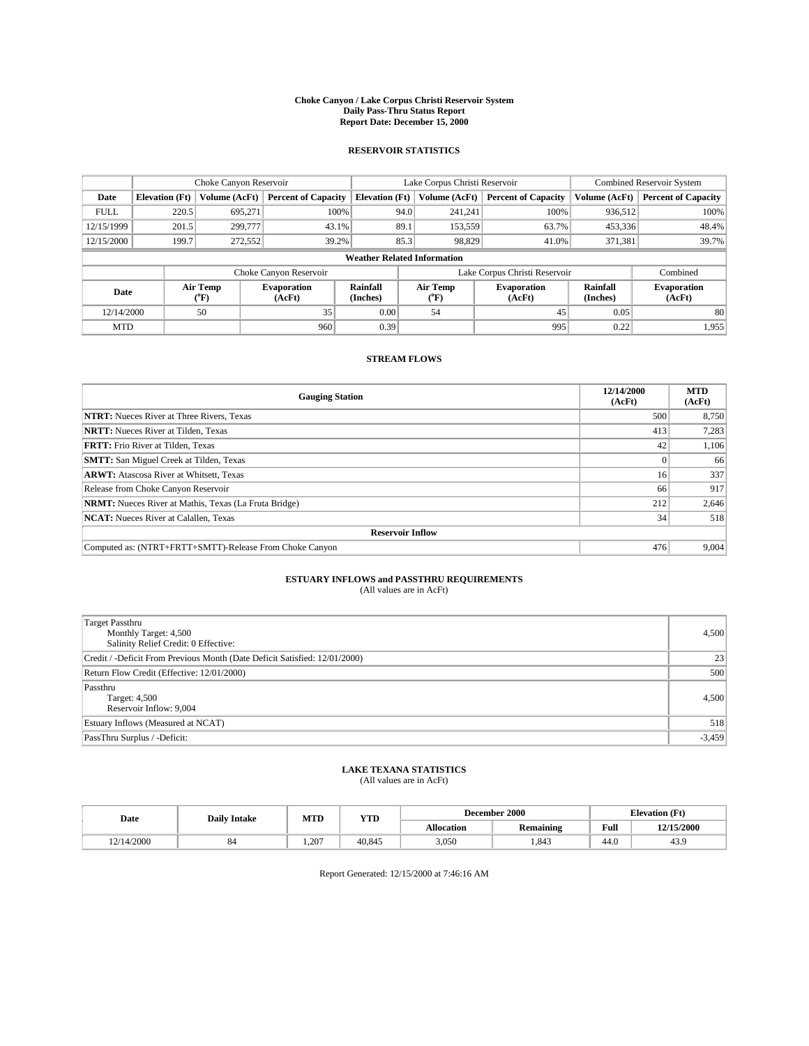#### **Choke Canyon / Lake Corpus Christi Reservoir System Daily Pass-Thru Status Report Report Date: December 15, 2000**

## **RESERVOIR STATISTICS**

|             |                                     | Choke Canyon Reservoir |                              |                             | Lake Corpus Christi Reservoir                    | <b>Combined Reservoir System</b> |                             |                              |  |  |
|-------------|-------------------------------------|------------------------|------------------------------|-----------------------------|--------------------------------------------------|----------------------------------|-----------------------------|------------------------------|--|--|
| Date        | <b>Elevation</b> (Ft)               | Volume (AcFt)          | <b>Percent of Capacity</b>   | <b>Elevation</b> (Ft)       | Volume (AcFt)                                    | <b>Percent of Capacity</b>       | Volume (AcFt)               | <b>Percent of Capacity</b>   |  |  |
| <b>FULL</b> | 220.5                               | 695,271                | 100%                         | 94.0                        | 241,241                                          | 100%                             | 936,512                     | 100%                         |  |  |
| 12/15/1999  | 201.5                               | 299,777                | 43.1%                        | 89.1                        | 153,559                                          | 63.7%                            | 453,336                     | 48.4%                        |  |  |
| 12/15/2000  | 199.7                               | 272,552                | 39.2%                        | 85.3                        | 98,829                                           | 41.0%                            | 371,381                     | 39.7%                        |  |  |
|             | <b>Weather Related Information</b>  |                        |                              |                             |                                                  |                                  |                             |                              |  |  |
|             |                                     |                        | Choke Canyon Reservoir       |                             | Lake Corpus Christi Reservoir                    |                                  |                             | Combined                     |  |  |
|             | Air Temp<br>Date<br>${}^{\circ}$ F) |                        | <b>Evaporation</b><br>(AcFt) | <b>Rainfall</b><br>(Inches) | Air Temp<br><b>Evaporation</b><br>(AcFt)<br>("F) |                                  | <b>Rainfall</b><br>(Inches) | <b>Evaporation</b><br>(AcFt) |  |  |
| 12/14/2000  |                                     | 50                     | 35                           | 0.00                        | 54                                               | 45                               | 0.05                        | 80                           |  |  |
| <b>MTD</b>  |                                     |                        | 960                          | 0.39                        |                                                  | 995                              | 0.22                        | 1,955                        |  |  |

## **STREAM FLOWS**

| <b>Gauging Station</b>                                       | 12/14/2000<br>(AcFt) | <b>MTD</b><br>(AcFt) |  |  |  |  |
|--------------------------------------------------------------|----------------------|----------------------|--|--|--|--|
| <b>NTRT:</b> Nueces River at Three Rivers, Texas             | 500                  | 8,750                |  |  |  |  |
| <b>NRTT:</b> Nueces River at Tilden, Texas                   | 413                  | 7,283                |  |  |  |  |
| <b>FRTT:</b> Frio River at Tilden, Texas                     | 42                   | 1,106                |  |  |  |  |
| <b>SMTT:</b> San Miguel Creek at Tilden, Texas               |                      | 66                   |  |  |  |  |
| <b>ARWT:</b> Atascosa River at Whitsett, Texas               | 16 <sup>1</sup>      | 337                  |  |  |  |  |
| Release from Choke Canyon Reservoir                          | 66                   | 917                  |  |  |  |  |
| <b>NRMT:</b> Nueces River at Mathis, Texas (La Fruta Bridge) | 212                  | 2,646                |  |  |  |  |
| <b>NCAT:</b> Nueces River at Calallen, Texas                 | 34                   | 518                  |  |  |  |  |
| <b>Reservoir Inflow</b>                                      |                      |                      |  |  |  |  |
| Computed as: (NTRT+FRTT+SMTT)-Release From Choke Canyon      | 476                  | 9,004                |  |  |  |  |

## **ESTUARY INFLOWS and PASSTHRU REQUIREMENTS**

(All values are in AcFt)

| <b>Target Passthru</b><br>Monthly Target: 4,500<br>Salinity Relief Credit: 0 Effective: | 4,500    |
|-----------------------------------------------------------------------------------------|----------|
| Credit / -Deficit From Previous Month (Date Deficit Satisfied: 12/01/2000)              | 23       |
| Return Flow Credit (Effective: 12/01/2000)                                              | 500      |
| Passthru<br>Target: 4,500<br>Reservoir Inflow: 9,004                                    | 4,500    |
| Estuary Inflows (Measured at NCAT)                                                      | 518      |
| PassThru Surplus / -Deficit:                                                            | $-3,459$ |

# **LAKE TEXANA STATISTICS** (All values are in AcFt)

| Date       | <b>Daily Intake</b> | MTD<br><b>YTD</b> |        | December 2000     |           |      | <b>Elevation</b> (Ft) |
|------------|---------------------|-------------------|--------|-------------------|-----------|------|-----------------------|
|            |                     |                   |        | <b>Allocation</b> | Remaining | Full | 12/15/2000            |
| 12/14/2000 | $^{\circ}$          | 1.207             | 40.845 | 3,050             | 1.843     | 44.0 | $\sim$<br>43.9        |

Report Generated: 12/15/2000 at 7:46:16 AM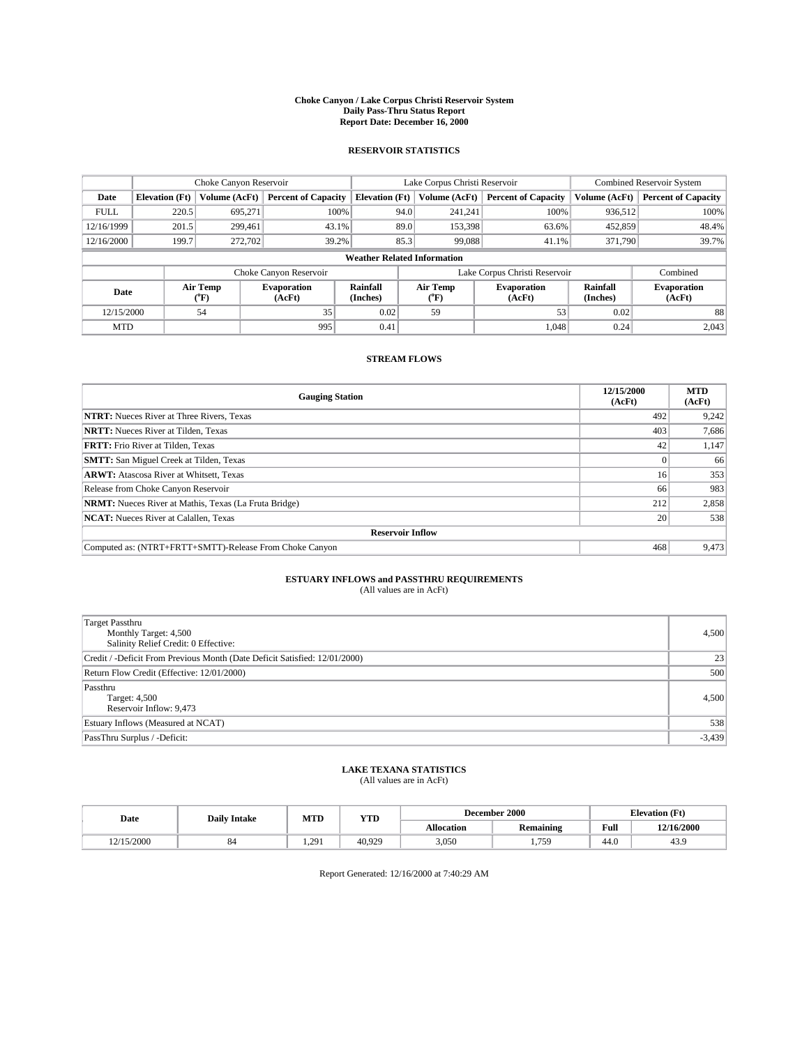#### **Choke Canyon / Lake Corpus Christi Reservoir System Daily Pass-Thru Status Report Report Date: December 16, 2000**

## **RESERVOIR STATISTICS**

|             |                                    | Choke Canyon Reservoir |                              |                       | Lake Corpus Christi Reservoir | <b>Combined Reservoir System</b> |                      |                              |  |  |
|-------------|------------------------------------|------------------------|------------------------------|-----------------------|-------------------------------|----------------------------------|----------------------|------------------------------|--|--|
| Date        | <b>Elevation</b> (Ft)              | Volume (AcFt)          | <b>Percent of Capacity</b>   | <b>Elevation</b> (Ft) | Volume (AcFt)                 | <b>Percent of Capacity</b>       | Volume (AcFt)        | <b>Percent of Capacity</b>   |  |  |
| <b>FULL</b> | 220.5                              | 695,271                | 100%                         | 94.0                  | 241,241                       | 100%                             | 936,512              | 100%                         |  |  |
| 12/16/1999  | 201.5                              | 299.461                | 43.1%                        | 89.0                  | 153,398                       | 63.6%                            | 452,859              | 48.4%                        |  |  |
| 12/16/2000  | 199.7                              | 272,702                | 39.2%                        | 85.3                  | 99,088                        | 41.1%                            | 371,790              | 39.7%                        |  |  |
|             | <b>Weather Related Information</b> |                        |                              |                       |                               |                                  |                      |                              |  |  |
|             |                                    |                        | Choke Canyon Reservoir       |                       | Lake Corpus Christi Reservoir |                                  | Combined             |                              |  |  |
|             | Air Temp<br>Date<br>(°F)           |                        | <b>Evaporation</b><br>(AcFt) | Rainfall<br>(Inches)  | Air Temp<br>("F)              | <b>Evaporation</b><br>(AcFt)     | Rainfall<br>(Inches) | <b>Evaporation</b><br>(AcFt) |  |  |
| 12/15/2000  |                                    | 54                     | 35                           | 0.02                  | 59                            | 53                               | 0.02                 | 88                           |  |  |
| <b>MTD</b>  |                                    |                        | 995                          | 0.41                  |                               | 1,048                            | 0.24                 | 2,043                        |  |  |

## **STREAM FLOWS**

| <b>Gauging Station</b>                                       | 12/15/2000<br>(AcFt) | <b>MTD</b><br>(AcFt) |  |  |  |  |
|--------------------------------------------------------------|----------------------|----------------------|--|--|--|--|
| <b>NTRT:</b> Nueces River at Three Rivers, Texas             | 492                  | 9,242                |  |  |  |  |
| <b>NRTT:</b> Nueces River at Tilden, Texas                   | 403                  | 7,686                |  |  |  |  |
| <b>FRTT:</b> Frio River at Tilden, Texas                     | 42                   | 1,147                |  |  |  |  |
| <b>SMTT:</b> San Miguel Creek at Tilden, Texas               |                      | 66                   |  |  |  |  |
| <b>ARWT:</b> Atascosa River at Whitsett, Texas               | 16                   | 353                  |  |  |  |  |
| Release from Choke Canyon Reservoir                          | 66                   | 983                  |  |  |  |  |
| <b>NRMT:</b> Nueces River at Mathis, Texas (La Fruta Bridge) | 212                  | 2,858                |  |  |  |  |
| <b>NCAT:</b> Nueces River at Calallen, Texas                 | 20 <sub>1</sub>      | 538                  |  |  |  |  |
| <b>Reservoir Inflow</b>                                      |                      |                      |  |  |  |  |
| Computed as: (NTRT+FRTT+SMTT)-Release From Choke Canyon      | 468                  | 9,473                |  |  |  |  |

# **ESTUARY INFLOWS and PASSTHRU REQUIREMENTS**<br>(All values are in AcFt)

| <b>Target Passthru</b><br>Monthly Target: 4,500<br>Salinity Relief Credit: 0 Effective: | 4,500    |
|-----------------------------------------------------------------------------------------|----------|
| Credit / -Deficit From Previous Month (Date Deficit Satisfied: 12/01/2000)              | 23       |
| Return Flow Credit (Effective: 12/01/2000)                                              | 500      |
| Passthru<br>Target: 4,500<br>Reservoir Inflow: 9,473                                    | 4,500    |
| Estuary Inflows (Measured at NCAT)                                                      | 538      |
| PassThru Surplus / -Deficit:                                                            | $-3,439$ |

# **LAKE TEXANA STATISTICS** (All values are in AcFt)

| Date      | <b>Daily Intake</b> | MTD   | <b>YTD</b> |                   | December 2000    | <b>Elevation</b> (Ft) |                |
|-----------|---------------------|-------|------------|-------------------|------------------|-----------------------|----------------|
|           |                     |       |            | <b>Allocation</b> | <b>Remaining</b> | Full                  | 12/16/2000     |
| 2/15/2000 | $^{\rm o}$          | 1.291 | 40.929     | 3,050             | <b>750</b><br>   | 44.0                  | $\sim$<br>45.9 |

Report Generated: 12/16/2000 at 7:40:29 AM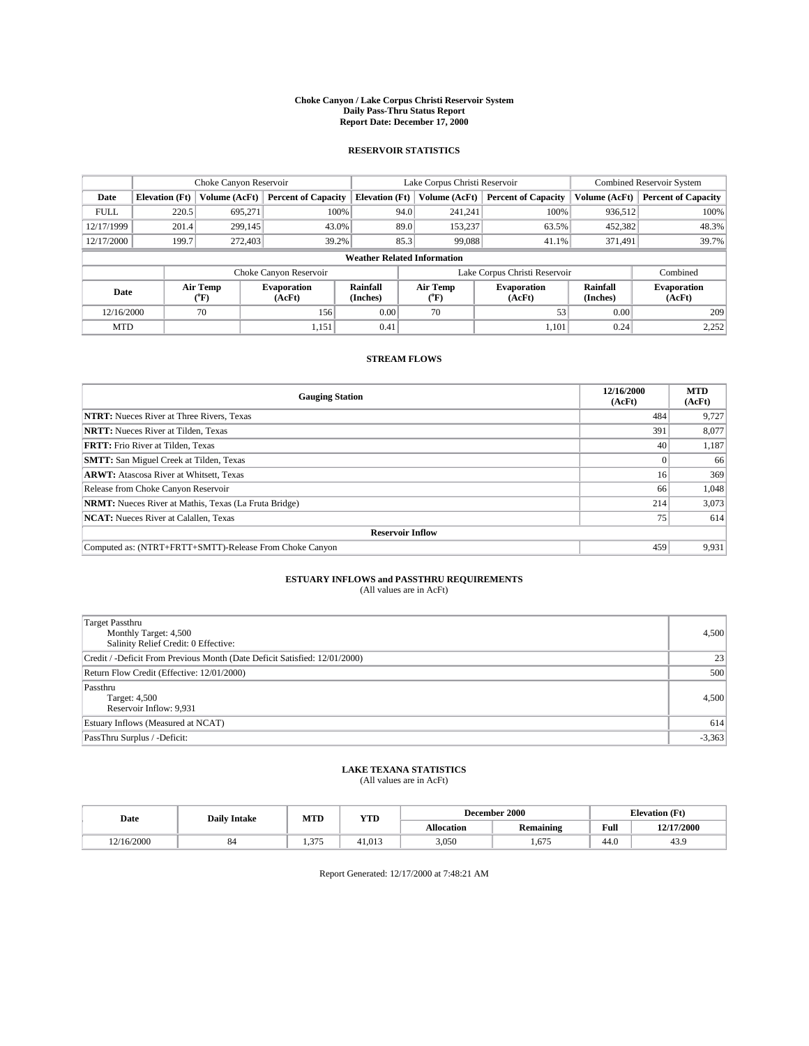#### **Choke Canyon / Lake Corpus Christi Reservoir System Daily Pass-Thru Status Report Report Date: December 17, 2000**

## **RESERVOIR STATISTICS**

|             | Choke Canyon Reservoir |                  | Lake Corpus Christi Reservoir |                                    |                               |               | <b>Combined Reservoir System</b> |                      |                              |
|-------------|------------------------|------------------|-------------------------------|------------------------------------|-------------------------------|---------------|----------------------------------|----------------------|------------------------------|
| Date        | <b>Elevation</b> (Ft)  | Volume (AcFt)    | <b>Percent of Capacity</b>    | <b>Elevation</b> (Ft)              |                               | Volume (AcFt) | <b>Percent of Capacity</b>       | Volume (AcFt)        | <b>Percent of Capacity</b>   |
| <b>FULL</b> | 220.5                  | 695,271          | 100%                          |                                    | 94.0                          | 241,241       | 100%                             | 936,512              | 100%                         |
| 12/17/1999  | 201.4                  | 299,145          | 43.0%                         |                                    | 89.0                          | 153,237       | 63.5%                            | 452,382              | 48.3%                        |
| 12/17/2000  | 199.7                  | 272,403          | 39.2%                         |                                    | 85.3<br>99,088<br>41.1%       |               | 371.491                          | 39.7%                |                              |
|             |                        |                  |                               | <b>Weather Related Information</b> |                               |               |                                  |                      |                              |
|             |                        |                  | Choke Canyon Reservoir        |                                    | Lake Corpus Christi Reservoir |               |                                  |                      | Combined                     |
| Date        |                        | Air Temp<br>(°F) | <b>Evaporation</b><br>(AcFt)  | Rainfall<br>(Inches)               | Air Temp<br>("F)              |               | <b>Evaporation</b><br>(AcFt)     | Rainfall<br>(Inches) | <b>Evaporation</b><br>(AcFt) |
| 12/16/2000  |                        | 70               | 156                           | 0.00                               | 70                            |               | 53                               | 0.00                 | 209                          |
| <b>MTD</b>  |                        |                  | 1,151                         | 0.41                               |                               |               | 1,101                            | 0.24                 | 2,252                        |

## **STREAM FLOWS**

| <b>Gauging Station</b>                                       | 12/16/2000<br>(AcFt) | <b>MTD</b><br>(AcFt) |  |  |  |  |  |
|--------------------------------------------------------------|----------------------|----------------------|--|--|--|--|--|
| <b>NTRT:</b> Nueces River at Three Rivers, Texas             | 484                  | 9,727                |  |  |  |  |  |
| <b>NRTT:</b> Nueces River at Tilden, Texas                   | 391                  | 8,077                |  |  |  |  |  |
| <b>FRTT:</b> Frio River at Tilden, Texas                     | 40                   | 1,187                |  |  |  |  |  |
| <b>SMTT:</b> San Miguel Creek at Tilden, Texas               |                      | 66                   |  |  |  |  |  |
| <b>ARWT:</b> Atascosa River at Whitsett, Texas               | 16                   | 369                  |  |  |  |  |  |
| Release from Choke Canyon Reservoir                          | 66                   | 1.048                |  |  |  |  |  |
| <b>NRMT:</b> Nueces River at Mathis, Texas (La Fruta Bridge) | 214                  | 3,073                |  |  |  |  |  |
| <b>NCAT:</b> Nueces River at Calallen, Texas                 | 75                   | 614                  |  |  |  |  |  |
| <b>Reservoir Inflow</b>                                      |                      |                      |  |  |  |  |  |
| Computed as: (NTRT+FRTT+SMTT)-Release From Choke Canyon      | 459                  | 9,931                |  |  |  |  |  |

# **ESTUARY INFLOWS and PASSTHRU REQUIREMENTS**<br>(All values are in AcFt)

| <b>Target Passthru</b><br>Monthly Target: 4,500<br>Salinity Relief Credit: 0 Effective: | 4,500    |
|-----------------------------------------------------------------------------------------|----------|
| Credit / -Deficit From Previous Month (Date Deficit Satisfied: 12/01/2000)              | 23       |
| Return Flow Credit (Effective: 12/01/2000)                                              | 500      |
| Passthru<br>Target: 4,500<br>Reservoir Inflow: 9,931                                    | 4,500    |
| Estuary Inflows (Measured at NCAT)                                                      | 614      |
| PassThru Surplus / -Deficit:                                                            | $-3,363$ |

# **LAKE TEXANA STATISTICS** (All values are in AcFt)

| Date      | <b>Daily Intake</b> | MTD                     | YTD    |                   | December 2000           | <b>Elevation</b> (Ft) |            |
|-----------|---------------------|-------------------------|--------|-------------------|-------------------------|-----------------------|------------|
|           |                     |                         |        | <b>Allocation</b> | . .<br><b>Remaining</b> | Full                  | 12/17/2000 |
| 2/16/2000 | o-                  | $\sim$<br>-2774<br>1.71 | 41.013 | 3,050             | 1.675                   | $\sim$<br>44.6        | 43.9       |

Report Generated: 12/17/2000 at 7:48:21 AM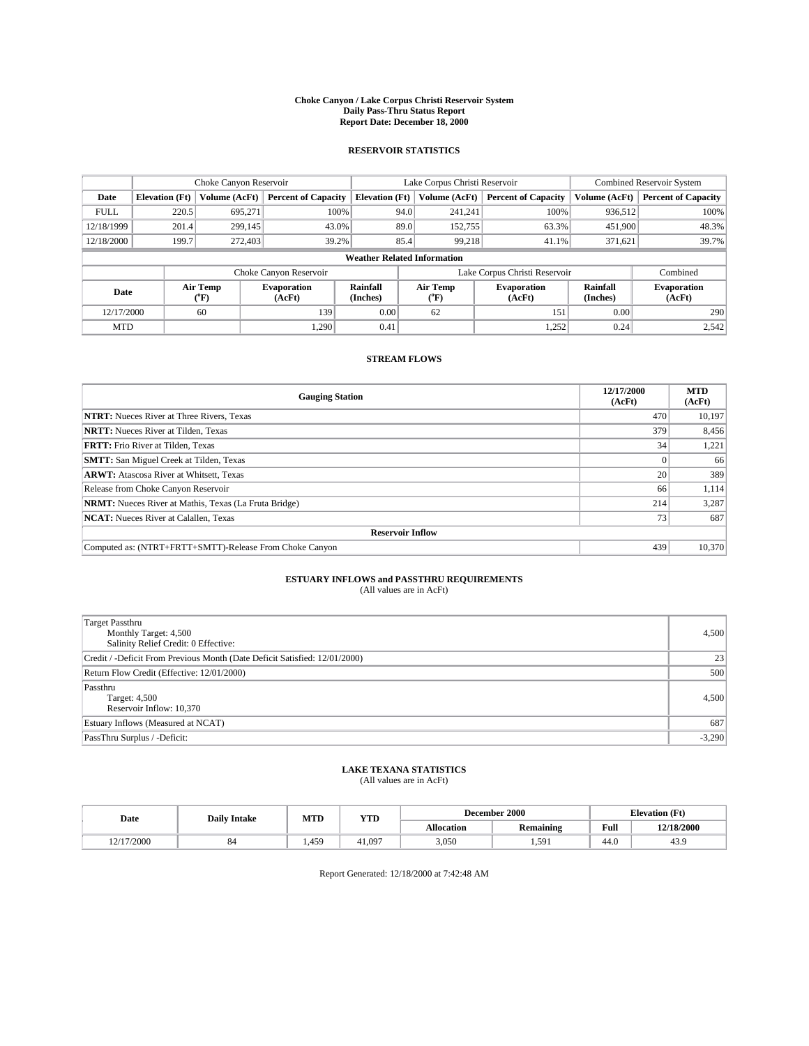#### **Choke Canyon / Lake Corpus Christi Reservoir System Daily Pass-Thru Status Report Report Date: December 18, 2000**

## **RESERVOIR STATISTICS**

|             | Choke Canyon Reservoir             |                  | Lake Corpus Christi Reservoir |                       |                               |                  | Combined Reservoir System    |                      |                              |         |       |
|-------------|------------------------------------|------------------|-------------------------------|-----------------------|-------------------------------|------------------|------------------------------|----------------------|------------------------------|---------|-------|
| Date        | <b>Elevation</b> (Ft)              | Volume (AcFt)    | <b>Percent of Capacity</b>    | <b>Elevation</b> (Ft) |                               | Volume (AcFt)    | <b>Percent of Capacity</b>   | Volume (AcFt)        | <b>Percent of Capacity</b>   |         |       |
| <b>FULL</b> | 220.5                              | 695.271          | 100%                          |                       | 94.0                          | 241,241          | 100%                         | 936.512              | 100%                         |         |       |
| 12/18/1999  | 201.4                              | 299,145          | 43.0%                         |                       | 89.0                          | 152,755          | 63.3%                        | 451,900              | 48.3%                        |         |       |
| 12/18/2000  | 199.7                              | 272,403          | 39.2%                         |                       | 85.4                          |                  |                              |                      | 99.218<br>41.1%              | 371,621 | 39.7% |
|             | <b>Weather Related Information</b> |                  |                               |                       |                               |                  |                              |                      |                              |         |       |
|             |                                    |                  | Choke Canyon Reservoir        |                       | Lake Corpus Christi Reservoir |                  |                              |                      | Combined                     |         |       |
| Date        |                                    | Air Temp<br>(°F) | <b>Evaporation</b><br>(AcFt)  | Rainfall<br>(Inches)  |                               | Air Temp<br>(°F) | <b>Evaporation</b><br>(AcFt) | Rainfall<br>(Inches) | <b>Evaporation</b><br>(AcFt) |         |       |
| 12/17/2000  |                                    | 60               | 139                           | 0.00                  |                               | 62               | 151                          | 0.00                 | 290                          |         |       |
| <b>MTD</b>  |                                    |                  | 1,290                         | 0.41                  |                               |                  | 1,252                        | 0.24                 | 2,542                        |         |       |

## **STREAM FLOWS**

| <b>Gauging Station</b>                                       | 12/17/2000<br>(AcFt) | <b>MTD</b><br>(AcFt) |
|--------------------------------------------------------------|----------------------|----------------------|
| <b>NTRT:</b> Nueces River at Three Rivers, Texas             | 470                  | 10,197               |
| <b>NRTT:</b> Nueces River at Tilden, Texas                   | 379                  | 8,456                |
| <b>FRTT:</b> Frio River at Tilden, Texas                     | 34                   | 1,221                |
| <b>SMTT:</b> San Miguel Creek at Tilden, Texas               |                      | 66                   |
| <b>ARWT:</b> Atascosa River at Whitsett, Texas               | 20                   | 389                  |
| Release from Choke Canyon Reservoir                          | 66                   | 1,114                |
| <b>NRMT:</b> Nueces River at Mathis, Texas (La Fruta Bridge) | 214                  | 3,287                |
| <b>NCAT:</b> Nueces River at Calallen, Texas                 | 73 <sub>1</sub>      | 687                  |
| <b>Reservoir Inflow</b>                                      |                      |                      |
| Computed as: (NTRT+FRTT+SMTT)-Release From Choke Canyon      | 439                  | 10.370               |

# **ESTUARY INFLOWS and PASSTHRU REQUIREMENTS**<br>(All values are in AcFt)

| <b>Target Passthru</b><br>Monthly Target: 4,500<br>Salinity Relief Credit: 0 Effective: | 4,500    |
|-----------------------------------------------------------------------------------------|----------|
| Credit / -Deficit From Previous Month (Date Deficit Satisfied: 12/01/2000)              | 23       |
| Return Flow Credit (Effective: 12/01/2000)                                              | 500      |
| Passthru<br>Target: 4,500<br>Reservoir Inflow: 10,370                                   | 4,500    |
| Estuary Inflows (Measured at NCAT)                                                      | 687      |
| PassThru Surplus / -Deficit:                                                            | $-3,290$ |

# **LAKE TEXANA STATISTICS** (All values are in AcFt)

| Date       | <b>Daily Intake</b> | MTD  | <b>YTD</b> |                   | December 2000 | <b>Elevation</b> (Ft) |            |
|------------|---------------------|------|------------|-------------------|---------------|-----------------------|------------|
|            |                     |      |            | <b>Allocation</b> | Remaining     | Full                  | 12/18/2000 |
| 12/17/2000 | $^{\circ}$          | ,459 | 41.097     | 3,050             | 1,591         | 44.0                  | 43.9       |

Report Generated: 12/18/2000 at 7:42:48 AM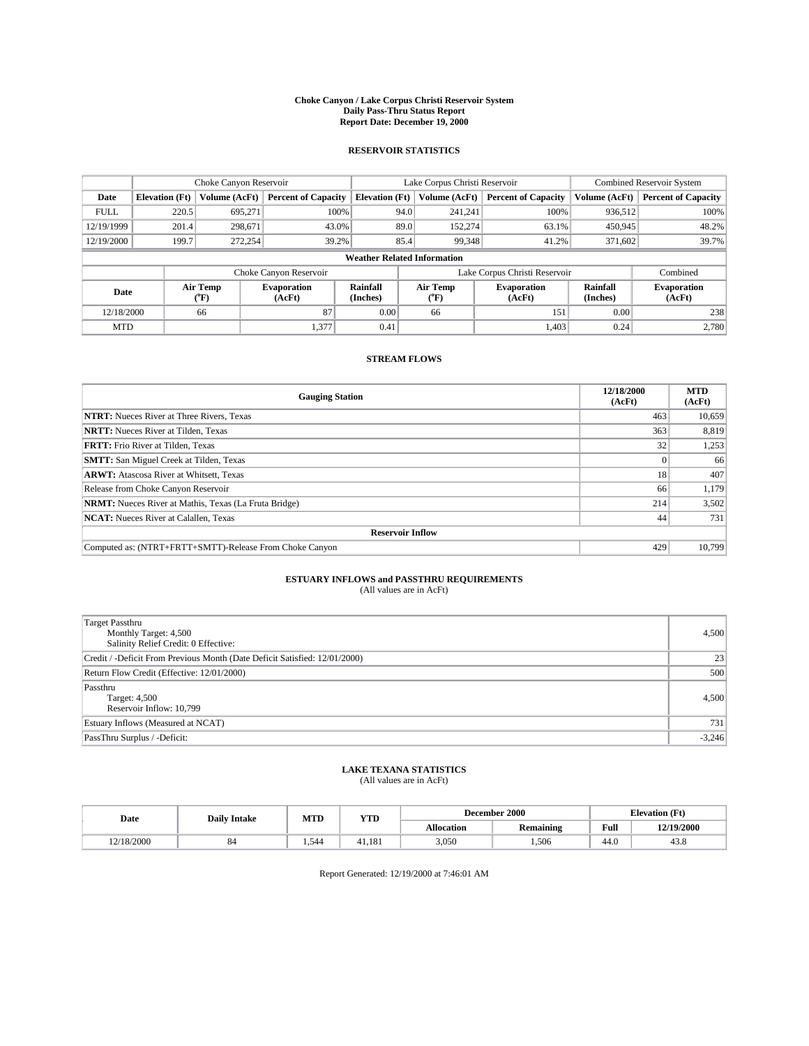#### **Choke Canyon / Lake Corpus Christi Reservoir System Daily Pass-Thru Status Report Report Date: December 19, 2000**

## **RESERVOIR STATISTICS**

|             | Choke Canyon Reservoir             |                  | Lake Corpus Christi Reservoir |                       |                               |                  | Combined Reservoir System    |                      |                              |         |       |
|-------------|------------------------------------|------------------|-------------------------------|-----------------------|-------------------------------|------------------|------------------------------|----------------------|------------------------------|---------|-------|
| Date        | <b>Elevation</b> (Ft)              | Volume (AcFt)    | <b>Percent of Capacity</b>    | <b>Elevation</b> (Ft) |                               | Volume (AcFt)    | <b>Percent of Capacity</b>   | Volume (AcFt)        | <b>Percent of Capacity</b>   |         |       |
| <b>FULL</b> | 220.5                              | 695.271          | 100%                          |                       | 94.0                          | 241,241          | 100%                         | 936.512              | 100%                         |         |       |
| 12/19/1999  | 201.4                              | 298,671          | 43.0%                         |                       | 89.0                          | 152,274          | 63.1%                        | 450,945              | 48.2%                        |         |       |
| 12/19/2000  | 199.7                              | 272,254          | 39.2%                         |                       | 85.4                          |                  |                              |                      | 99,348<br>41.2%              | 371,602 | 39.7% |
|             | <b>Weather Related Information</b> |                  |                               |                       |                               |                  |                              |                      |                              |         |       |
|             |                                    |                  | Choke Canyon Reservoir        |                       | Lake Corpus Christi Reservoir |                  |                              |                      | Combined                     |         |       |
| Date        |                                    | Air Temp<br>(°F) | <b>Evaporation</b><br>(AcFt)  | Rainfall<br>(Inches)  |                               | Air Temp<br>("F) | <b>Evaporation</b><br>(AcFt) | Rainfall<br>(Inches) | <b>Evaporation</b><br>(AcFt) |         |       |
| 12/18/2000  |                                    | 66               | 87                            | 0.00                  |                               | 66               | 151                          | 0.00                 | 238                          |         |       |
| <b>MTD</b>  |                                    |                  | 1,377                         | 0.41                  |                               |                  | 1.403                        | 0.24                 | 2,780                        |         |       |

## **STREAM FLOWS**

| <b>Gauging Station</b>                                       | 12/18/2000<br>(AcFt) | <b>MTD</b><br>(AcFt) |
|--------------------------------------------------------------|----------------------|----------------------|
| <b>NTRT:</b> Nueces River at Three Rivers, Texas             | 463                  | 10,659               |
| <b>NRTT:</b> Nueces River at Tilden, Texas                   | 363                  | 8,819                |
| <b>FRTT:</b> Frio River at Tilden, Texas                     | 32                   | 1,253                |
| <b>SMTT:</b> San Miguel Creek at Tilden, Texas               |                      | 66                   |
| <b>ARWT:</b> Atascosa River at Whitsett, Texas               | 18                   | 407                  |
| Release from Choke Canyon Reservoir                          | 66                   | 1,179                |
| <b>NRMT:</b> Nueces River at Mathis, Texas (La Fruta Bridge) | 214                  | 3,502                |
| <b>NCAT:</b> Nueces River at Calallen, Texas                 | 44                   | 731                  |
| <b>Reservoir Inflow</b>                                      |                      |                      |
| Computed as: (NTRT+FRTT+SMTT)-Release From Choke Canyon      | 429                  | 10.799               |

# **ESTUARY INFLOWS and PASSTHRU REQUIREMENTS**<br>(All values are in AcFt)

| <b>Target Passthru</b><br>Monthly Target: 4,500<br>Salinity Relief Credit: 0 Effective: | 4,500    |
|-----------------------------------------------------------------------------------------|----------|
| Credit / -Deficit From Previous Month (Date Deficit Satisfied: 12/01/2000)              | 23       |
| Return Flow Credit (Effective: 12/01/2000)                                              | 500      |
| Passthru<br>Target: 4,500<br>Reservoir Inflow: 10,799                                   | 4,500    |
| Estuary Inflows (Measured at NCAT)                                                      | 731      |
| PassThru Surplus / -Deficit:                                                            | $-3,246$ |

# **LAKE TEXANA STATISTICS** (All values are in AcFt)

| Date       | <b>Daily Intake</b> | MTD   | <b>YTD</b> | December 2000     |                  |      | <b>Elevation</b> (Ft) |
|------------|---------------------|-------|------------|-------------------|------------------|------|-----------------------|
|            |                     |       |            | <b>Allocation</b> | <b>Remaining</b> | Full | 12/19/2000            |
| 12/18/2000 | $^{\rm o}$          | 1.544 | 41.181     | 3,050             | 1,506            | 44.0 | 45.8                  |

Report Generated: 12/19/2000 at 7:46:01 AM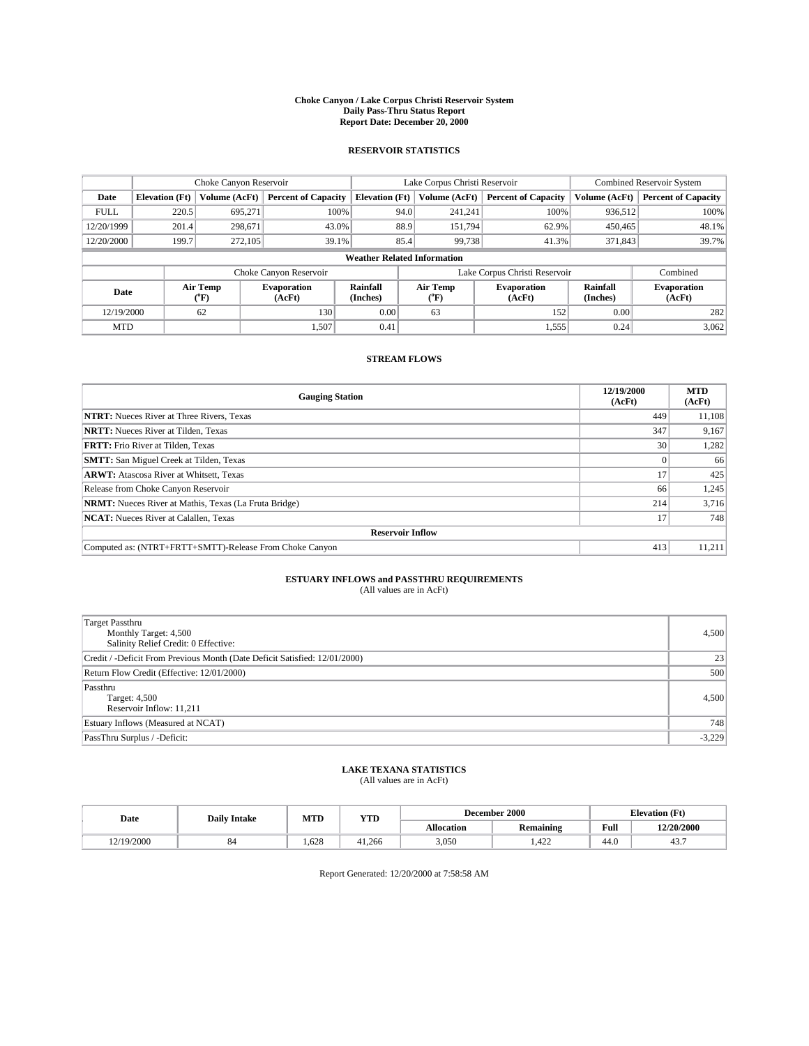#### **Choke Canyon / Lake Corpus Christi Reservoir System Daily Pass-Thru Status Report Report Date: December 20, 2000**

## **RESERVOIR STATISTICS**

|             |                                    | Choke Canyon Reservoir |                              |                       | Lake Corpus Christi Reservoir | <b>Combined Reservoir System</b> |                      |                              |  |
|-------------|------------------------------------|------------------------|------------------------------|-----------------------|-------------------------------|----------------------------------|----------------------|------------------------------|--|
| Date        | <b>Elevation</b> (Ft)              | Volume (AcFt)          | <b>Percent of Capacity</b>   | <b>Elevation (Ft)</b> | Volume (AcFt)                 | <b>Percent of Capacity</b>       | Volume (AcFt)        | <b>Percent of Capacity</b>   |  |
| <b>FULL</b> | 220.5                              | 695,271                | 100%                         |                       | 94.0<br>241,241               | 100%                             | 936,512              | 100%                         |  |
| 12/20/1999  | 201.4                              | 298.671                | 43.0%                        |                       | 88.9<br>151,794               | 62.9%                            | 450,465              | 48.1%                        |  |
| 12/20/2000  | 199.7                              | 272,105                | 39.1%                        |                       | 85.4<br>99,738                | 41.3%                            | 371,843              | 39.7%                        |  |
|             | <b>Weather Related Information</b> |                        |                              |                       |                               |                                  |                      |                              |  |
|             |                                    |                        | Choke Canyon Reservoir       |                       | Lake Corpus Christi Reservoir |                                  |                      | Combined                     |  |
|             | Air Temp<br>Date<br>(°F)           |                        | <b>Evaporation</b><br>(AcFt) | Rainfall<br>(Inches)  | Air Temp<br>("F)              | <b>Evaporation</b><br>(AcFt)     | Rainfall<br>(Inches) | <b>Evaporation</b><br>(AcFt) |  |
| 12/19/2000  |                                    | 62                     | 130                          | 0.00                  | 63                            | 152                              | 0.00                 | 282                          |  |
| <b>MTD</b>  |                                    |                        | 1,507                        | 0.41                  |                               | 1,555                            | 0.24                 | 3,062                        |  |

## **STREAM FLOWS**

| <b>Gauging Station</b>                                       | 12/19/2000<br>(AcFt) | <b>MTD</b><br>(AcFt) |  |  |  |  |
|--------------------------------------------------------------|----------------------|----------------------|--|--|--|--|
| <b>NTRT:</b> Nueces River at Three Rivers, Texas             | 449                  | 11,108               |  |  |  |  |
| <b>NRTT:</b> Nueces River at Tilden, Texas                   | 347                  | 9,167                |  |  |  |  |
| <b>FRTT:</b> Frio River at Tilden, Texas                     | 30 <sup>1</sup>      | 1,282                |  |  |  |  |
| <b>SMTT:</b> San Miguel Creek at Tilden, Texas               |                      | 66                   |  |  |  |  |
| <b>ARWT:</b> Atascosa River at Whitsett, Texas               | 17                   | 425                  |  |  |  |  |
| Release from Choke Canyon Reservoir                          | 66                   | 1,245                |  |  |  |  |
| <b>NRMT:</b> Nueces River at Mathis, Texas (La Fruta Bridge) | 214                  | 3,716                |  |  |  |  |
| <b>NCAT:</b> Nueces River at Calallen, Texas                 | 17                   | 748                  |  |  |  |  |
| <b>Reservoir Inflow</b>                                      |                      |                      |  |  |  |  |
| Computed as: (NTRT+FRTT+SMTT)-Release From Choke Canyon      | 413                  | 11,211               |  |  |  |  |

# **ESTUARY INFLOWS and PASSTHRU REQUIREMENTS**<br>(All values are in AcFt)

| <b>Target Passthru</b><br>Monthly Target: 4,500<br>Salinity Relief Credit: 0 Effective: | 4,500    |
|-----------------------------------------------------------------------------------------|----------|
| Credit / -Deficit From Previous Month (Date Deficit Satisfied: 12/01/2000)              | 23       |
| Return Flow Credit (Effective: 12/01/2000)                                              | 500      |
| Passthru<br>Target: 4,500<br>Reservoir Inflow: 11,211                                   | 4,500    |
| Estuary Inflows (Measured at NCAT)                                                      | 748      |
| PassThru Surplus / -Deficit:                                                            | $-3,229$ |

# **LAKE TEXANA STATISTICS** (All values are in AcFt)

| Date      | <b>Daily Intake</b> | MTD   | <b>YTD</b> | December 2000     |                  |                | <b>Elevation</b> (Ft) |
|-----------|---------------------|-------|------------|-------------------|------------------|----------------|-----------------------|
|           |                     |       |            | <b>Allocation</b> | <b>Remaining</b> | Full           | 12/20/2000            |
| 2/19/2000 | $^{\circ}$          | 1.628 | 41.266     | 3.050             | 400<br>.422      | $\sim$<br>44.V | 45                    |

Report Generated: 12/20/2000 at 7:58:58 AM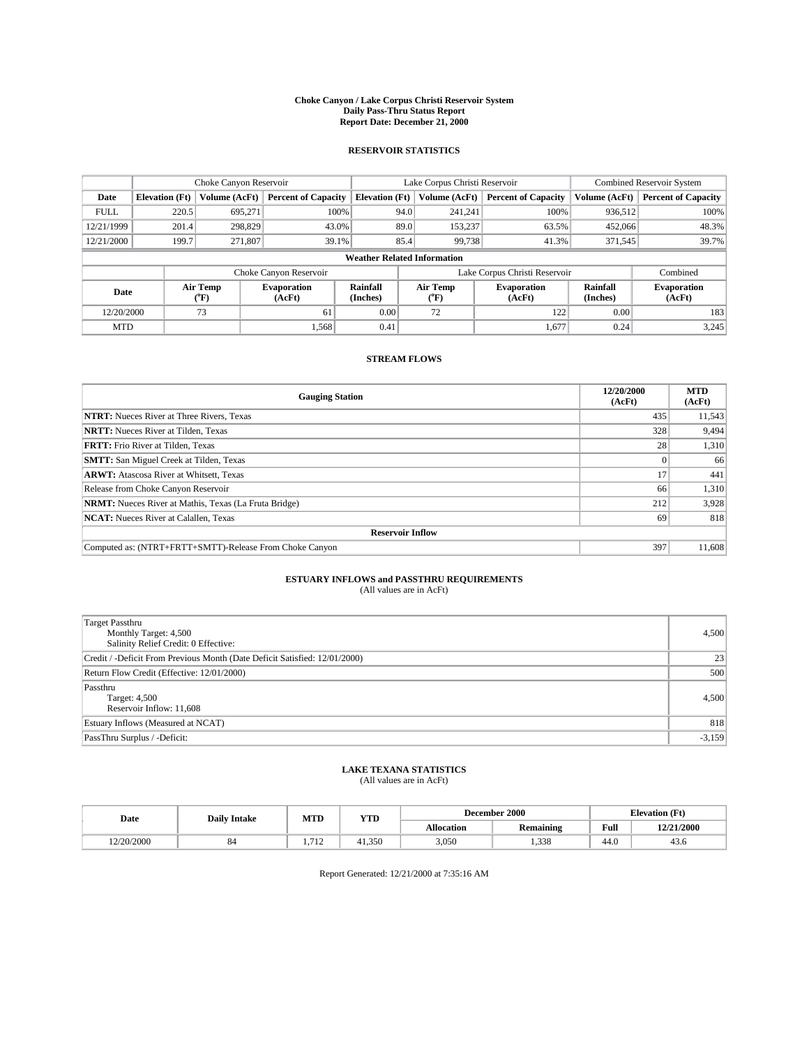#### **Choke Canyon / Lake Corpus Christi Reservoir System Daily Pass-Thru Status Report Report Date: December 21, 2000**

## **RESERVOIR STATISTICS**

|                                     |                                    | Choke Canyon Reservoir |                              |                             | Lake Corpus Christi Reservoir | <b>Combined Reservoir System</b> |                             |                              |  |
|-------------------------------------|------------------------------------|------------------------|------------------------------|-----------------------------|-------------------------------|----------------------------------|-----------------------------|------------------------------|--|
| Date                                | <b>Elevation</b> (Ft)              | Volume (AcFt)          | <b>Percent of Capacity</b>   | <b>Elevation</b> (Ft)       | Volume (AcFt)                 | <b>Percent of Capacity</b>       | Volume (AcFt)               | <b>Percent of Capacity</b>   |  |
| <b>FULL</b>                         | 220.5                              | 695,271                | 100%                         | 94.0                        | 241,241                       | 100%                             | 936,512                     | 100%                         |  |
| 12/21/1999                          | 201.4                              | 298,829                | 43.0%                        | 89.0                        | 153,237                       | 63.5%                            | 452,066                     | 48.3%                        |  |
| 12/21/2000                          | 199.7                              | 271.807                | 39.1%                        | 85.4                        | 99,738                        | 41.3%                            | 371,545                     | 39.7%                        |  |
|                                     | <b>Weather Related Information</b> |                        |                              |                             |                               |                                  |                             |                              |  |
|                                     |                                    |                        | Choke Canyon Reservoir       |                             |                               | Lake Corpus Christi Reservoir    |                             | Combined                     |  |
| Air Temp<br>Date<br>${}^{\circ}$ F) |                                    |                        | <b>Evaporation</b><br>(AcFt) | <b>Rainfall</b><br>(Inches) | Air Temp<br>("F)              | <b>Evaporation</b><br>(AcFt)     | <b>Rainfall</b><br>(Inches) | <b>Evaporation</b><br>(AcFt) |  |
| 12/20/2000                          |                                    | 73                     | 61                           | 0.00                        | 72                            | 122                              | 0.00                        | 183                          |  |
| <b>MTD</b>                          |                                    |                        | 1.568                        | 0.41                        |                               | 1,677                            | 0.24                        | 3.245                        |  |

## **STREAM FLOWS**

| <b>Gauging Station</b>                                       | 12/20/2000<br>(AcFt) | <b>MTD</b><br>(AcFt) |  |  |  |  |
|--------------------------------------------------------------|----------------------|----------------------|--|--|--|--|
| <b>NTRT:</b> Nueces River at Three Rivers, Texas             | 435                  | 11,543               |  |  |  |  |
| <b>NRTT:</b> Nueces River at Tilden, Texas                   | 328                  | 9,494                |  |  |  |  |
| <b>FRTT:</b> Frio River at Tilden, Texas                     | 28                   | 1,310                |  |  |  |  |
| <b>SMTT:</b> San Miguel Creek at Tilden, Texas               |                      | 66                   |  |  |  |  |
| <b>ARWT:</b> Atascosa River at Whitsett, Texas               | 17                   | 441                  |  |  |  |  |
| Release from Choke Canyon Reservoir                          | 66                   | 1,310                |  |  |  |  |
| <b>NRMT:</b> Nueces River at Mathis, Texas (La Fruta Bridge) | 212                  | 3,928                |  |  |  |  |
| <b>NCAT:</b> Nueces River at Calallen, Texas                 | 69                   | 818                  |  |  |  |  |
| <b>Reservoir Inflow</b>                                      |                      |                      |  |  |  |  |
| Computed as: (NTRT+FRTT+SMTT)-Release From Choke Canyon      | 397                  | 11,608               |  |  |  |  |

# **ESTUARY INFLOWS and PASSTHRU REQUIREMENTS**<br>(All values are in AcFt)

| <b>Target Passthru</b><br>Monthly Target: 4,500<br>Salinity Relief Credit: 0 Effective: | 4,500    |
|-----------------------------------------------------------------------------------------|----------|
| Credit / -Deficit From Previous Month (Date Deficit Satisfied: 12/01/2000)              | 23       |
| Return Flow Credit (Effective: 12/01/2000)                                              | 500      |
| Passthru<br>Target: 4,500<br>Reservoir Inflow: 11,608                                   | 4,500    |
| Estuary Inflows (Measured at NCAT)                                                      | 818      |
| PassThru Surplus / -Deficit:                                                            | $-3,159$ |

# **LAKE TEXANA STATISTICS** (All values are in AcFt)

| Date      | <b>Daily Intake</b> | MTD                   | YTD         | December 2000     |                  |      | <b>Elevation (Ft)</b> |
|-----------|---------------------|-----------------------|-------------|-------------------|------------------|------|-----------------------|
|           |                     |                       |             | <b>Allocation</b> | <b>Remaining</b> | Full | 12/21/2000            |
| 2/20/2000 | oч                  | 710<br>$\overline{1}$ | .350<br>+1. | 3,050             | 1,338            | 44.0 | 45.0                  |

Report Generated: 12/21/2000 at 7:35:16 AM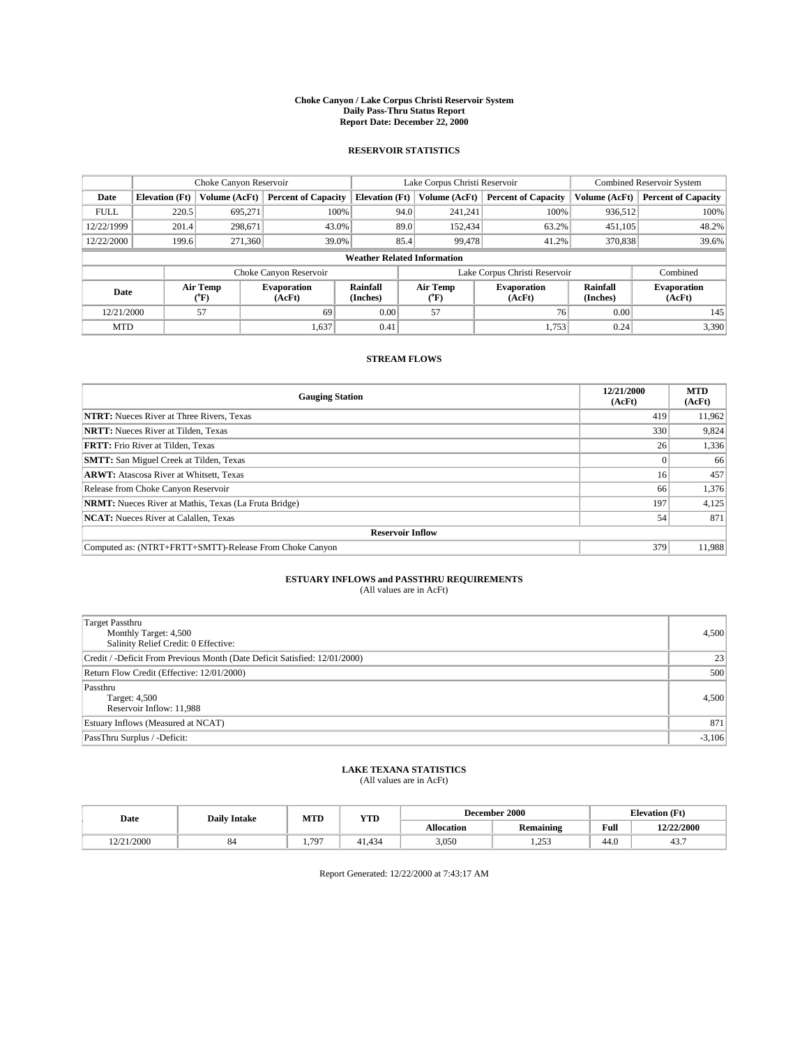#### **Choke Canyon / Lake Corpus Christi Reservoir System Daily Pass-Thru Status Report Report Date: December 22, 2000**

## **RESERVOIR STATISTICS**

|             | Choke Canyon Reservoir                                                                                                                      |               |                            |                                    | Lake Corpus Christi Reservoir |         |                            |               | <b>Combined Reservoir System</b> |  |
|-------------|---------------------------------------------------------------------------------------------------------------------------------------------|---------------|----------------------------|------------------------------------|-------------------------------|---------|----------------------------|---------------|----------------------------------|--|
| Date        | <b>Elevation</b> (Ft)                                                                                                                       | Volume (AcFt) | <b>Percent of Capacity</b> | <b>Elevation</b> (Ft)              | Volume (AcFt)                 |         | <b>Percent of Capacity</b> | Volume (AcFt) | <b>Percent of Capacity</b>       |  |
| <b>FULL</b> | 220.5                                                                                                                                       | 695,271       | 100%                       |                                    | 94.0                          | 241,241 | 100%                       | 936.512       | 100%                             |  |
| 12/22/1999  | 201.4                                                                                                                                       | 298,671       | 43.0%                      |                                    | 89.0                          | 152,434 | 63.2%                      | 451,105       | 48.2%                            |  |
| 12/22/2000  | 199.6                                                                                                                                       | 271,360       | 39.0%                      |                                    | 85.4                          | 99,478  | 41.2%                      | 370,838       | 39.6%                            |  |
|             |                                                                                                                                             |               |                            | <b>Weather Related Information</b> |                               |         |                            |               |                                  |  |
|             |                                                                                                                                             |               | Choke Canyon Reservoir     |                                    | Lake Corpus Christi Reservoir |         |                            |               | Combined                         |  |
|             | Air Temp<br>Air Temp<br><b>Rainfall</b><br><b>Evaporation</b><br><b>Evaporation</b><br>Date<br>(Inches)<br>(°F)<br>(AcFt)<br>(AcFt)<br>("F) |               | Rainfall<br>(Inches)       | <b>Evaporation</b><br>(AcFt)       |                               |         |                            |               |                                  |  |
| 12/21/2000  |                                                                                                                                             | 57            | 69                         | 0.00                               | 57                            |         | 76 <sub>1</sub>            | 0.00          | 145                              |  |
| <b>MTD</b>  |                                                                                                                                             |               | 1,637                      | 0.41                               |                               |         | 1.753                      | 0.24          | 3,390                            |  |

## **STREAM FLOWS**

| <b>Gauging Station</b>                                       | 12/21/2000<br>(AcFt) | <b>MTD</b><br>(AcFt) |  |  |  |  |
|--------------------------------------------------------------|----------------------|----------------------|--|--|--|--|
| <b>NTRT:</b> Nueces River at Three Rivers, Texas             | 419                  | 11,962               |  |  |  |  |
| <b>NRTT:</b> Nueces River at Tilden, Texas                   | 330                  | 9,824                |  |  |  |  |
| <b>FRTT:</b> Frio River at Tilden, Texas                     | 26                   | 1,336                |  |  |  |  |
| <b>SMTT:</b> San Miguel Creek at Tilden, Texas               |                      | 66                   |  |  |  |  |
| <b>ARWT:</b> Atascosa River at Whitsett, Texas               | 16                   | 457                  |  |  |  |  |
| Release from Choke Canyon Reservoir                          | 66                   | 1,376                |  |  |  |  |
| <b>NRMT:</b> Nueces River at Mathis, Texas (La Fruta Bridge) | 197                  | 4,125                |  |  |  |  |
| <b>NCAT:</b> Nueces River at Calallen, Texas                 | 54                   | 871                  |  |  |  |  |
| <b>Reservoir Inflow</b>                                      |                      |                      |  |  |  |  |
| Computed as: (NTRT+FRTT+SMTT)-Release From Choke Canyon      | 379                  | 11,988               |  |  |  |  |

# **ESTUARY INFLOWS and PASSTHRU REQUIREMENTS**<br>(All values are in AcFt)

| Target Passthru<br>Monthly Target: 4,500<br>Salinity Relief Credit: 0 Effective: | 4,500    |
|----------------------------------------------------------------------------------|----------|
| Credit / -Deficit From Previous Month (Date Deficit Satisfied: 12/01/2000)       | 23       |
| Return Flow Credit (Effective: 12/01/2000)                                       | 500      |
| Passthru<br>Target: 4,500<br>Reservoir Inflow: 11,988                            | 4,500    |
| Estuary Inflows (Measured at NCAT)                                               | 871      |
| PassThru Surplus / -Deficit:                                                     | $-3,106$ |

# **LAKE TEXANA STATISTICS** (All values are in AcFt)

| Date       | <b>Daily Intake</b> | MTD  | YTD    |                   | December 2000           | <b>Elevation</b> (Ft) |            |
|------------|---------------------|------|--------|-------------------|-------------------------|-----------------------|------------|
|            |                     |      |        | <b>Allocation</b> | . .<br><b>Remaining</b> | Full                  | 12/22/2000 |
| 12/21/2000 | o-                  | .797 | 41.434 | 3,050             | 252<br>ر رے یہ          | $\sim$<br>-44.0       | 45.,       |

Report Generated: 12/22/2000 at 7:43:17 AM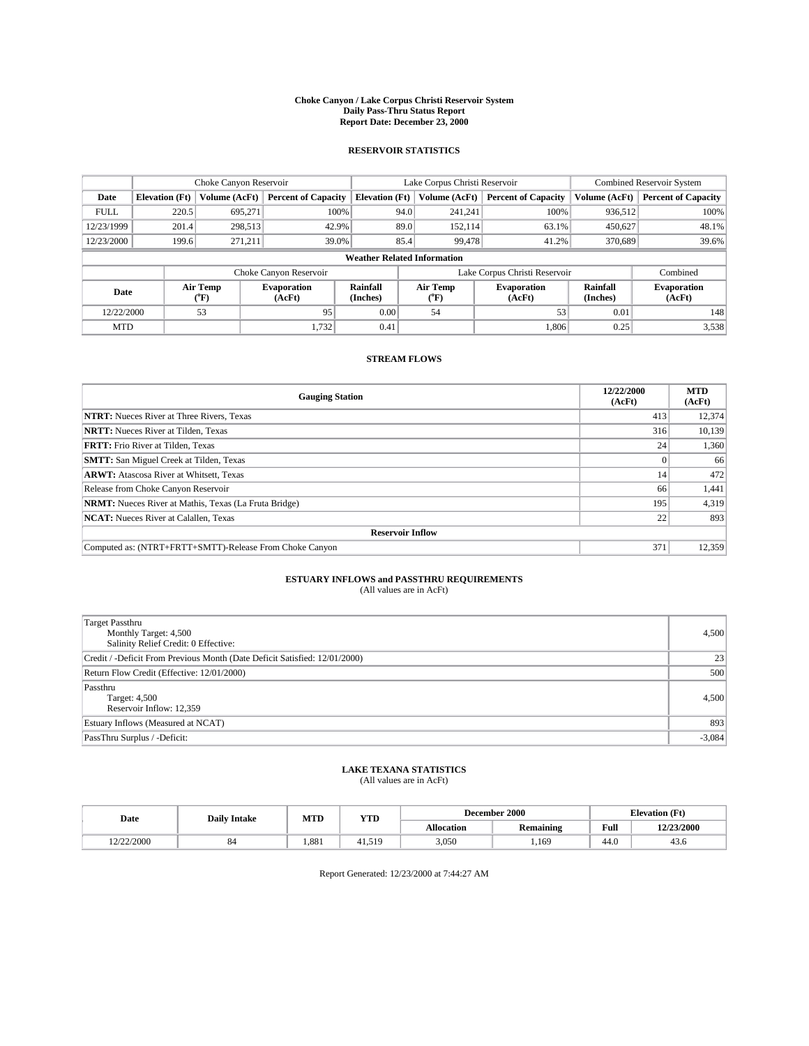#### **Choke Canyon / Lake Corpus Christi Reservoir System Daily Pass-Thru Status Report Report Date: December 23, 2000**

## **RESERVOIR STATISTICS**

|             |                                    | Choke Canyon Reservoir      |                              |                             | Lake Corpus Christi Reservoir | <b>Combined Reservoir System</b> |                             |                              |  |  |
|-------------|------------------------------------|-----------------------------|------------------------------|-----------------------------|-------------------------------|----------------------------------|-----------------------------|------------------------------|--|--|
| Date        | <b>Elevation</b> (Ft)              | Volume (AcFt)               | <b>Percent of Capacity</b>   | <b>Elevation</b> (Ft)       | Volume (AcFt)                 | <b>Percent of Capacity</b>       | Volume (AcFt)               | <b>Percent of Capacity</b>   |  |  |
| <b>FULL</b> | 220.5                              | 695,271                     | 100%                         | 94.0                        | 241,241                       | 100%                             | 936,512                     | 100%                         |  |  |
| 12/23/1999  | 201.4                              | 298,513                     | 42.9%                        | 89.0                        | 152,114                       | 63.1%                            | 450,627                     | 48.1%                        |  |  |
| 12/23/2000  | 199.6                              | 271.211                     | 39.0%                        | 85.4                        | 99,478                        | 41.2%                            | 370,689                     | 39.6%                        |  |  |
|             | <b>Weather Related Information</b> |                             |                              |                             |                               |                                  |                             |                              |  |  |
|             |                                    |                             | Choke Canyon Reservoir       |                             |                               | Lake Corpus Christi Reservoir    |                             | Combined                     |  |  |
| Date        |                                    | Air Temp<br>${}^{\circ}$ F) | <b>Evaporation</b><br>(AcFt) | <b>Rainfall</b><br>(Inches) | Air Temp<br>("F)              | <b>Evaporation</b><br>(AcFt)     | <b>Rainfall</b><br>(Inches) | <b>Evaporation</b><br>(AcFt) |  |  |
| 12/22/2000  |                                    | 53                          | 95                           | 0.00                        | 54                            | 53                               | 0.01                        | 148                          |  |  |
| <b>MTD</b>  |                                    |                             | 1,732                        | 0.41                        |                               | 1,806                            | 0.25                        | 3,538                        |  |  |

## **STREAM FLOWS**

| <b>Gauging Station</b>                                       | 12/22/2000<br>(AcFt) | <b>MTD</b><br>(AcFt) |  |  |  |  |
|--------------------------------------------------------------|----------------------|----------------------|--|--|--|--|
| <b>NTRT:</b> Nueces River at Three Rivers, Texas             | 413                  | 12,374               |  |  |  |  |
| <b>NRTT:</b> Nueces River at Tilden, Texas                   | 316                  | 10,139               |  |  |  |  |
| <b>FRTT:</b> Frio River at Tilden, Texas                     | 24                   | 1,360                |  |  |  |  |
| <b>SMTT:</b> San Miguel Creek at Tilden, Texas               |                      | 66                   |  |  |  |  |
| <b>ARWT:</b> Atascosa River at Whitsett, Texas               | 14                   | 472                  |  |  |  |  |
| Release from Choke Canyon Reservoir                          | 66                   | 1,441                |  |  |  |  |
| <b>NRMT:</b> Nueces River at Mathis, Texas (La Fruta Bridge) | 195                  | 4,319                |  |  |  |  |
| <b>NCAT:</b> Nueces River at Calallen, Texas                 | 22                   | 893                  |  |  |  |  |
| <b>Reservoir Inflow</b>                                      |                      |                      |  |  |  |  |
| Computed as: (NTRT+FRTT+SMTT)-Release From Choke Canyon      | 371                  | 12,359               |  |  |  |  |

## **ESTUARY INFLOWS and PASSTHRU REQUIREMENTS**

(All values are in AcFt)

| <b>Target Passthru</b><br>Monthly Target: 4,500<br>Salinity Relief Credit: 0 Effective: | 4,500    |
|-----------------------------------------------------------------------------------------|----------|
| Credit / -Deficit From Previous Month (Date Deficit Satisfied: 12/01/2000)              | 23       |
| Return Flow Credit (Effective: 12/01/2000)                                              | 500      |
| Passthru<br>Target: 4,500<br>Reservoir Inflow: 12,359                                   | 4,500    |
| Estuary Inflows (Measured at NCAT)                                                      | 893      |
| PassThru Surplus / -Deficit:                                                            | $-3,084$ |

# **LAKE TEXANA STATISTICS** (All values are in AcFt)

| Date       | <b>Daily Intake</b> | MTD   | YTD    |                   | December 2000           | <b>Elevation</b> (Ft) |            |
|------------|---------------------|-------|--------|-------------------|-------------------------|-----------------------|------------|
|            |                     |       |        | <b>Allocation</b> | . .<br><b>Remaining</b> | Full                  | 12/23/2000 |
| 12/22/2000 | o-                  | 1.881 | 41.519 | 3,050             | .169                    | $\sim$<br>44.6        | 45.0       |

Report Generated: 12/23/2000 at 7:44:27 AM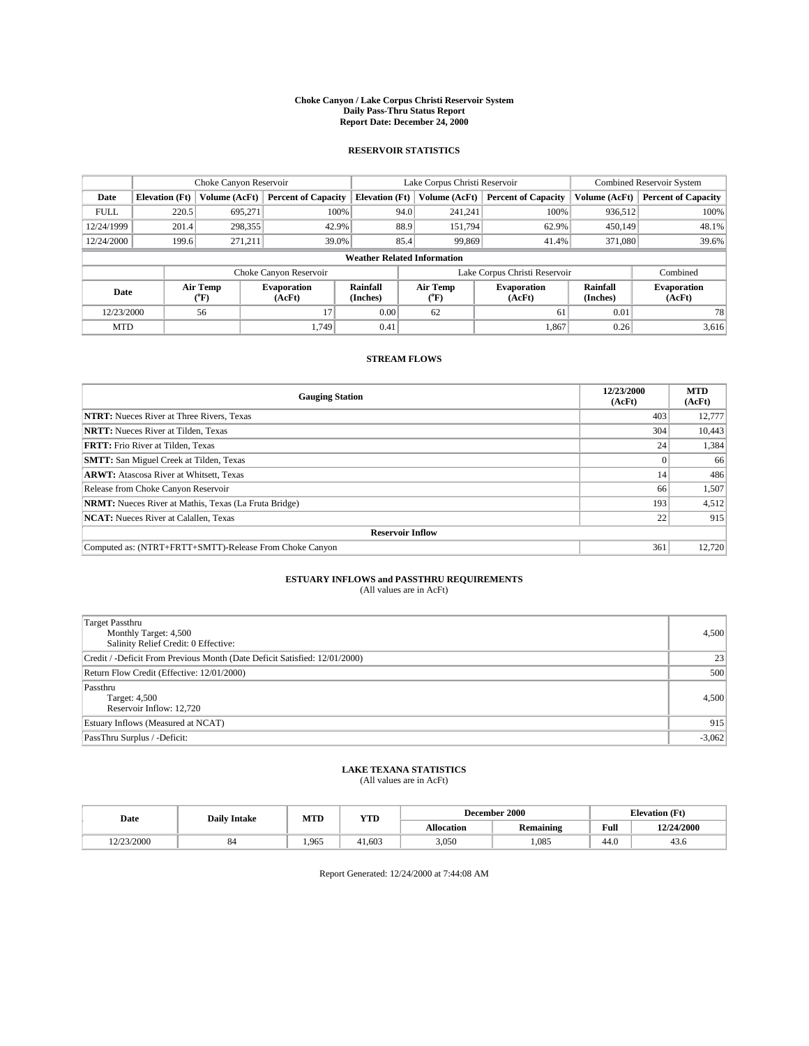#### **Choke Canyon / Lake Corpus Christi Reservoir System Daily Pass-Thru Status Report Report Date: December 24, 2000**

## **RESERVOIR STATISTICS**

|             | Choke Canyon Reservoir             |                  | Lake Corpus Christi Reservoir |                       |                                    |                  | <b>Combined Reservoir System</b> |                      |                              |  |
|-------------|------------------------------------|------------------|-------------------------------|-----------------------|------------------------------------|------------------|----------------------------------|----------------------|------------------------------|--|
| Date        | <b>Elevation</b> (Ft)              | Volume (AcFt)    | <b>Percent of Capacity</b>    | <b>Elevation</b> (Ft) |                                    | Volume (AcFt)    | <b>Percent of Capacity</b>       | Volume (AcFt)        | <b>Percent of Capacity</b>   |  |
| <b>FULL</b> | 220.5                              | 695.271          |                               | 100%                  | 94.0                               | 241,241          | 100%                             | 936.512              | 100%                         |  |
| 12/24/1999  | 201.4                              | 298,355          | 42.9%                         |                       | 88.9                               | 151.794          | 62.9%                            | 450,149              | 48.1%                        |  |
| 12/24/2000  | 199.6                              | 271.211          | 39.0%                         |                       | 85.4<br>99,869<br>371,080<br>41.4% |                  |                                  |                      | 39.6%                        |  |
|             | <b>Weather Related Information</b> |                  |                               |                       |                                    |                  |                                  |                      |                              |  |
|             |                                    |                  | Choke Canyon Reservoir        |                       | Lake Corpus Christi Reservoir      |                  |                                  |                      | Combined                     |  |
| Date        |                                    | Air Temp<br>(°F) | <b>Evaporation</b><br>(AcFt)  | Rainfall<br>(Inches)  |                                    | Air Temp<br>("F) | <b>Evaporation</b><br>(AcFt)     | Rainfall<br>(Inches) | <b>Evaporation</b><br>(AcFt) |  |
| 12/23/2000  |                                    | 56               | 17                            | 0.00                  |                                    | 62               | 61                               | 0.01                 | 78                           |  |
| <b>MTD</b>  |                                    |                  | 1.749                         | 0.41                  |                                    |                  | 1,867                            | 0.26                 | 3,616                        |  |

## **STREAM FLOWS**

| <b>Gauging Station</b>                                       | 12/23/2000<br>(AcFt) | <b>MTD</b><br>(AcFt) |  |  |  |  |
|--------------------------------------------------------------|----------------------|----------------------|--|--|--|--|
| <b>NTRT:</b> Nueces River at Three Rivers, Texas             | 403                  | 12,777               |  |  |  |  |
| <b>NRTT:</b> Nueces River at Tilden, Texas                   | 304                  | 10,443               |  |  |  |  |
| <b>FRTT:</b> Frio River at Tilden, Texas                     | 24                   | 1,384                |  |  |  |  |
| <b>SMTT:</b> San Miguel Creek at Tilden, Texas               |                      | 66                   |  |  |  |  |
| <b>ARWT:</b> Atascosa River at Whitsett, Texas               | 14                   | 486                  |  |  |  |  |
| Release from Choke Canyon Reservoir                          | 66                   | 1,507                |  |  |  |  |
| <b>NRMT:</b> Nueces River at Mathis, Texas (La Fruta Bridge) | 193                  | 4,512                |  |  |  |  |
| <b>NCAT:</b> Nueces River at Calallen, Texas                 | 22                   | 915                  |  |  |  |  |
| <b>Reservoir Inflow</b>                                      |                      |                      |  |  |  |  |
| Computed as: (NTRT+FRTT+SMTT)-Release From Choke Canyon      | 361                  | 12,720               |  |  |  |  |

## **ESTUARY INFLOWS and PASSTHRU REQUIREMENTS**

(All values are in AcFt)

| <b>Target Passthru</b><br>Monthly Target: 4,500<br>Salinity Relief Credit: 0 Effective: | 4,500    |
|-----------------------------------------------------------------------------------------|----------|
| Credit / -Deficit From Previous Month (Date Deficit Satisfied: 12/01/2000)              | 23       |
| Return Flow Credit (Effective: 12/01/2000)                                              | 500      |
| Passthru<br>Target: 4,500<br>Reservoir Inflow: 12,720                                   | 4,500    |
| Estuary Inflows (Measured at NCAT)                                                      | 915      |
| PassThru Surplus / -Deficit:                                                            | $-3,062$ |

# **LAKE TEXANA STATISTICS** (All values are in AcFt)

| Date       | <b>Daily Intake</b> | MTD   | <b>YTD</b> |                   | December 2000    | <b>Elevation</b> (Ft) |            |
|------------|---------------------|-------|------------|-------------------|------------------|-----------------------|------------|
|            |                     |       |            | <b>Allocation</b> | <b>Remaining</b> | Full                  | 12/24/2000 |
| 12/23/2000 | $^{\circ}$          | 1.965 | 41.603     | 3,050             | 1.085            | 44.0                  | 45.0       |

Report Generated: 12/24/2000 at 7:44:08 AM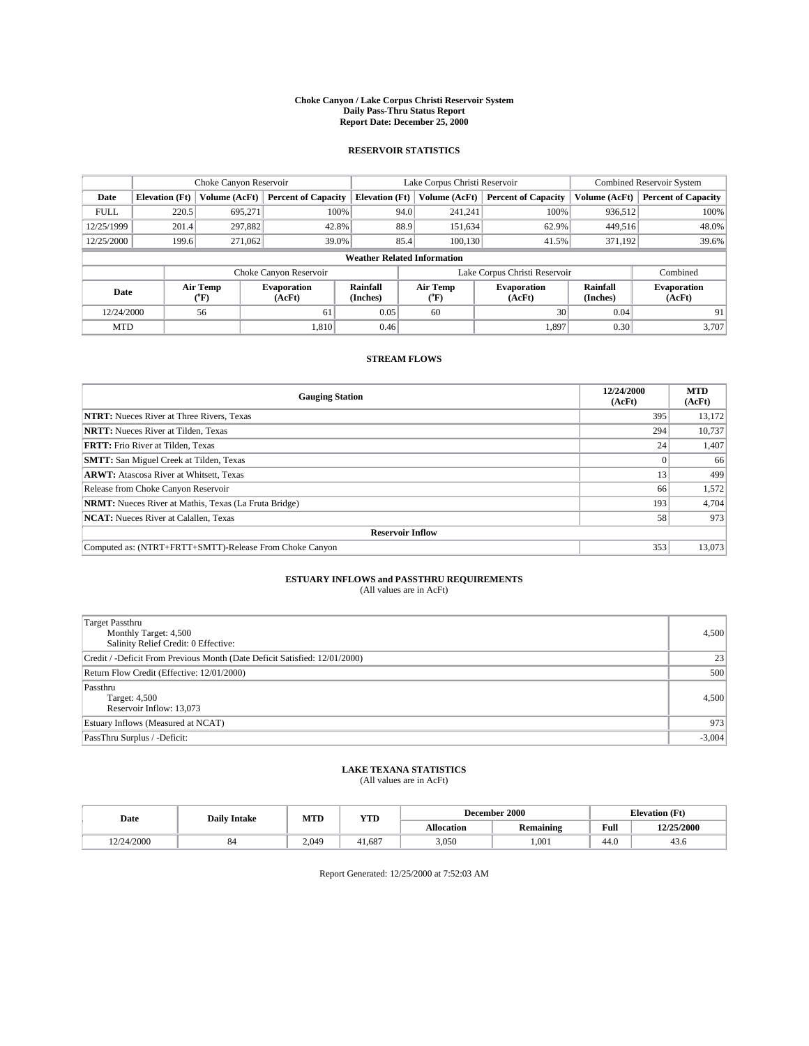#### **Choke Canyon / Lake Corpus Christi Reservoir System Daily Pass-Thru Status Report Report Date: December 25, 2000**

## **RESERVOIR STATISTICS**

|             | Choke Canyon Reservoir |                  |                              |                                    | Lake Corpus Christi Reservoir |                             |                              |                             | <b>Combined Reservoir System</b> |  |  |
|-------------|------------------------|------------------|------------------------------|------------------------------------|-------------------------------|-----------------------------|------------------------------|-----------------------------|----------------------------------|--|--|
| Date        | <b>Elevation</b> (Ft)  | Volume (AcFt)    | <b>Percent of Capacity</b>   | <b>Elevation</b> (Ft)              |                               | Volume (AcFt)               | <b>Percent of Capacity</b>   | Volume (AcFt)               | <b>Percent of Capacity</b>       |  |  |
| <b>FULL</b> | 220.5                  | 695,271          | 100%                         |                                    | 94.0                          | 241,241                     | 100%                         | 936.512                     | 100%                             |  |  |
| 12/25/1999  | 201.4                  | 297,882          | 42.8%                        |                                    | 88.9                          | 151,634                     | 62.9%                        | 449.516                     | 48.0%                            |  |  |
| 12/25/2000  | 199.6                  | 271,062          | 39.0%                        | 85.4                               |                               | 100.130<br>371,192<br>41.5% |                              | 39.6%                       |                                  |  |  |
|             |                        |                  |                              | <b>Weather Related Information</b> |                               |                             |                              |                             |                                  |  |  |
|             |                        |                  | Choke Canyon Reservoir       |                                    | Lake Corpus Christi Reservoir |                             |                              |                             | Combined                         |  |  |
| Date        |                        | Air Temp<br>(°F) | <b>Evaporation</b><br>(AcFt) | <b>Rainfall</b><br>(Inches)        |                               | Air Temp<br>("F)            | <b>Evaporation</b><br>(AcFt) | <b>Rainfall</b><br>(Inches) | <b>Evaporation</b><br>(AcFt)     |  |  |
| 12/24/2000  |                        | 56               | 61                           | 0.05                               |                               | 60                          | 30                           | 0.04                        | 91                               |  |  |
| <b>MTD</b>  |                        |                  | 1.810                        | 0.46                               |                               |                             | 1.897                        | 0.30                        | 3.707                            |  |  |

## **STREAM FLOWS**

| <b>Gauging Station</b>                                       | 12/24/2000<br>(AcFt) | <b>MTD</b><br>(AcFt) |  |  |  |  |
|--------------------------------------------------------------|----------------------|----------------------|--|--|--|--|
| <b>NTRT:</b> Nueces River at Three Rivers, Texas             | 395                  | 13,172               |  |  |  |  |
| <b>NRTT:</b> Nueces River at Tilden, Texas                   | 294                  | 10,737               |  |  |  |  |
| <b>FRTT:</b> Frio River at Tilden, Texas                     | 24                   | 1,407                |  |  |  |  |
| <b>SMTT:</b> San Miguel Creek at Tilden, Texas               |                      | 66                   |  |  |  |  |
| <b>ARWT:</b> Atascosa River at Whitsett, Texas               | 13                   | 499                  |  |  |  |  |
| Release from Choke Canyon Reservoir                          | 66                   | 1,572                |  |  |  |  |
| <b>NRMT:</b> Nueces River at Mathis, Texas (La Fruta Bridge) | 193                  | 4,704                |  |  |  |  |
| <b>NCAT:</b> Nueces River at Calallen, Texas                 | 58                   | 973                  |  |  |  |  |
| <b>Reservoir Inflow</b>                                      |                      |                      |  |  |  |  |
| Computed as: (NTRT+FRTT+SMTT)-Release From Choke Canyon      | 353                  | 13,073               |  |  |  |  |

# **ESTUARY INFLOWS and PASSTHRU REQUIREMENTS**<br>(All values are in AcFt)

| <b>Target Passthru</b><br>Monthly Target: 4,500<br>Salinity Relief Credit: 0 Effective: | 4,500    |
|-----------------------------------------------------------------------------------------|----------|
| Credit / -Deficit From Previous Month (Date Deficit Satisfied: 12/01/2000)              | 23       |
| Return Flow Credit (Effective: 12/01/2000)                                              | 500      |
| Passthru<br>Target: 4,500<br>Reservoir Inflow: 13,073                                   | 4,500    |
| Estuary Inflows (Measured at NCAT)                                                      | 973      |
| PassThru Surplus / -Deficit:                                                            | $-3,004$ |

# **LAKE TEXANA STATISTICS** (All values are in AcFt)

| Date      | <b>Daily Intake</b> | MTD   | <b>YTD</b> |                   | December 2000    | <b>Elevation</b> (Ft) |            |
|-----------|---------------------|-------|------------|-------------------|------------------|-----------------------|------------|
|           |                     |       |            | <b>Allocation</b> | <b>Remaining</b> | Full                  | 12/25/2000 |
| 2/24/2000 | $^{\rm o}$          | 2.049 | 41.687     | 3,050             | 1,001            | 44.0                  | 45.0       |

Report Generated: 12/25/2000 at 7:52:03 AM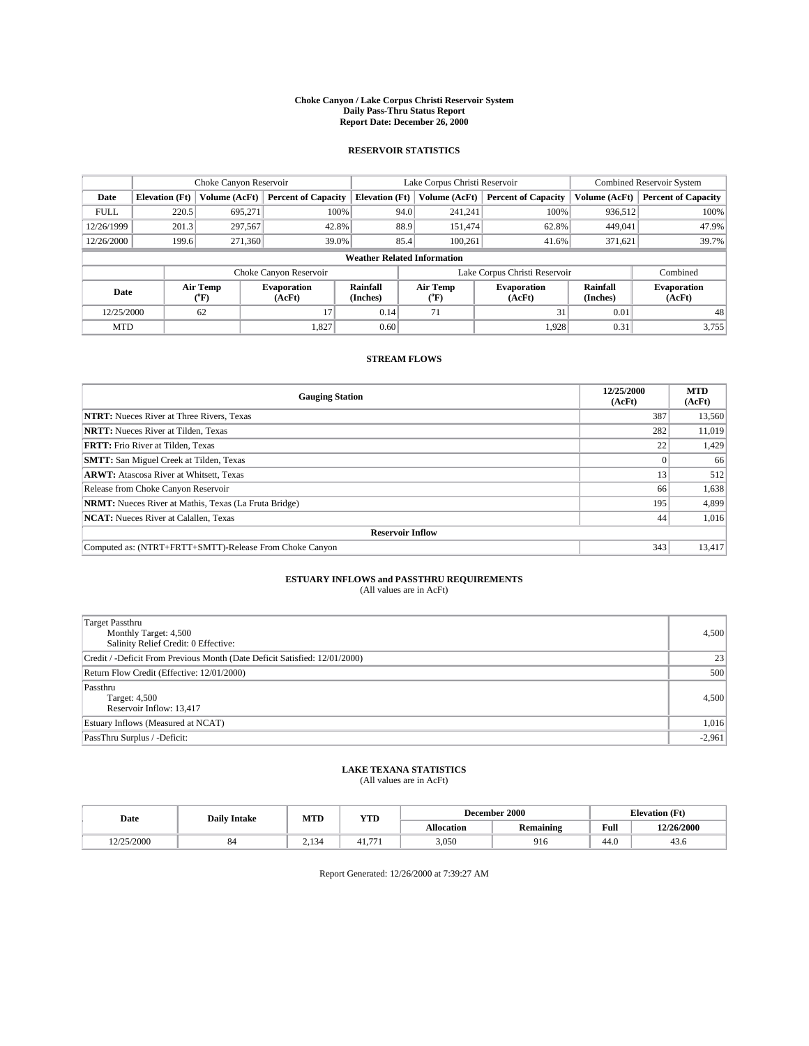#### **Choke Canyon / Lake Corpus Christi Reservoir System Daily Pass-Thru Status Report Report Date: December 26, 2000**

## **RESERVOIR STATISTICS**

|             | Choke Canyon Reservoir             |                  | Lake Corpus Christi Reservoir |                       |                               |                  | <b>Combined Reservoir System</b> |                      |                              |
|-------------|------------------------------------|------------------|-------------------------------|-----------------------|-------------------------------|------------------|----------------------------------|----------------------|------------------------------|
| Date        | <b>Elevation</b> (Ft)              | Volume (AcFt)    | <b>Percent of Capacity</b>    | <b>Elevation</b> (Ft) |                               | Volume (AcFt)    | <b>Percent of Capacity</b>       | Volume (AcFt)        | <b>Percent of Capacity</b>   |
| <b>FULL</b> | 220.5                              | 695,271          | 100%                          |                       | 94.0                          | 241,241          | 100%                             | 936,512              | 100%                         |
| 12/26/1999  | 201.3                              | 297,567          | 42.8%                         |                       | 88.9                          | 151.474          | 62.8%                            | 449,041              | 47.9%                        |
| 12/26/2000  | 199.6                              | 271,360          | 39.0%                         |                       | 85.4                          | 100.261          | 41.6%                            | 371,621              | 39.7%                        |
|             | <b>Weather Related Information</b> |                  |                               |                       |                               |                  |                                  |                      |                              |
|             |                                    |                  | Choke Canyon Reservoir        |                       | Lake Corpus Christi Reservoir |                  |                                  |                      | Combined                     |
| Date        |                                    | Air Temp<br>(°F) | <b>Evaporation</b><br>(AcFt)  | Rainfall<br>(Inches)  |                               | Air Temp<br>("F) | <b>Evaporation</b><br>(AcFt)     | Rainfall<br>(Inches) | <b>Evaporation</b><br>(AcFt) |
| 12/25/2000  |                                    | 62               | 17                            | 0.14                  |                               | 71               | 31                               | 0.01                 | 48                           |
| <b>MTD</b>  |                                    |                  | 1,827                         | 0.60                  |                               |                  | 1,928                            | 0.31                 | 3,755                        |

## **STREAM FLOWS**

| <b>Gauging Station</b>                                       | 12/25/2000<br>(AcFt) | <b>MTD</b><br>(AcFt) |  |  |  |  |
|--------------------------------------------------------------|----------------------|----------------------|--|--|--|--|
| <b>NTRT:</b> Nueces River at Three Rivers, Texas             | 387                  | 13,560               |  |  |  |  |
| <b>NRTT:</b> Nueces River at Tilden, Texas                   | 282                  | 11.019               |  |  |  |  |
| <b>FRTT:</b> Frio River at Tilden, Texas                     | 22                   | 1,429                |  |  |  |  |
| <b>SMTT:</b> San Miguel Creek at Tilden, Texas               |                      | 66                   |  |  |  |  |
| <b>ARWT:</b> Atascosa River at Whitsett, Texas               | 13                   | 512                  |  |  |  |  |
| Release from Choke Canyon Reservoir                          | 66                   | 1,638                |  |  |  |  |
| <b>NRMT:</b> Nueces River at Mathis, Texas (La Fruta Bridge) | 195                  | 4,899                |  |  |  |  |
| <b>NCAT:</b> Nueces River at Calallen, Texas                 | 44                   | 1,016                |  |  |  |  |
| <b>Reservoir Inflow</b>                                      |                      |                      |  |  |  |  |
| Computed as: (NTRT+FRTT+SMTT)-Release From Choke Canyon      | 343                  | 13,417               |  |  |  |  |

## **ESTUARY INFLOWS and PASSTHRU REQUIREMENTS**

(All values are in AcFt)

| Target Passthru<br>Monthly Target: 4,500<br>Salinity Relief Credit: 0 Effective: | 4,500    |
|----------------------------------------------------------------------------------|----------|
| Credit / -Deficit From Previous Month (Date Deficit Satisfied: 12/01/2000)       | 23       |
| Return Flow Credit (Effective: 12/01/2000)                                       | 500      |
| Passthru<br>Target: 4,500<br>Reservoir Inflow: 13,417                            | 4,500    |
| Estuary Inflows (Measured at NCAT)                                               | 1,016    |
| PassThru Surplus / -Deficit:                                                     | $-2,961$ |

# **LAKE TEXANA STATISTICS** (All values are in AcFt)

| Date       | <b>Daily Intake</b> | MTD   | <b>YTD</b> |                   | December 2000    | <b>Elevation</b> (Ft) |            |
|------------|---------------------|-------|------------|-------------------|------------------|-----------------------|------------|
|            |                     |       |            | <b>Allocation</b> | <b>Remaining</b> | Full                  | 12/26/2000 |
| 12/25/2000 | $^{\rm o}$          | 2,134 | $- -$      | 3,050             | 916              | 44.0                  | 43.0       |

Report Generated: 12/26/2000 at 7:39:27 AM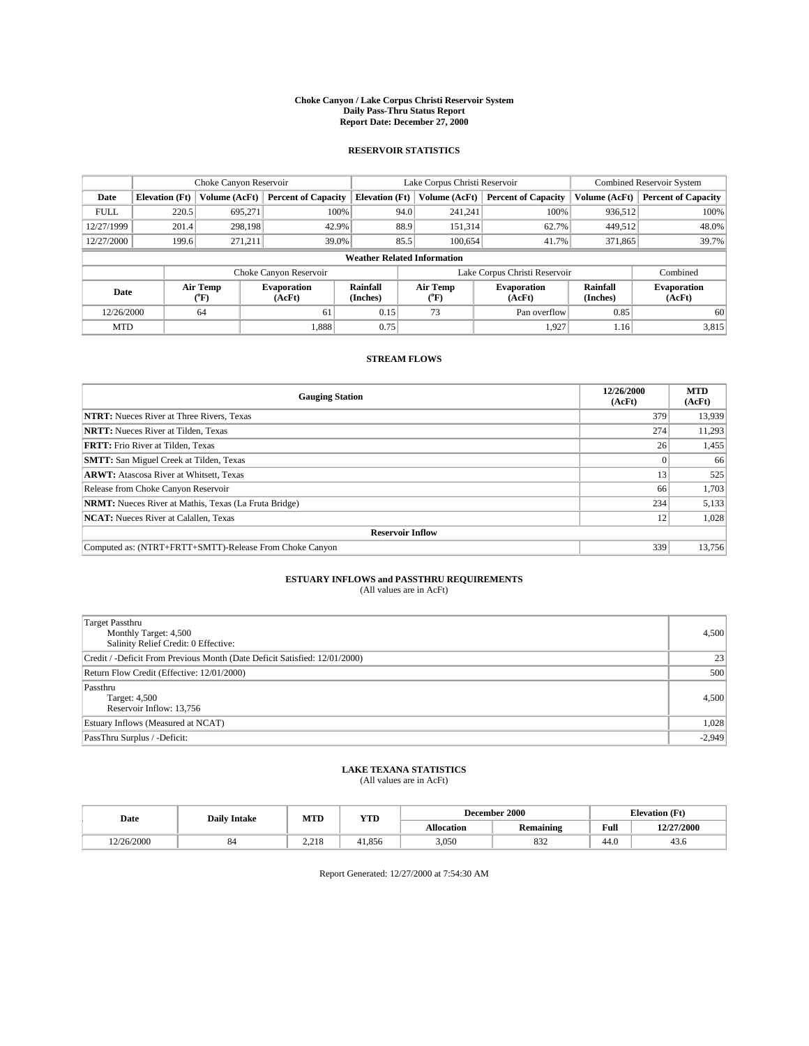#### **Choke Canyon / Lake Corpus Christi Reservoir System Daily Pass-Thru Status Report Report Date: December 27, 2000**

## **RESERVOIR STATISTICS**

|             | Choke Canyon Reservoir             |                          |                              |                       | Lake Corpus Christi Reservoir |                               |                              |                      | <b>Combined Reservoir System</b> |  |
|-------------|------------------------------------|--------------------------|------------------------------|-----------------------|-------------------------------|-------------------------------|------------------------------|----------------------|----------------------------------|--|
| Date        | <b>Elevation</b> (Ft)              | <b>Volume (AcFt)</b>     | <b>Percent of Capacity</b>   | <b>Elevation</b> (Ft) |                               | Volume (AcFt)                 | <b>Percent of Capacity</b>   | Volume (AcFt)        | <b>Percent of Capacity</b>       |  |
| <b>FULL</b> | 220.5                              | 695,271                  | 100%                         |                       | 94.0                          | 241,241                       | 100%                         | 936.512              | 100%                             |  |
| 12/27/1999  | 201.4                              | 298.198                  | 42.9%                        |                       | 88.9                          | 151,314                       | 62.7%                        | 449.512              | 48.0%                            |  |
| 12/27/2000  | 199.6                              | 271.211                  | 39.0%                        |                       | 85.5                          | 100.654                       | 41.7%                        | 371,865              | 39.7%                            |  |
|             | <b>Weather Related Information</b> |                          |                              |                       |                               |                               |                              |                      |                                  |  |
|             |                                    |                          | Choke Canyon Reservoir       |                       | Lake Corpus Christi Reservoir |                               |                              |                      | Combined                         |  |
| Date        |                                    | Air Temp<br>$\rm ^{o}F)$ | <b>Evaporation</b><br>(AcFt) | Rainfall<br>(Inches)  |                               | Air Temp<br>$\rm ^{o}\rm F$ ) | <b>Evaporation</b><br>(AcFt) | Rainfall<br>(Inches) | <b>Evaporation</b><br>(AcFt)     |  |
| 12/26/2000  |                                    | 64                       | 61                           | 0.15                  |                               | 73                            | Pan overflow                 | 0.85                 | 60                               |  |
| <b>MTD</b>  |                                    |                          | 1.888                        | 0.75                  |                               |                               | 1.927                        | 1.16                 | 3,815                            |  |

## **STREAM FLOWS**

| <b>Gauging Station</b>                                       | 12/26/2000<br>(AcFt) | <b>MTD</b><br>(AcFt) |  |  |  |  |
|--------------------------------------------------------------|----------------------|----------------------|--|--|--|--|
| <b>NTRT:</b> Nueces River at Three Rivers, Texas             | 379                  | 13,939               |  |  |  |  |
| <b>NRTT:</b> Nueces River at Tilden, Texas                   | 274                  | 11,293               |  |  |  |  |
| <b>FRTT:</b> Frio River at Tilden, Texas                     | 26                   | 1,455                |  |  |  |  |
| <b>SMTT:</b> San Miguel Creek at Tilden, Texas               |                      | 66                   |  |  |  |  |
| <b>ARWT:</b> Atascosa River at Whitsett, Texas               | 13                   | 525                  |  |  |  |  |
| Release from Choke Canyon Reservoir                          | 66                   | 1,703                |  |  |  |  |
| <b>NRMT:</b> Nueces River at Mathis, Texas (La Fruta Bridge) | 234                  | 5,133                |  |  |  |  |
| <b>NCAT:</b> Nueces River at Calallen, Texas                 | 12                   | 1,028                |  |  |  |  |
| <b>Reservoir Inflow</b>                                      |                      |                      |  |  |  |  |
| Computed as: (NTRT+FRTT+SMTT)-Release From Choke Canyon      | 339                  | 13.756               |  |  |  |  |

# **ESTUARY INFLOWS and PASSTHRU REQUIREMENTS**<br>(All values are in AcFt)

| <b>Target Passthru</b><br>Monthly Target: 4,500<br>Salinity Relief Credit: 0 Effective: | 4,500    |
|-----------------------------------------------------------------------------------------|----------|
| Credit / -Deficit From Previous Month (Date Deficit Satisfied: 12/01/2000)              | 23       |
| Return Flow Credit (Effective: 12/01/2000)                                              | 500      |
| Passthru<br>Target: 4,500<br>Reservoir Inflow: 13,756                                   | 4,500    |
| Estuary Inflows (Measured at NCAT)                                                      | 1,028    |
| PassThru Surplus / -Deficit:                                                            | $-2,949$ |

# **LAKE TEXANA STATISTICS** (All values are in AcFt)

| Date      | <b>Daily Intake</b> | MTD   | <b>YTD</b> |                   | December 2000    | <b>Elevation</b> (Ft) |            |
|-----------|---------------------|-------|------------|-------------------|------------------|-----------------------|------------|
|           |                     |       |            | <b>Allocation</b> | <b>Remaining</b> | Full                  | 12/27/2000 |
| 2/26/2000 | $^{\rm o}$          | 2.218 | 41.856     | 3,050             | 832              | 44.0                  | 43.0       |

Report Generated: 12/27/2000 at 7:54:30 AM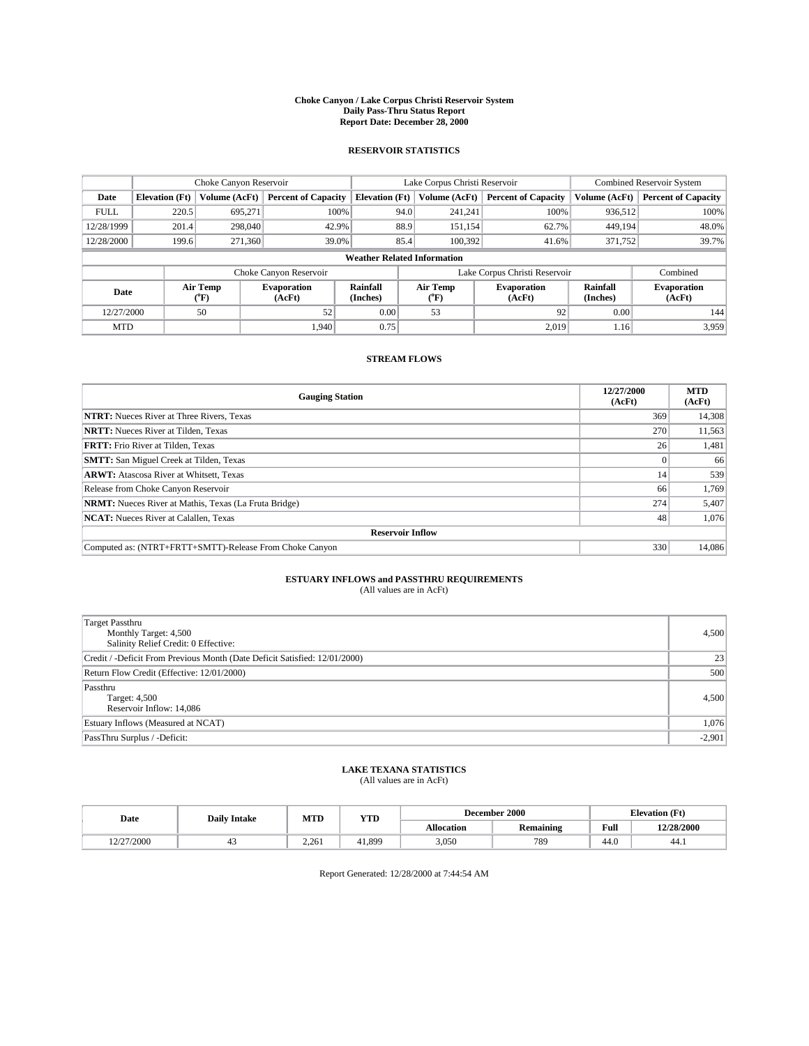#### **Choke Canyon / Lake Corpus Christi Reservoir System Daily Pass-Thru Status Report Report Date: December 28, 2000**

## **RESERVOIR STATISTICS**

|             |                                    | Choke Canyon Reservoir |                              |                       | Lake Corpus Christi Reservoir | <b>Combined Reservoir System</b> |                      |                              |  |
|-------------|------------------------------------|------------------------|------------------------------|-----------------------|-------------------------------|----------------------------------|----------------------|------------------------------|--|
| Date        | <b>Elevation</b> (Ft)              | Volume (AcFt)          | <b>Percent of Capacity</b>   | <b>Elevation</b> (Ft) | Volume (AcFt)                 | <b>Percent of Capacity</b>       | Volume (AcFt)        | <b>Percent of Capacity</b>   |  |
| <b>FULL</b> | 220.5                              | 695,271                | 100%                         |                       | 94.0<br>241,241               | 100%                             | 936,512              | 100%                         |  |
| 12/28/1999  | 201.4                              | 298,040                | 42.9%                        |                       | 88.9<br>151,154               | 62.7%                            | 449,194              | 48.0%                        |  |
| 12/28/2000  | 199.6                              | 271,360                | 39.0%                        |                       | 85.4<br>100.392               | 41.6%                            | 371,752              | 39.7%                        |  |
|             | <b>Weather Related Information</b> |                        |                              |                       |                               |                                  |                      |                              |  |
|             |                                    |                        | Choke Canyon Reservoir       |                       | Lake Corpus Christi Reservoir |                                  | Combined             |                              |  |
| Date        |                                    | Air Temp<br>(°F)       | <b>Evaporation</b><br>(AcFt) | Rainfall<br>(Inches)  | Air Temp<br>("F)              | <b>Evaporation</b><br>(AcFt)     | Rainfall<br>(Inches) | <b>Evaporation</b><br>(AcFt) |  |
| 12/27/2000  |                                    | 50                     | 52                           | 0.00                  | 53                            | 92                               | 0.00                 | 144                          |  |
| <b>MTD</b>  |                                    |                        | 1.940                        | 0.75                  |                               | 2,019                            | 1.16                 | 3,959                        |  |

## **STREAM FLOWS**

| <b>Gauging Station</b>                                       | 12/27/2000<br>(AcFt) | <b>MTD</b><br>(AcFt) |  |  |  |  |
|--------------------------------------------------------------|----------------------|----------------------|--|--|--|--|
| <b>NTRT:</b> Nueces River at Three Rivers, Texas             | 369                  | 14,308               |  |  |  |  |
| <b>NRTT:</b> Nueces River at Tilden, Texas                   | 270                  | 11,563               |  |  |  |  |
| <b>FRTT:</b> Frio River at Tilden, Texas                     | 26                   | 1,481                |  |  |  |  |
| <b>SMTT:</b> San Miguel Creek at Tilden, Texas               |                      | 66                   |  |  |  |  |
| <b>ARWT:</b> Atascosa River at Whitsett, Texas               | 14                   | 539                  |  |  |  |  |
| Release from Choke Canyon Reservoir                          | 66                   | 1,769                |  |  |  |  |
| <b>NRMT:</b> Nueces River at Mathis, Texas (La Fruta Bridge) | 274                  | 5,407                |  |  |  |  |
| <b>NCAT:</b> Nueces River at Calallen, Texas                 | 48                   | 1,076                |  |  |  |  |
| <b>Reservoir Inflow</b>                                      |                      |                      |  |  |  |  |
| Computed as: (NTRT+FRTT+SMTT)-Release From Choke Canyon      | 330                  | 14.086               |  |  |  |  |

# **ESTUARY INFLOWS and PASSTHRU REQUIREMENTS**<br>(All values are in AcFt)

| <b>Target Passthru</b><br>Monthly Target: 4,500<br>Salinity Relief Credit: 0 Effective: | 4,500    |
|-----------------------------------------------------------------------------------------|----------|
| Credit / -Deficit From Previous Month (Date Deficit Satisfied: 12/01/2000)              | 23       |
| Return Flow Credit (Effective: 12/01/2000)                                              | 500      |
| Passthru<br>Target: 4,500<br>Reservoir Inflow: 14,086                                   | 4,500    |
| Estuary Inflows (Measured at NCAT)                                                      | 1,076    |
| PassThru Surplus / -Deficit:                                                            | $-2,901$ |

# **LAKE TEXANA STATISTICS** (All values are in AcFt)

| Date                           | <b>Daily Intake</b> | MTD   | <b>YTD</b> | December 2000     |           |      | <b>Elevation</b> (Ft) |
|--------------------------------|---------------------|-------|------------|-------------------|-----------|------|-----------------------|
|                                |                     |       |            | <b>Allocation</b> | Remaining | Full | 12/28/2000            |
| 2/27/2000<br>$1 \leq l \leq l$ | 45                  | 2.261 | 41.899     | 3,050             | 789       | 44.0 | 44.1                  |

Report Generated: 12/28/2000 at 7:44:54 AM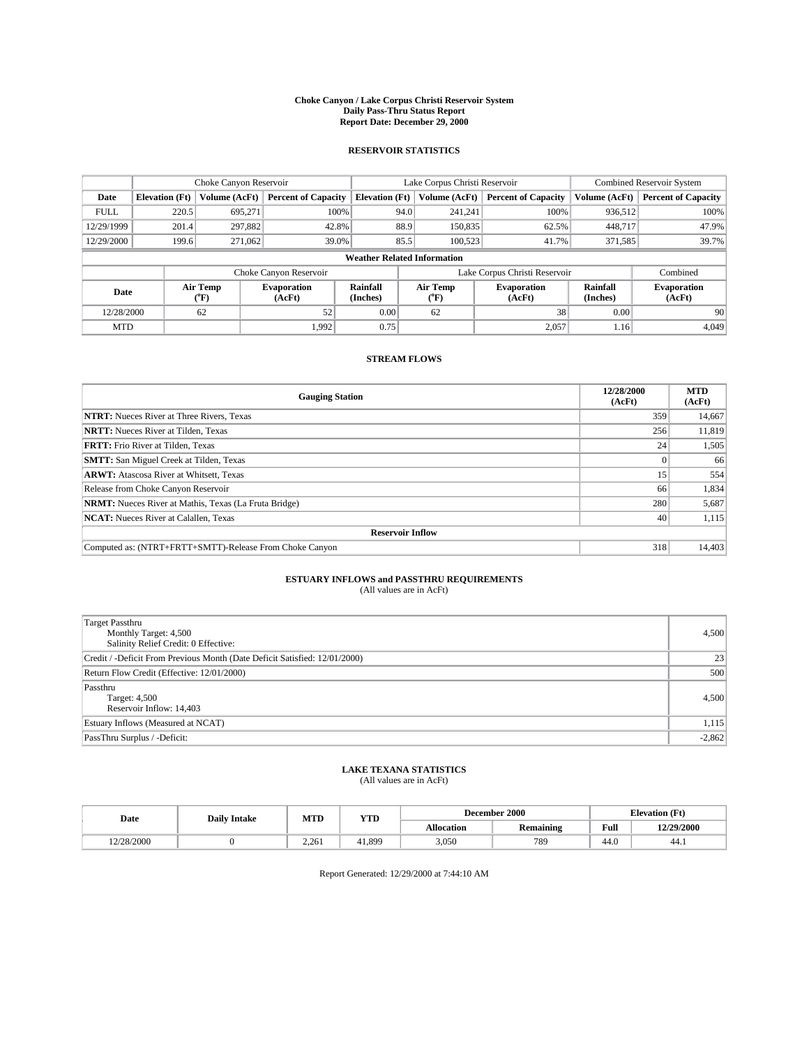#### **Choke Canyon / Lake Corpus Christi Reservoir System Daily Pass-Thru Status Report Report Date: December 29, 2000**

## **RESERVOIR STATISTICS**

|             | Choke Canyon Reservoir |                             |                              |                                    | Lake Corpus Christi Reservoir |                  |                              |                      | <b>Combined Reservoir System</b> |  |  |
|-------------|------------------------|-----------------------------|------------------------------|------------------------------------|-------------------------------|------------------|------------------------------|----------------------|----------------------------------|--|--|
| Date        | <b>Elevation</b> (Ft)  | Volume (AcFt)               | <b>Percent of Capacity</b>   | <b>Elevation</b> (Ft)              |                               | Volume (AcFt)    | <b>Percent of Capacity</b>   | Volume (AcFt)        | <b>Percent of Capacity</b>       |  |  |
| <b>FULL</b> | 220.5                  | 695,271                     | 100%                         |                                    | 94.0                          | 241,241          | 100%                         | 936.512              | 100%                             |  |  |
| 12/29/1999  | 201.4                  | 297,882                     | 42.8%                        |                                    | 88.9                          | 150,835          | 62.5%                        | 448.717              | 47.9%                            |  |  |
| 12/29/2000  | 199.6                  | 271,062                     | 39.0%                        |                                    | 85.5                          | 100.523          | 41.7%                        | 371,585              | 39.7%                            |  |  |
|             |                        |                             |                              | <b>Weather Related Information</b> |                               |                  |                              |                      |                                  |  |  |
|             |                        |                             | Choke Canyon Reservoir       |                                    | Lake Corpus Christi Reservoir |                  |                              |                      | Combined                         |  |  |
| Date        |                        | Air Temp<br>${}^{\circ}$ F) | <b>Evaporation</b><br>(AcFt) | <b>Rainfall</b><br>(Inches)        |                               | Air Temp<br>("F) | <b>Evaporation</b><br>(AcFt) | Rainfall<br>(Inches) | <b>Evaporation</b><br>(AcFt)     |  |  |
| 12/28/2000  |                        | 62                          | 52                           | 0.00                               |                               | 62               | 38                           | 0.00                 | 90                               |  |  |
| <b>MTD</b>  |                        |                             | 1.992                        | 0.75                               |                               |                  | 2,057                        | 1.16                 | 4.049                            |  |  |

## **STREAM FLOWS**

| <b>Gauging Station</b>                                       | 12/28/2000<br>(AcFt) | <b>MTD</b><br>(AcFt) |
|--------------------------------------------------------------|----------------------|----------------------|
| <b>NTRT:</b> Nueces River at Three Rivers, Texas             | 359                  | 14,667               |
| <b>NRTT:</b> Nueces River at Tilden, Texas                   | 256                  | 11,819               |
| <b>FRTT:</b> Frio River at Tilden, Texas                     | 24 <sup>1</sup>      | 1,505                |
| <b>SMTT:</b> San Miguel Creek at Tilden, Texas               |                      | 66                   |
| <b>ARWT:</b> Atascosa River at Whitsett, Texas               | 15                   | 554                  |
| Release from Choke Canyon Reservoir                          | 66                   | 1,834                |
| <b>NRMT:</b> Nueces River at Mathis, Texas (La Fruta Bridge) | 280                  | 5,687                |
| <b>NCAT:</b> Nueces River at Calallen, Texas                 | 40                   | 1,115                |
| <b>Reservoir Inflow</b>                                      |                      |                      |
| Computed as: (NTRT+FRTT+SMTT)-Release From Choke Canyon      | 318                  | 14,403               |

# **ESTUARY INFLOWS and PASSTHRU REQUIREMENTS**<br>(All values are in AcFt)

| <b>Target Passthru</b><br>Monthly Target: 4,500<br>Salinity Relief Credit: 0 Effective: | 4,500    |
|-----------------------------------------------------------------------------------------|----------|
| Credit / -Deficit From Previous Month (Date Deficit Satisfied: 12/01/2000)              | 23       |
| Return Flow Credit (Effective: 12/01/2000)                                              | 500      |
| Passthru<br>Target: 4,500<br>Reservoir Inflow: 14,403                                   | 4,500    |
| Estuary Inflows (Measured at NCAT)                                                      | 1,115    |
| PassThru Surplus / -Deficit:                                                            | $-2,862$ |

# **LAKE TEXANA STATISTICS** (All values are in AcFt)

| Date      | <b>Daily Intake</b> | MTD                | <b>YTD</b> |                   | December 2000                            | <b>Elevation</b> (Ft) |            |
|-----------|---------------------|--------------------|------------|-------------------|------------------------------------------|-----------------------|------------|
|           |                     |                    |            | <b>Allocation</b> | $\ddot{\phantom{a}}$<br><b>Remaining</b> | Full                  | 12/29/2000 |
| 2/28/2000 |                     | 2.26<br>$\sim\sim$ | 41.899     | 3,050             | 789                                      | -<br>44.V             | 44.1       |

Report Generated: 12/29/2000 at 7:44:10 AM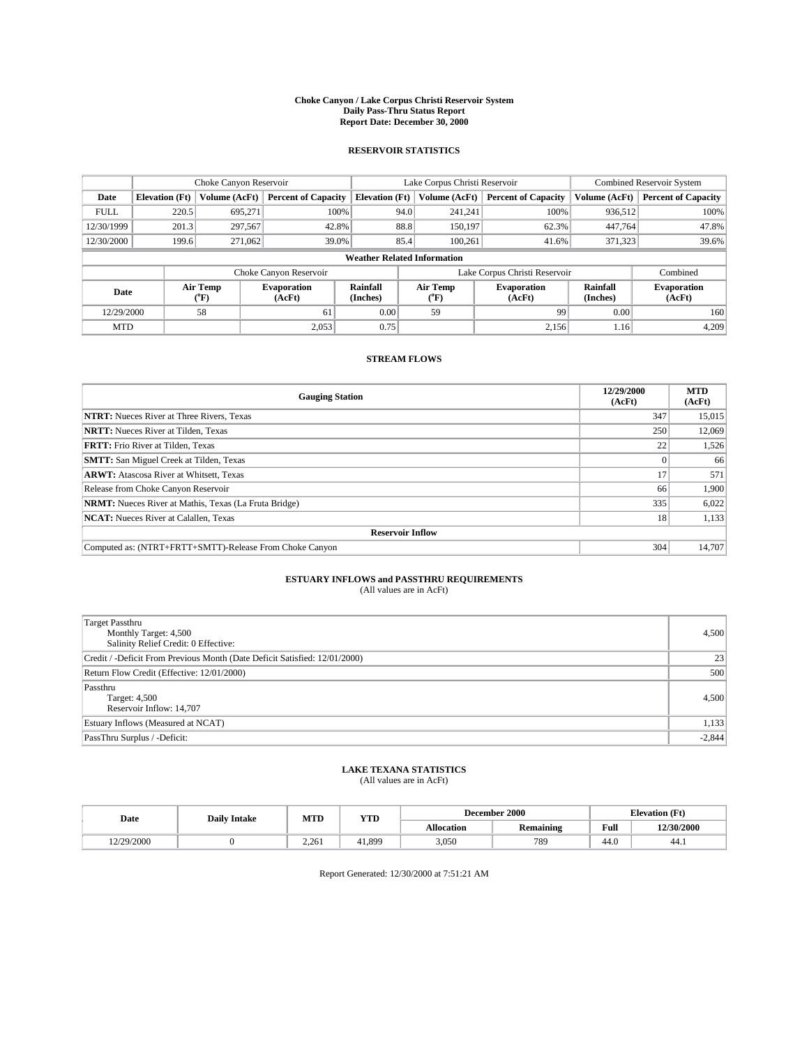#### **Choke Canyon / Lake Corpus Christi Reservoir System Daily Pass-Thru Status Report Report Date: December 30, 2000**

## **RESERVOIR STATISTICS**

|             | Choke Canyon Reservoir |                  |                              |                                    | Lake Corpus Christi Reservoir |               |                              |                             | <b>Combined Reservoir System</b> |  |
|-------------|------------------------|------------------|------------------------------|------------------------------------|-------------------------------|---------------|------------------------------|-----------------------------|----------------------------------|--|
| Date        | <b>Elevation</b> (Ft)  | Volume (AcFt)    | <b>Percent of Capacity</b>   | <b>Elevation</b> (Ft)              |                               | Volume (AcFt) | <b>Percent of Capacity</b>   | Volume (AcFt)               | <b>Percent of Capacity</b>       |  |
| <b>FULL</b> | 220.5                  | 695,271          | 100%                         |                                    | 94.0                          | 241,241       | 100%                         | 936.512                     | 100%                             |  |
| 12/30/1999  | 201.3                  | 297,567          | 42.8%                        |                                    | 88.8                          | 150.197       | 62.3%                        | 447,764                     | 47.8%                            |  |
| 12/30/2000  | 199.6                  | 271,062          | 39.0%                        |                                    | 85.4<br>100.261<br>41.6%      |               | 371,323                      | 39.6%                       |                                  |  |
|             |                        |                  |                              | <b>Weather Related Information</b> |                               |               |                              |                             |                                  |  |
|             |                        |                  | Choke Canyon Reservoir       |                                    | Lake Corpus Christi Reservoir |               |                              |                             | Combined                         |  |
| Date        |                        | Air Temp<br>(°F) | <b>Evaporation</b><br>(AcFt) | <b>Rainfall</b><br>(Inches)        | Air Temp<br>("F)              |               | <b>Evaporation</b><br>(AcFt) | <b>Rainfall</b><br>(Inches) | <b>Evaporation</b><br>(AcFt)     |  |
| 12/29/2000  |                        | 58               | 61                           | 0.00                               | 59                            |               | 99                           | 0.00                        | 160                              |  |
| <b>MTD</b>  |                        |                  | 2,053                        | 0.75                               |                               |               | 2,156                        | 1.16                        | 4.209                            |  |

## **STREAM FLOWS**

| <b>Gauging Station</b>                                       | 12/29/2000<br>(AcFt) | <b>MTD</b><br>(AcFt) |
|--------------------------------------------------------------|----------------------|----------------------|
| <b>NTRT:</b> Nueces River at Three Rivers, Texas             | 347                  | 15,015               |
| <b>NRTT:</b> Nueces River at Tilden, Texas                   | 250                  | 12,069               |
| <b>FRTT:</b> Frio River at Tilden, Texas                     | 22                   | 1,526                |
| <b>SMTT:</b> San Miguel Creek at Tilden, Texas               |                      | 66                   |
| <b>ARWT:</b> Atascosa River at Whitsett, Texas               | 17                   | 571                  |
| Release from Choke Canyon Reservoir                          | 66                   | 1,900                |
| <b>NRMT:</b> Nueces River at Mathis, Texas (La Fruta Bridge) | 335                  | 6,022                |
| <b>NCAT:</b> Nueces River at Calallen, Texas                 | 18                   | 1,133                |
| <b>Reservoir Inflow</b>                                      |                      |                      |
| Computed as: (NTRT+FRTT+SMTT)-Release From Choke Canyon      | 304                  | 14,707               |

# **ESTUARY INFLOWS and PASSTHRU REQUIREMENTS**<br>(All values are in AcFt)

| <b>Target Passthru</b><br>Monthly Target: 4,500<br>Salinity Relief Credit: 0 Effective: | 4,500    |
|-----------------------------------------------------------------------------------------|----------|
| Credit / -Deficit From Previous Month (Date Deficit Satisfied: 12/01/2000)              | 23       |
| Return Flow Credit (Effective: 12/01/2000)                                              | 500      |
| Passthru<br>Target: 4,500<br>Reservoir Inflow: 14,707                                   | 4,500    |
| Estuary Inflows (Measured at NCAT)                                                      | 1,133    |
| PassThru Surplus / -Deficit:                                                            | $-2,844$ |

# **LAKE TEXANA STATISTICS** (All values are in AcFt)

| Date<br><b>Daily Intake</b> |  |                         | MTD<br>YTD |                   | December 2000                            | <b>Elevation</b> (Ft) |            |
|-----------------------------|--|-------------------------|------------|-------------------|------------------------------------------|-----------------------|------------|
|                             |  |                         |            | <b>Allocation</b> | $\ddot{\phantom{a}}$<br><b>Remaining</b> | Full                  | 12/30/2000 |
| 12/29/2000                  |  | $2.26^{\circ}$<br>2.201 | +1.899     | 3,050             | 789                                      | $\sim$<br>44.U        | 44.1       |

Report Generated: 12/30/2000 at 7:51:21 AM